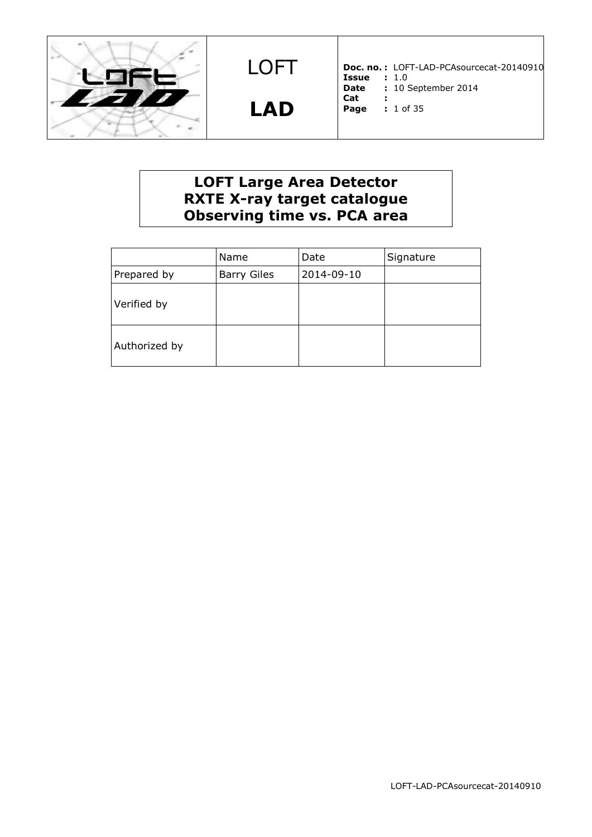

**LAD**

**Doc. no. :** LOFT-LAD-PCAsourcecat-20140910 **Issue :** 1.0 **Date :** 10 September 2014

**Cat : Page :** 1 of 35

# **LOFT Large Area Detector RXTE X-ray target catalogue Observing time vs. PCA area**

|               | Name               | Date       | Signature |
|---------------|--------------------|------------|-----------|
| Prepared by   | <b>Barry Giles</b> | 2014-09-10 |           |
| Verified by   |                    |            |           |
| Authorized by |                    |            |           |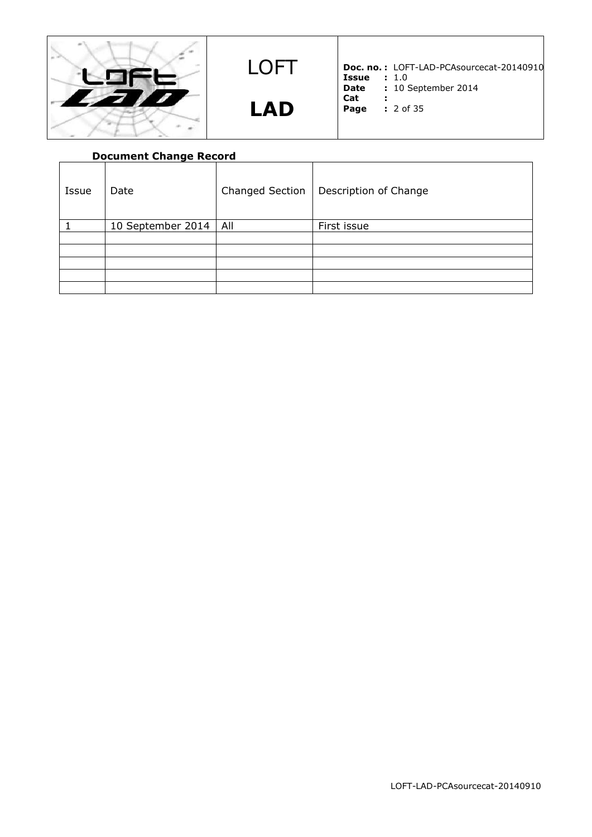

LOFT **LAD**

**Doc. no. :** LOFT-LAD-PCAsourcecat-20140910 **Issue :** 1.0

- **Date :** 10 September 2014
- **Cat :**
- **Page :** 2 of 35
- -

|       | <b>Document Change Record</b> |                        |                       |
|-------|-------------------------------|------------------------|-----------------------|
| Issue | Date                          | <b>Changed Section</b> | Description of Change |
|       | 10 September 2014             | All                    | First issue           |
|       |                               |                        |                       |
|       |                               |                        |                       |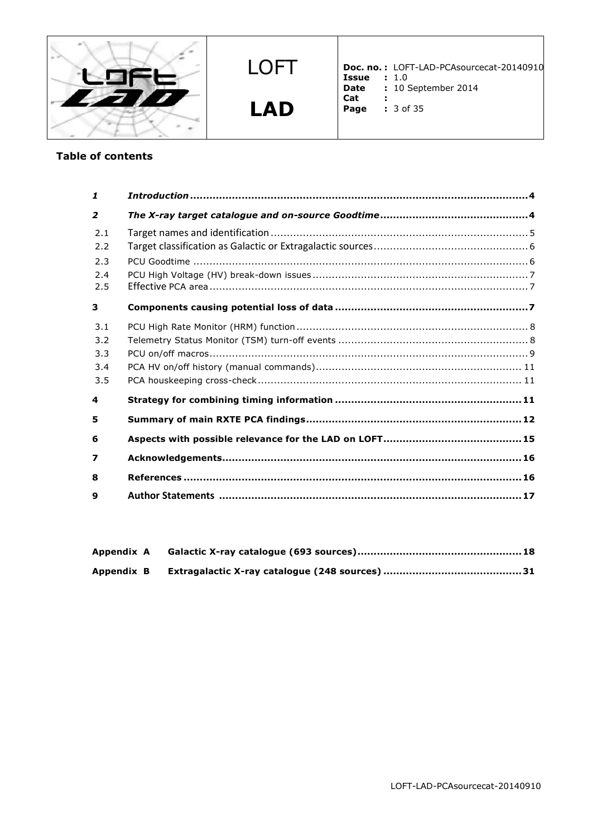

LOFT **LAD**

**Doc. no. :** LOFT-LAD-PCAsourcecat-20140910 **Issue :** 1.0

- **Date :** 10 September 2014
- **Cat :**
- **Page :** 3 of 35

# **Table of contents**

| $\mathbf{1}$   |  |
|----------------|--|
| $\overline{2}$ |  |
| 2.1            |  |
| 2.2            |  |
| 2.3            |  |
| 2.4            |  |
| 2.5            |  |
| 3              |  |
| 3.1            |  |
| 3.2            |  |
| 3.3            |  |
| 3.4            |  |
| 3.5            |  |
| 4              |  |
| 5              |  |
| 6              |  |
| 7              |  |
| 8              |  |
| 9              |  |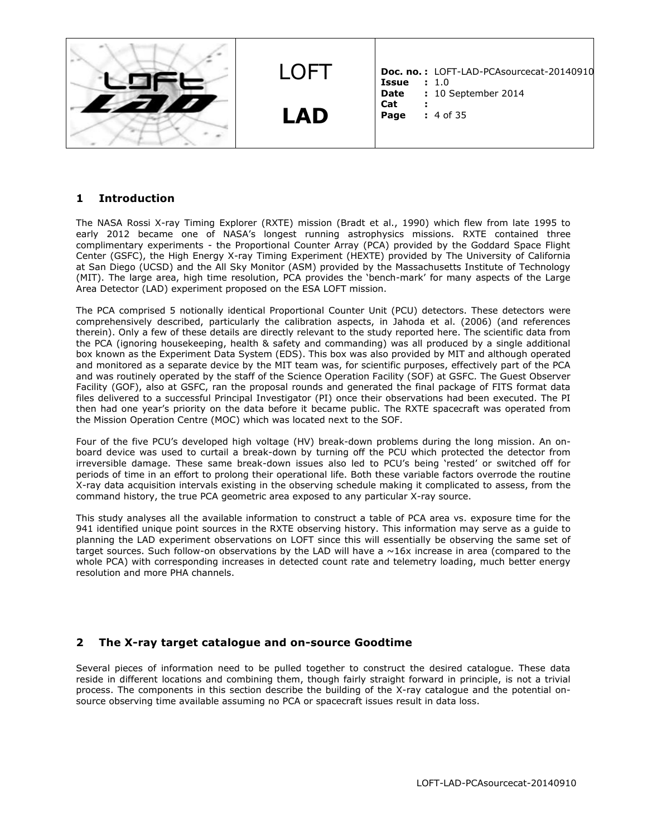

#### **1 Introduction**

The NASA Rossi X-ray Timing Explorer (RXTE) mission (Bradt et al., 1990) which flew from late 1995 to early 2012 became one of NASA's longest running astrophysics missions. RXTE contained three complimentary experiments - the Proportional Counter Array (PCA) provided by the Goddard Space Flight Center (GSFC), the High Energy X-ray Timing Experiment (HEXTE) provided by The University of California at San Diego (UCSD) and the All Sky Monitor (ASM) provided by the Massachusetts Institute of Technology (MIT). The large area, high time resolution, PCA provides the 'bench-mark' for many aspects of the Large Area Detector (LAD) experiment proposed on the ESA LOFT mission.

The PCA comprised 5 notionally identical Proportional Counter Unit (PCU) detectors. These detectors were comprehensively described, particularly the calibration aspects, in Jahoda et al. (2006) (and references therein). Only a few of these details are directly relevant to the study reported here. The scientific data from the PCA (ignoring housekeeping, health & safety and commanding) was all produced by a single additional box known as the Experiment Data System (EDS). This box was also provided by MIT and although operated and monitored as a separate device by the MIT team was, for scientific purposes, effectively part of the PCA and was routinely operated by the staff of the Science Operation Facility (SOF) at GSFC. The Guest Observer Facility (GOF), also at GSFC, ran the proposal rounds and generated the final package of FITS format data files delivered to a successful Principal Investigator (PI) once their observations had been executed. The PI then had one year's priority on the data before it became public. The RXTE spacecraft was operated from the Mission Operation Centre (MOC) which was located next to the SOF.

Four of the five PCU's developed high voltage (HV) break-down problems during the long mission. An onboard device was used to curtail a break-down by turning off the PCU which protected the detector from irreversible damage. These same break-down issues also led to PCU's being 'rested' or switched off for periods of time in an effort to prolong their operational life. Both these variable factors overrode the routine X-ray data acquisition intervals existing in the observing schedule making it complicated to assess, from the command history, the true PCA geometric area exposed to any particular X-ray source.

This study analyses all the available information to construct a table of PCA area vs. exposure time for the 941 identified unique point sources in the RXTE observing history. This information may serve as a guide to planning the LAD experiment observations on LOFT since this will essentially be observing the same set of target sources. Such follow-on observations by the LAD will have a  $\sim$ 16x increase in area (compared to the whole PCA) with corresponding increases in detected count rate and telemetry loading, much better energy resolution and more PHA channels.

### **2 The X-ray target catalogue and on-source Goodtime**

Several pieces of information need to be pulled together to construct the desired catalogue. These data reside in different locations and combining them, though fairly straight forward in principle, is not a trivial process. The components in this section describe the building of the X-ray catalogue and the potential onsource observing time available assuming no PCA or spacecraft issues result in data loss.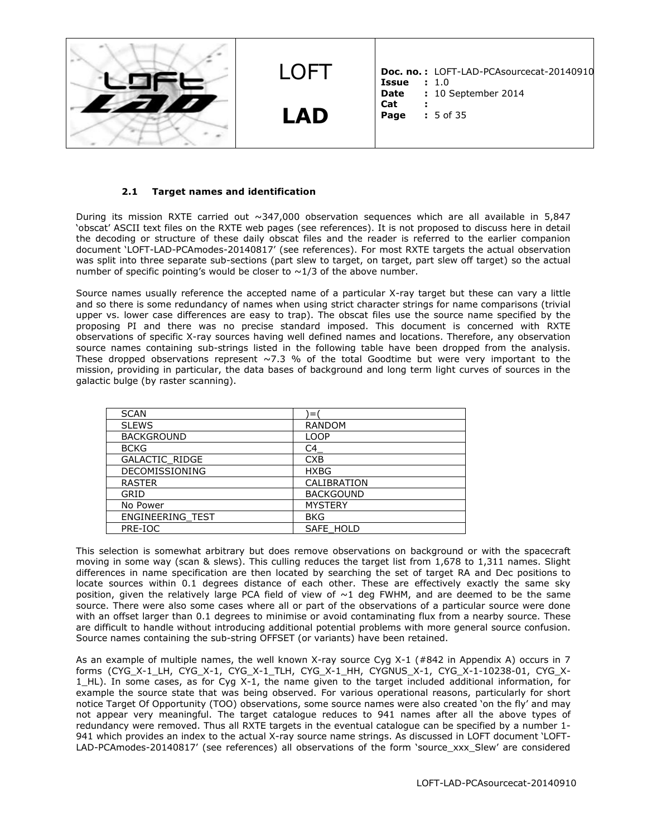

#### **2.1 Target names and identification**

During its mission RXTE carried out  $\sim$ 347,000 observation sequences which are all available in 5,847 'obscat' ASCII text files on the RXTE web pages (see references). It is not proposed to discuss here in detail the decoding or structure of these daily obscat files and the reader is referred to the earlier companion document 'LOFT-LAD-PCAmodes-20140817' (see references). For most RXTE targets the actual observation was split into three separate sub-sections (part slew to target, on target, part slew off target) so the actual number of specific pointing's would be closer to  $\sim$  1/3 of the above number.

Source names usually reference the accepted name of a particular X-ray target but these can vary a little and so there is some redundancy of names when using strict character strings for name comparisons (trivial upper vs. lower case differences are easy to trap). The obscat files use the source name specified by the proposing PI and there was no precise standard imposed. This document is concerned with RXTE observations of specific X-ray sources having well defined names and locations. Therefore, any observation source names containing sub-strings listed in the following table have been dropped from the analysis. These dropped observations represent  $\sim$  7.3 % of the total Goodtime but were very important to the mission, providing in particular, the data bases of background and long term light curves of sources in the galactic bulge (by raster scanning).

| <b>SCAN</b>           |                  |
|-----------------------|------------------|
| <b>SLEWS</b>          | <b>RANDOM</b>    |
| <b>BACKGROUND</b>     | <b>LOOP</b>      |
| <b>BCKG</b>           | C4               |
| <b>GALACTIC RIDGE</b> | <b>CXB</b>       |
| <b>DECOMISSIONING</b> | <b>HXBG</b>      |
| <b>RASTER</b>         | CALIBRATION      |
| GRID                  | <b>BACKGOUND</b> |
| No Power              | <b>MYSTERY</b>   |
| ENGINEERING TEST      | <b>BKG</b>       |
| PRE-IOC               | SAFE HOLD        |

This selection is somewhat arbitrary but does remove observations on background or with the spacecraft moving in some way (scan & slews). This culling reduces the target list from 1,678 to 1,311 names. Slight differences in name specification are then located by searching the set of target RA and Dec positions to locate sources within 0.1 degrees distance of each other. These are effectively exactly the same sky position, given the relatively large PCA field of view of  $\sim$ 1 deg FWHM, and are deemed to be the same source. There were also some cases where all or part of the observations of a particular source were done with an offset larger than 0.1 degrees to minimise or avoid contaminating flux from a nearby source. These are difficult to handle without introducing additional potential problems with more general source confusion. Source names containing the sub-string OFFSET (or variants) have been retained.

As an example of multiple names, the well known X-ray source Cyg X-1 (#842 in Appendix A) occurs in 7 forms (CYG\_X-1\_LH, CYG\_X-1, CYG\_X-1\_TLH, CYG\_X-1\_HH, CYGNUS\_X-1, CYG\_X-1-10238-01, CYG\_X-1\_HL). In some cases, as for Cyg X-1, the name given to the target included additional information, for example the source state that was being observed. For various operational reasons, particularly for short notice Target Of Opportunity (TOO) observations, some source names were also created 'on the fly' and may not appear very meaningful. The target catalogue reduces to 941 names after all the above types of redundancy were removed. Thus all RXTE targets in the eventual catalogue can be specified by a number 1- 941 which provides an index to the actual X-ray source name strings. As discussed in LOFT document 'LOFT-LAD-PCAmodes-20140817' (see references) all observations of the form 'source xxx Slew' are considered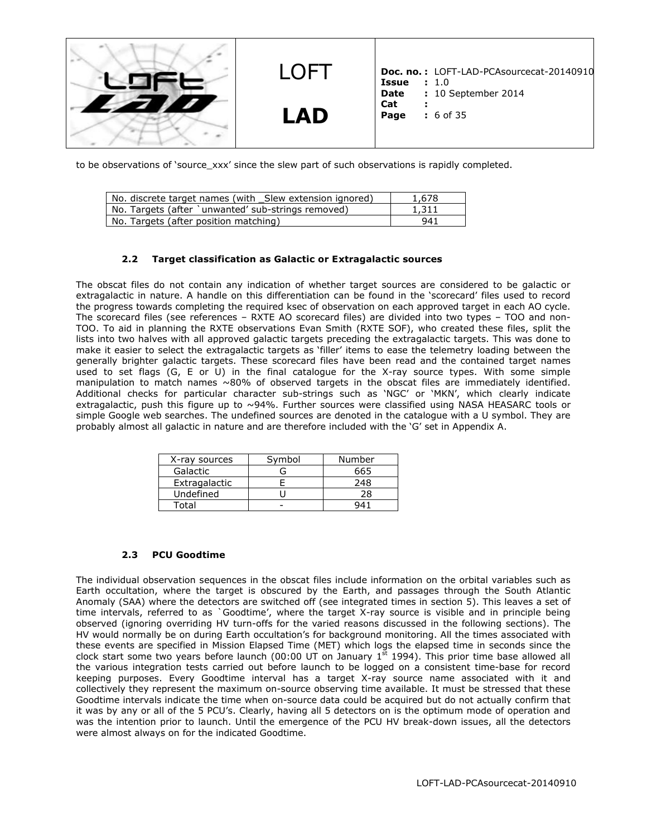

to be observations of 'source\_xxx' since the slew part of such observations is rapidly completed.

| No. discrete target names (with _Slew extension ignored) | 1,678 |
|----------------------------------------------------------|-------|
| No. Targets (after `unwanted' sub-strings removed)       | 1,311 |
| No. Targets (after position matching)                    | 941   |

#### **2.2 Target classification as Galactic or Extragalactic sources**

The obscat files do not contain any indication of whether target sources are considered to be galactic or extragalactic in nature. A handle on this differentiation can be found in the 'scorecard' files used to record the progress towards completing the required ksec of observation on each approved target in each AO cycle. The scorecard files (see references – RXTE AO scorecard files) are divided into two types – TOO and non-TOO. To aid in planning the RXTE observations Evan Smith (RXTE SOF), who created these files, split the lists into two halves with all approved galactic targets preceding the extragalactic targets. This was done to make it easier to select the extragalactic targets as 'filler' items to ease the telemetry loading between the generally brighter galactic targets. These scorecard files have been read and the contained target names used to set flags (G, E or U) in the final catalogue for the X-ray source types. With some simple manipulation to match names ~80% of observed targets in the obscat files are immediately identified. Additional checks for particular character sub-strings such as 'NGC' or 'MKN', which clearly indicate extragalactic, push this figure up to ~94%. Further sources were classified using NASA HEASARC tools or simple Google web searches. The undefined sources are denoted in the catalogue with a U symbol. They are probably almost all galactic in nature and are therefore included with the 'G' set in Appendix A.

| X-ray sources | Symbol | Number |
|---------------|--------|--------|
| Galactic      |        | 665    |
| Extragalactic |        | 248    |
| Undefined     |        | 28     |
| Total         |        |        |

#### **2.3 PCU Goodtime**

The individual observation sequences in the obscat files include information on the orbital variables such as Earth occultation, where the target is obscured by the Earth, and passages through the South Atlantic Anomaly (SAA) where the detectors are switched off (see integrated times in section 5). This leaves a set of time intervals, referred to as `Goodtime', where the target X-ray source is visible and in principle being observed (ignoring overriding HV turn-offs for the varied reasons discussed in the following sections). The HV would normally be on during Earth occultation's for background monitoring. All the times associated with these events are specified in Mission Elapsed Time (MET) which logs the elapsed time in seconds since the clock start some two years before launch (00:00 UT on January  $1^{st}$  1994). This prior time base allowed all the various integration tests carried out before launch to be logged on a consistent time-base for record keeping purposes. Every Goodtime interval has a target X-ray source name associated with it and collectively they represent the maximum on-source observing time available. It must be stressed that these Goodtime intervals indicate the time when on-source data could be acquired but do not actually confirm that it was by any or all of the 5 PCU's. Clearly, having all 5 detectors on is the optimum mode of operation and was the intention prior to launch. Until the emergence of the PCU HV break-down issues, all the detectors were almost always on for the indicated Goodtime.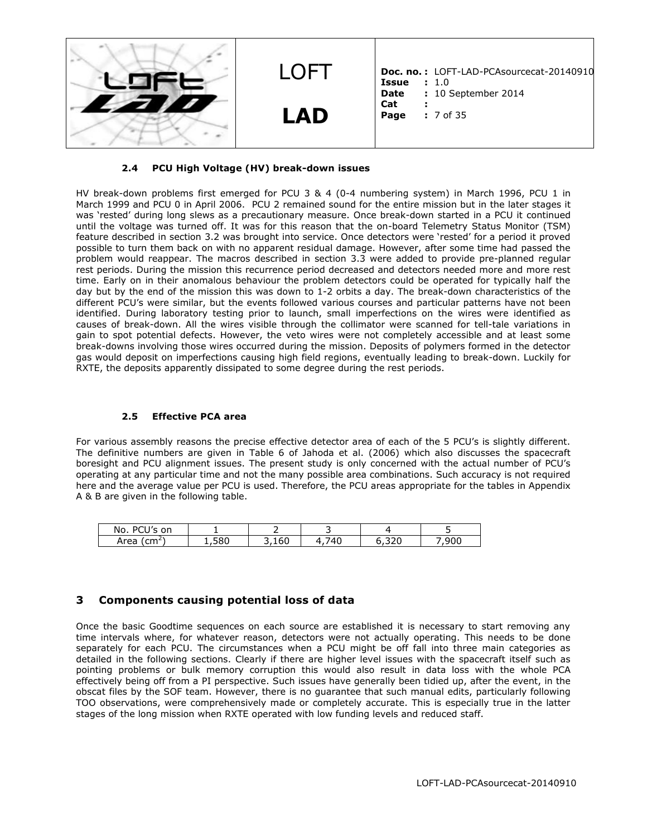

#### **2.4 PCU High Voltage (HV) break-down issues**

HV break-down problems first emerged for PCU 3 & 4 (0-4 numbering system) in March 1996, PCU 1 in March 1999 and PCU 0 in April 2006. PCU 2 remained sound for the entire mission but in the later stages it was 'rested' during long slews as a precautionary measure. Once break-down started in a PCU it continued until the voltage was turned off. It was for this reason that the on-board Telemetry Status Monitor (TSM) feature described in section 3.2 was brought into service. Once detectors were 'rested' for a period it proved possible to turn them back on with no apparent residual damage. However, after some time had passed the problem would reappear. The macros described in section 3.3 were added to provide pre-planned regular rest periods. During the mission this recurrence period decreased and detectors needed more and more rest time. Early on in their anomalous behaviour the problem detectors could be operated for typically half the day but by the end of the mission this was down to 1-2 orbits a day. The break-down characteristics of the different PCU's were similar, but the events followed various courses and particular patterns have not been identified. During laboratory testing prior to launch, small imperfections on the wires were identified as causes of break-down. All the wires visible through the collimator were scanned for tell-tale variations in gain to spot potential defects. However, the veto wires were not completely accessible and at least some break-downs involving those wires occurred during the mission. Deposits of polymers formed in the detector gas would deposit on imperfections causing high field regions, eventually leading to break-down. Luckily for RXTE, the deposits apparently dissipated to some degree during the rest periods.

#### **2.5 Effective PCA area**

For various assembly reasons the precise effective detector area of each of the 5 PCU's is slightly different. The definitive numbers are given in Table 6 of Jahoda et al. (2006) which also discusses the spacecraft boresight and PCU alignment issues. The present study is only concerned with the actual number of PCU's operating at any particular time and not the many possible area combinations. Such accuracy is not required here and the average value per PCU is used. Therefore, the PCU areas appropriate for the tables in Appendix A & B are given in the following table.

| DCIU<br>on<br>No.    |   |                 |               |                            |
|----------------------|---|-----------------|---------------|----------------------------|
| $\sim$<br>Area<br>◡᠁ | - | - -<br>160<br>- | $\sim$ $\sim$ | $\sim$ $\sim$ $\sim$<br>u۱ |

### **3 Components causing potential loss of data**

Once the basic Goodtime sequences on each source are established it is necessary to start removing any time intervals where, for whatever reason, detectors were not actually operating. This needs to be done separately for each PCU. The circumstances when a PCU might be off fall into three main categories as detailed in the following sections. Clearly if there are higher level issues with the spacecraft itself such as pointing problems or bulk memory corruption this would also result in data loss with the whole PCA effectively being off from a PI perspective. Such issues have generally been tidied up, after the event, in the obscat files by the SOF team. However, there is no guarantee that such manual edits, particularly following TOO observations, were comprehensively made or completely accurate. This is especially true in the latter stages of the long mission when RXTE operated with low funding levels and reduced staff.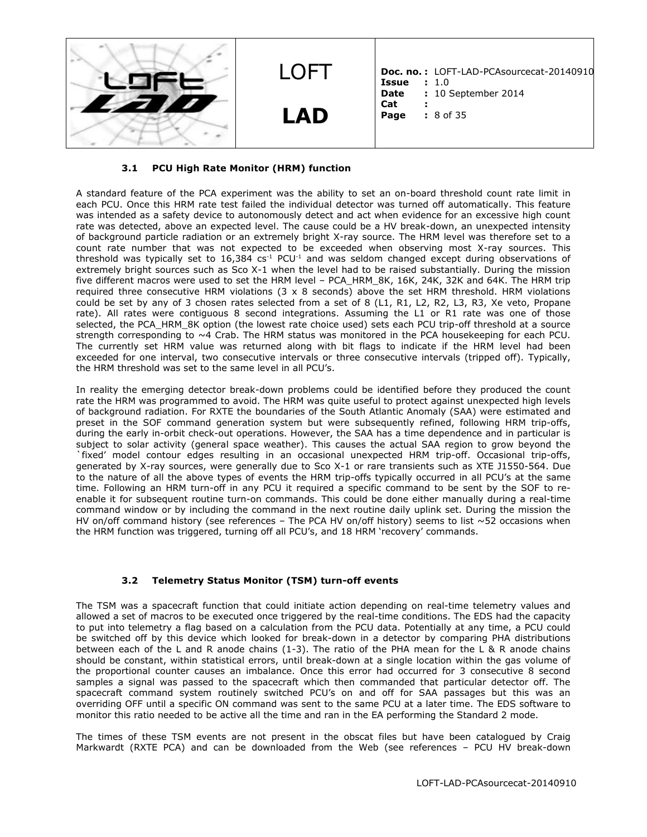

#### **3.1 PCU High Rate Monitor (HRM) function**

A standard feature of the PCA experiment was the ability to set an on-board threshold count rate limit in each PCU. Once this HRM rate test failed the individual detector was turned off automatically. This feature was intended as a safety device to autonomously detect and act when evidence for an excessive high count rate was detected, above an expected level. The cause could be a HV break-down, an unexpected intensity of background particle radiation or an extremely bright X-ray source. The HRM level was therefore set to a count rate number that was not expected to be exceeded when observing most X-ray sources. This threshold was typically set to 16,384 cs<sup>-1</sup> PCU<sup>-1</sup> and was seldom changed except during observations of extremely bright sources such as Sco X-1 when the level had to be raised substantially. During the mission five different macros were used to set the HRM level - PCA\_HRM\_8K, 16K, 24K, 32K and 64K. The HRM trip required three consecutive HRM violations (3 x 8 seconds) above the set HRM threshold. HRM violations could be set by any of 3 chosen rates selected from a set of 8 (L1, R1, L2, R2, L3, R3, Xe veto, Propane rate). All rates were contiguous 8 second integrations. Assuming the L1 or R1 rate was one of those selected, the PCA\_HRM\_8K option (the lowest rate choice used) sets each PCU trip-off threshold at a source strength corresponding to ~4 Crab. The HRM status was monitored in the PCA housekeeping for each PCU. The currently set HRM value was returned along with bit flags to indicate if the HRM level had been exceeded for one interval, two consecutive intervals or three consecutive intervals (tripped off). Typically, the HRM threshold was set to the same level in all PCU's.

In reality the emerging detector break-down problems could be identified before they produced the count rate the HRM was programmed to avoid. The HRM was quite useful to protect against unexpected high levels of background radiation. For RXTE the boundaries of the South Atlantic Anomaly (SAA) were estimated and preset in the SOF command generation system but were subsequently refined, following HRM trip-offs, during the early in-orbit check-out operations. However, the SAA has a time dependence and in particular is subject to solar activity (general space weather). This causes the actual SAA region to grow beyond the `fixed' model contour edges resulting in an occasional unexpected HRM trip-off. Occasional trip-offs, generated by X-ray sources, were generally due to Sco X-1 or rare transients such as XTE J1550-564. Due to the nature of all the above types of events the HRM trip-offs typically occurred in all PCU's at the same time. Following an HRM turn-off in any PCU it required a specific command to be sent by the SOF to reenable it for subsequent routine turn-on commands. This could be done either manually during a real-time command window or by including the command in the next routine daily uplink set. During the mission the HV on/off command history (see references – The PCA HV on/off history) seems to list  $\sim$  52 occasions when the HRM function was triggered, turning off all PCU's, and 18 HRM 'recovery' commands.

#### **3.2 Telemetry Status Monitor (TSM) turn-off events**

The TSM was a spacecraft function that could initiate action depending on real-time telemetry values and allowed a set of macros to be executed once triggered by the real-time conditions. The EDS had the capacity to put into telemetry a flag based on a calculation from the PCU data. Potentially at any time, a PCU could be switched off by this device which looked for break-down in a detector by comparing PHA distributions between each of the L and R anode chains (1-3). The ratio of the PHA mean for the L & R anode chains should be constant, within statistical errors, until break-down at a single location within the gas volume of the proportional counter causes an imbalance. Once this error had occurred for 3 consecutive 8 second samples a signal was passed to the spacecraft which then commanded that particular detector off. The spacecraft command system routinely switched PCU's on and off for SAA passages but this was an overriding OFF until a specific ON command was sent to the same PCU at a later time. The EDS software to monitor this ratio needed to be active all the time and ran in the EA performing the Standard 2 mode.

The times of these TSM events are not present in the obscat files but have been catalogued by Craig Markwardt (RXTE PCA) and can be downloaded from the Web (see references – PCU HV break-down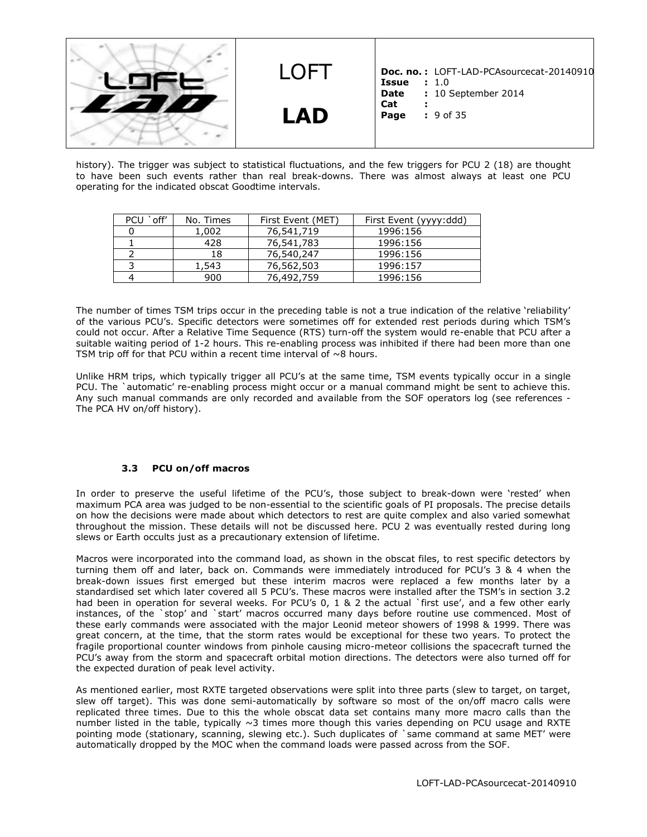

history). The trigger was subject to statistical fluctuations, and the few triggers for PCU 2 (18) are thought to have been such events rather than real break-downs. There was almost always at least one PCU operating for the indicated obscat Goodtime intervals.

| off'<br>PCU | No. Times | First Event (MET) | First Event (yyyy:ddd) |
|-------------|-----------|-------------------|------------------------|
|             | 1,002     | 76,541,719        | 1996:156               |
|             | 428       | 76,541,783        | 1996:156               |
|             | 18        | 76,540,247        | 1996:156               |
|             | 1,543     | 76,562,503        | 1996:157               |
|             | 900       | 76,492,759        | 1996:156               |

The number of times TSM trips occur in the preceding table is not a true indication of the relative 'reliability' of the various PCU's. Specific detectors were sometimes off for extended rest periods during which TSM's could not occur. After a Relative Time Sequence (RTS) turn-off the system would re-enable that PCU after a suitable waiting period of 1-2 hours. This re-enabling process was inhibited if there had been more than one TSM trip off for that PCU within a recent time interval of  $\sim$ 8 hours.

Unlike HRM trips, which typically trigger all PCU's at the same time, TSM events typically occur in a single PCU. The `automatic' re-enabling process might occur or a manual command might be sent to achieve this. Any such manual commands are only recorded and available from the SOF operators log (see references - The PCA HV on/off history).

#### **3.3 PCU on/off macros**

In order to preserve the useful lifetime of the PCU's, those subject to break-down were 'rested' when maximum PCA area was judged to be non-essential to the scientific goals of PI proposals. The precise details on how the decisions were made about which detectors to rest are quite complex and also varied somewhat throughout the mission. These details will not be discussed here. PCU 2 was eventually rested during long slews or Earth occults just as a precautionary extension of lifetime.

Macros were incorporated into the command load, as shown in the obscat files, to rest specific detectors by turning them off and later, back on. Commands were immediately introduced for PCU's 3 & 4 when the break-down issues first emerged but these interim macros were replaced a few months later by a standardised set which later covered all 5 PCU's. These macros were installed after the TSM's in section 3.2 had been in operation for several weeks. For PCU's 0, 1 & 2 the actual `first use', and a few other early instances, of the `stop' and `start' macros occurred many days before routine use commenced. Most of these early commands were associated with the major Leonid meteor showers of 1998 & 1999. There was great concern, at the time, that the storm rates would be exceptional for these two years. To protect the fragile proportional counter windows from pinhole causing micro-meteor collisions the spacecraft turned the PCU's away from the storm and spacecraft orbital motion directions. The detectors were also turned off for the expected duration of peak level activity.

As mentioned earlier, most RXTE targeted observations were split into three parts (slew to target, on target, slew off target). This was done semi-automatically by software so most of the on/off macro calls were replicated three times. Due to this the whole obscat data set contains many more macro calls than the number listed in the table, typically ~3 times more though this varies depending on PCU usage and RXTE pointing mode (stationary, scanning, slewing etc.). Such duplicates of `same command at same MET' were automatically dropped by the MOC when the command loads were passed across from the SOF.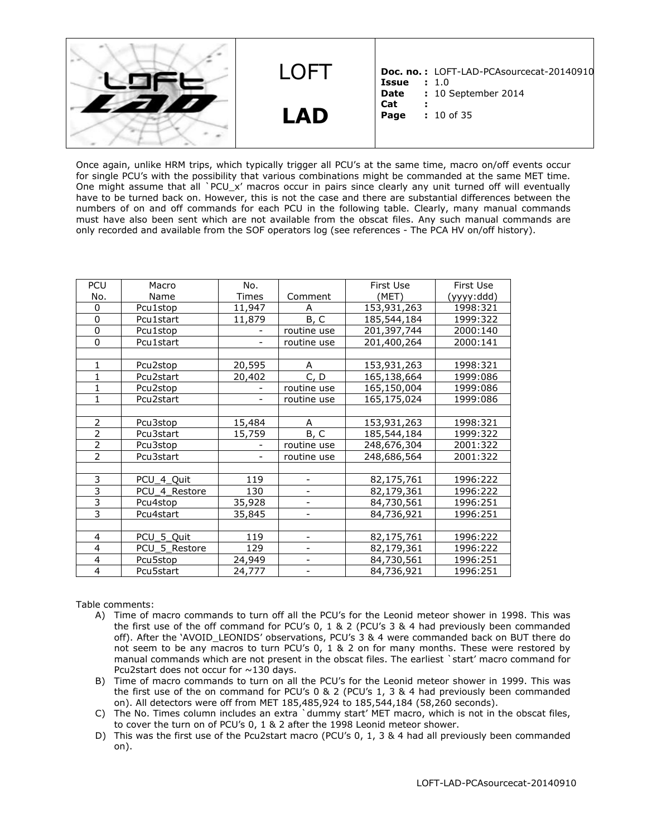LOFT **LAD Doc. no. :** LOFT-LAD-PCAsourcecat-20140910 **Issue** : 1.0<br>**Date** : 10 % **: 10 September 2014 Cat : Page :** 10 of 35

Once again, unlike HRM trips, which typically trigger all PCU's at the same time, macro on/off events occur for single PCU's with the possibility that various combinations might be commanded at the same MET time. One might assume that all `PCU\_x' macros occur in pairs since clearly any unit turned off will eventually have to be turned back on. However, this is not the case and there are substantial differences between the numbers of on and off commands for each PCU in the following table. Clearly, many manual commands must have also been sent which are not available from the obscat files. Any such manual commands are only recorded and available from the SOF operators log (see references - The PCA HV on/off history).

| PCU                      | Macro                 | No.                      |             | First Use   | First Use  |
|--------------------------|-----------------------|--------------------------|-------------|-------------|------------|
| No.                      | Name                  | Times                    | Comment     | (MET)       | (yyyy:ddd) |
| $\Omega$                 | Pcu1stop              | 11,947                   | A           | 153,931,263 | 1998:321   |
| 0                        | Pcu1start             | 11,879                   | B, C        | 185,544,184 | 1999:322   |
| $\overline{0}$           | Pcu1stop              |                          | routine use | 201,397,744 | 2000:140   |
| $\Omega$                 | Pcu1start             |                          | routine use | 201,400,264 | 2000:141   |
|                          |                       |                          |             |             |            |
| 1                        | Pcu <sub>2</sub> stop | 20,595                   | A           | 153,931,263 | 1998:321   |
| 1                        | Pcu2start             | 20,402                   | C, D        | 165,138,664 | 1999:086   |
| 1                        | Pcu2stop              |                          | routine use | 165,150,004 | 1999:086   |
| 1                        | Pcu2start             |                          | routine use | 165,175,024 | 1999:086   |
|                          |                       |                          |             |             |            |
| $\overline{2}$           | Pcu3stop              | 15,484                   | A           | 153,931,263 | 1998:321   |
| $\overline{2}$           | Pcu3start             | 15,759                   | B, C        | 185,544,184 | 1999:322   |
| $\overline{2}$           | Pcu3stop              |                          | routine use | 248,676,304 | 2001:322   |
| $\overline{\phantom{a}}$ | Pcu3start             | $\overline{\phantom{a}}$ | routine use | 248,686,564 | 2001:322   |
|                          |                       |                          |             |             |            |
| 3                        | PCU 4 Quit            | 119                      |             | 82,175,761  | 1996:222   |
| 3                        | PCU 4 Restore         | 130                      |             | 82,179,361  | 1996:222   |
| 3                        | Pcu4stop              | 35,928                   |             | 84,730,561  | 1996:251   |
| $\overline{3}$           | Pcu4start             | 35,845                   |             | 84,736,921  | 1996:251   |
|                          |                       |                          |             |             |            |
| 4                        | PCU 5 Quit            | 119                      |             | 82,175,761  | 1996:222   |
| 4                        | PCU 5 Restore         | 129                      |             | 82,179,361  | 1996:222   |
| 4                        | Pcu5stop              | 24,949                   |             | 84,730,561  | 1996:251   |
| 4                        | Pcu5start             | 24,777                   |             | 84,736,921  | 1996:251   |

Table comments:

- A) Time of macro commands to turn off all the PCU's for the Leonid meteor shower in 1998. This was the first use of the off command for PCU's 0, 1 & 2 (PCU's 3 & 4 had previously been commanded off). After the 'AVOID\_LEONIDS' observations, PCU's 3 & 4 were commanded back on BUT there do not seem to be any macros to turn PCU's 0, 1 & 2 on for many months. These were restored by manual commands which are not present in the obscat files. The earliest `start' macro command for Pcu2start does not occur for  $\sim$ 130 days.
- B) Time of macro commands to turn on all the PCU's for the Leonid meteor shower in 1999. This was the first use of the on command for PCU's 0 & 2 (PCU's 1, 3 & 4 had previously been commanded on). All detectors were off from MET 185,485,924 to 185,544,184 (58,260 seconds).
- C) The No. Times column includes an extra `dummy start' MET macro, which is not in the obscat files, to cover the turn on of PCU's 0, 1 & 2 after the 1998 Leonid meteor shower.
- D) This was the first use of the Pcu2start macro (PCU's 0, 1, 3 & 4 had all previously been commanded on).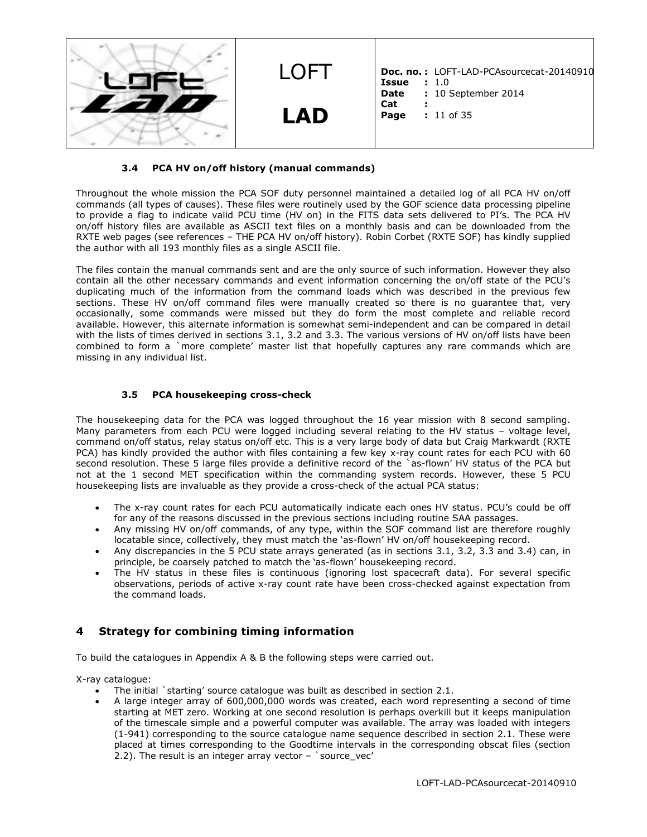

#### **3.4 PCA HV on/off history (manual commands)**

Throughout the whole mission the PCA SOF duty personnel maintained a detailed log of all PCA HV on/off commands (all types of causes). These files were routinely used by the GOF science data processing pipeline to provide a flag to indicate valid PCU time (HV on) in the FITS data sets delivered to PI's. The PCA HV on/off history files are available as ASCII text files on a monthly basis and can be downloaded from the RXTE web pages (see references – THE PCA HV on/off history). Robin Corbet (RXTE SOF) has kindly supplied the author with all 193 monthly files as a single ASCII file.

The files contain the manual commands sent and are the only source of such information. However they also contain all the other necessary commands and event information concerning the on/off state of the PCU's duplicating much of the information from the command loads which was described in the previous few sections. These HV on/off command files were manually created so there is no guarantee that, very occasionally, some commands were missed but they do form the most complete and reliable record available. However, this alternate information is somewhat semi-independent and can be compared in detail with the lists of times derived in sections 3.1, 3.2 and 3.3. The various versions of HV on/off lists have been combined to form a `more complete' master list that hopefully captures any rare commands which are missing in any individual list.

#### **3.5 PCA housekeeping cross-check**

The housekeeping data for the PCA was logged throughout the 16 year mission with 8 second sampling. Many parameters from each PCU were logged including several relating to the HV status – voltage level, command on/off status, relay status on/off etc. This is a very large body of data but Craig Markwardt (RXTE PCA) has kindly provided the author with files containing a few key x-ray count rates for each PCU with 60 second resolution. These 5 large files provide a definitive record of the `as-flown' HV status of the PCA but not at the 1 second MET specification within the commanding system records. However, these 5 PCU housekeeping lists are invaluable as they provide a cross-check of the actual PCA status:

- The x-ray count rates for each PCU automatically indicate each ones HV status. PCU's could be off for any of the reasons discussed in the previous sections including routine SAA passages.
- Any missing HV on/off commands, of any type, within the SOF command list are therefore roughly locatable since, collectively, they must match the 'as-flown' HV on/off housekeeping record.
- Any discrepancies in the 5 PCU state arrays generated (as in sections 3.1, 3.2, 3.3 and 3.4) can, in principle, be coarsely patched to match the 'as-flown' housekeeping record.
- The HV status in these files is continuous (ignoring lost spacecraft data). For several specific observations, periods of active x-ray count rate have been cross-checked against expectation from the command loads.

### **4 Strategy for combining timing information**

To build the catalogues in Appendix A & B the following steps were carried out.

X-ray catalogue:

- The initial `starting' source catalogue was built as described in section 2.1.
- A large integer array of 600,000,000 words was created, each word representing a second of time starting at MET zero. Working at one second resolution is perhaps overkill but it keeps manipulation of the timescale simple and a powerful computer was available. The array was loaded with integers (1-941) corresponding to the source catalogue name sequence described in section 2.1. These were placed at times corresponding to the Goodtime intervals in the corresponding obscat files (section 2.2). The result is an integer array vector  $-$  `source\_vec'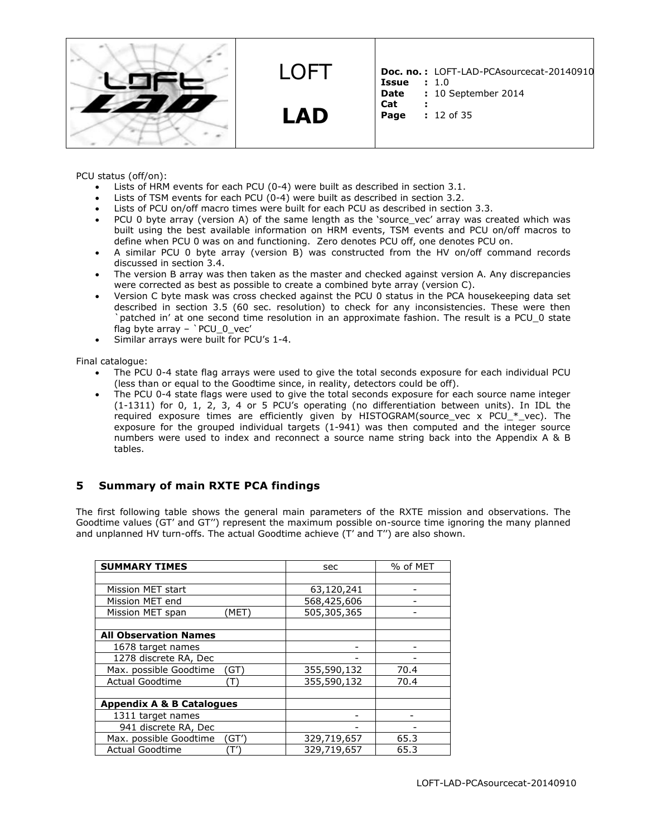

**LAD**

LOFT

**Doc. no. :** LOFT-LAD-PCAsourcecat-20140910 **Issue** : 1.0<br>**Date** : 10 % **: 10 September 2014** 

- **Cat :**
- **Page :** 12 of 35

PCU status (off/on):

- Lists of HRM events for each PCU (0-4) were built as described in section 3.1.
- Lists of TSM events for each PCU (0-4) were built as described in section 3.2.
- Lists of PCU on/off macro times were built for each PCU as described in section 3.3.
- PCU 0 byte array (version A) of the same length as the 'source\_vec' array was created which was built using the best available information on HRM events, TSM events and PCU on/off macros to define when PCU 0 was on and functioning. Zero denotes PCU off, one denotes PCU on.
- A similar PCU 0 byte array (version B) was constructed from the HV on/off command records discussed in section 3.4.
- The version B array was then taken as the master and checked against version A. Any discrepancies were corrected as best as possible to create a combined byte array (version C).
- Version C byte mask was cross checked against the PCU 0 status in the PCA housekeeping data set described in section 3.5 (60 sec. resolution) to check for any inconsistencies. These were then `patched in' at one second time resolution in an approximate fashion. The result is a PCU\_0 state flag byte array – `PCU\_0\_vec'
- Similar arrays were built for PCU's 1-4.

Final catalogue:

- The PCU 0-4 state flag arrays were used to give the total seconds exposure for each individual PCU (less than or equal to the Goodtime since, in reality, detectors could be off).
- The PCU 0-4 state flags were used to give the total seconds exposure for each source name integer (1-1311) for 0, 1, 2, 3, 4 or 5 PCU's operating (no differentiation between units). In IDL the required exposure times are efficiently given by HISTOGRAM(source vec x PCU  $*$  vec). The exposure for the grouped individual targets (1-941) was then computed and the integer source numbers were used to index and reconnect a source name string back into the Appendix A & B tables.

# **5 Summary of main RXTE PCA findings**

The first following table shows the general main parameters of the RXTE mission and observations. The Goodtime values (GT' and GT'') represent the maximum possible on-source time ignoring the many planned and unplanned HV turn-offs. The actual Goodtime achieve (T' and T'') are also shown.

| <b>SUMMARY TIMES</b>                 | sec         | % of MET |
|--------------------------------------|-------------|----------|
|                                      |             |          |
| Mission MET start                    | 63,120,241  |          |
| Mission MET end                      | 568,425,606 |          |
| Mission MET span<br>'MET)            | 505,305,365 |          |
|                                      |             |          |
| <b>All Observation Names</b>         |             |          |
| 1678 target names                    |             |          |
| 1278 discrete RA, Dec                |             |          |
| Max. possible Goodtime<br>(GT)       | 355,590,132 | 70.4     |
| <b>Actual Goodtime</b><br>ſΤ         | 355,590,132 | 70.4     |
|                                      |             |          |
| <b>Appendix A &amp; B Catalogues</b> |             |          |
| 1311 target names                    |             |          |
| 941 discrete RA, Dec                 |             |          |
| Max. possible Goodtime<br>(GT')      | 329,719,657 | 65.3     |
| <b>Actual Goodtime</b>               | 329,719,657 | 65.3     |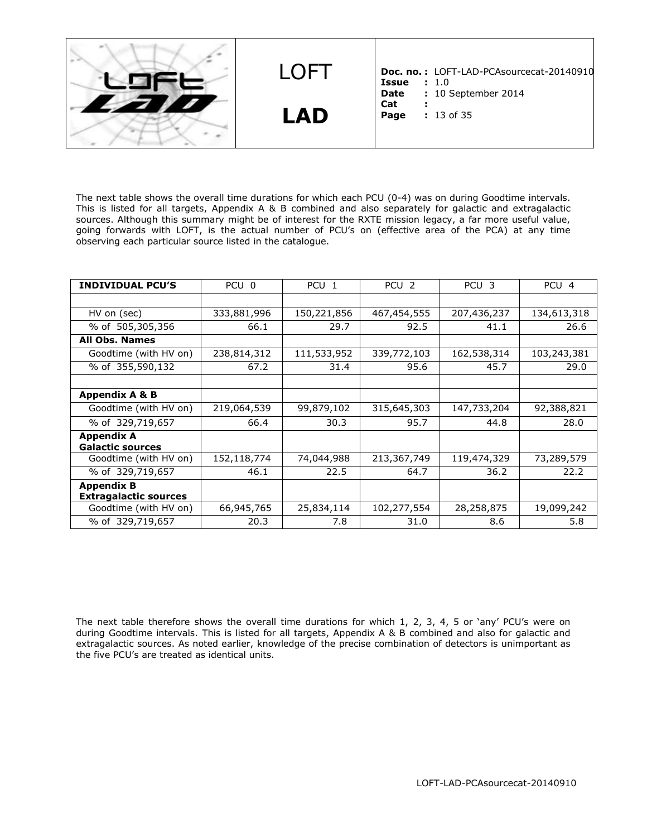LOFT **LAD Doc. no. :** LOFT-LAD-PCAsourcecat-20140910 **Issue :** 1.0<br>**Date :** 10 **9 : 10 September 2014 Cat : Page :** 13 of 35

The next table shows the overall time durations for which each PCU (0-4) was on during Goodtime intervals. This is listed for all targets, Appendix A & B combined and also separately for galactic and extragalactic sources. Although this summary might be of interest for the RXTE mission legacy, a far more useful value, going forwards with LOFT, is the actual number of PCU's on (effective area of the PCA) at any time observing each particular source listed in the catalogue.

| <b>INDIVIDUAL PCU'S</b>                           | PCU 0       | PCU <sub>1</sub> | PCU <sub>2</sub> | PCU <sub>3</sub> | PCU <sub>4</sub> |
|---------------------------------------------------|-------------|------------------|------------------|------------------|------------------|
|                                                   |             |                  |                  |                  |                  |
| HV on (sec)                                       | 333,881,996 | 150,221,856      | 467,454,555      | 207,436,237      | 134,613,318      |
| % of 505,305,356                                  | 66.1        | 29.7             | 92.5             | 41.1             | 26.6             |
| <b>All Obs. Names</b>                             |             |                  |                  |                  |                  |
| Goodtime (with HV on)                             | 238,814,312 | 111,533,952      | 339,772,103      | 162,538,314      | 103,243,381      |
| % of 355,590,132                                  | 67.2        | 31.4             | 95.6             | 45.7             | 29.0             |
|                                                   |             |                  |                  |                  |                  |
| <b>Appendix A &amp; B</b>                         |             |                  |                  |                  |                  |
| Goodtime (with HV on)                             | 219,064,539 | 99,879,102       | 315,645,303      | 147,733,204      | 92,388,821       |
| % of 329,719,657                                  | 66.4        | 30.3             | 95.7             | 44.8             | 28.0             |
| <b>Appendix A</b><br><b>Galactic sources</b>      |             |                  |                  |                  |                  |
| Goodtime (with HV on)                             | 152,118,774 | 74,044,988       | 213,367,749      | 119,474,329      | 73,289,579       |
| % of 329,719,657                                  | 46.1        | 22.5             | 64.7             | 36.2             | 22.2             |
| <b>Appendix B</b><br><b>Extragalactic sources</b> |             |                  |                  |                  |                  |
| Goodtime (with HV on)                             | 66,945,765  | 25,834,114       | 102,277,554      | 28,258,875       | 19,099,242       |
| % of 329,719,657                                  | 20.3        | 7.8              | 31.0             | 8.6              | 5.8              |

The next table therefore shows the overall time durations for which 1, 2, 3, 4, 5 or 'any' PCU's were on during Goodtime intervals. This is listed for all targets, Appendix A & B combined and also for galactic and extragalactic sources. As noted earlier, knowledge of the precise combination of detectors is unimportant as the five PCU's are treated as identical units.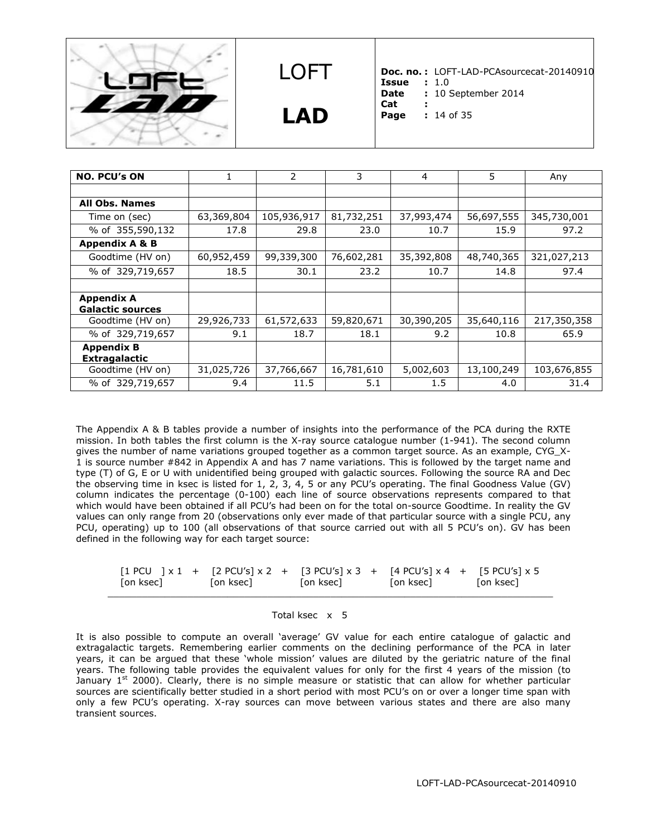



**LAD**

**Doc. no. :** LOFT-LAD-PCAsourcecat-20140910

- **Issue** : 1.0<br>**Date** : 10 9 **Date :** 10 September 2014
- **Cat :**
- **Page :** 14 of 35

| <b>NO. PCU's ON</b>       |            | 2           | 3          | $\overline{4}$ | 5          | Any         |
|---------------------------|------------|-------------|------------|----------------|------------|-------------|
|                           |            |             |            |                |            |             |
| <b>All Obs. Names</b>     |            |             |            |                |            |             |
| Time on (sec)             | 63,369,804 | 105,936,917 | 81,732,251 | 37,993,474     | 56,697,555 | 345,730,001 |
| % of 355,590,132          | 17.8       | 29.8        | 23.0       | 10.7           | 15.9       | 97.2        |
| <b>Appendix A &amp; B</b> |            |             |            |                |            |             |
| Goodtime (HV on)          | 60,952,459 | 99,339,300  | 76,602,281 | 35,392,808     | 48,740,365 | 321,027,213 |
| % of 329,719,657          | 18.5       | 30.1        | 23.2       | 10.7           | 14.8       | 97.4        |
|                           |            |             |            |                |            |             |
| <b>Appendix A</b>         |            |             |            |                |            |             |
| <b>Galactic sources</b>   |            |             |            |                |            |             |
| Goodtime (HV on)          | 29,926,733 | 61,572,633  | 59,820,671 | 30,390,205     | 35,640,116 | 217,350,358 |
| % of 329,719,657          | 9.1        | 18.7        | 18.1       | 9.2            | 10.8       | 65.9        |
| <b>Appendix B</b>         |            |             |            |                |            |             |
| <b>Extragalactic</b>      |            |             |            |                |            |             |
| Goodtime (HV on)          | 31,025,726 | 37,766,667  | 16,781,610 | 5,002,603      | 13,100,249 | 103,676,855 |
| % of 329,719,657          | 9.4        | 11.5        | 5.1        | 1.5            | 4.0        | 31.4        |

The Appendix A & B tables provide a number of insights into the performance of the PCA during the RXTE mission. In both tables the first column is the X-ray source catalogue number (1-941). The second column gives the number of name variations grouped together as a common target source. As an example, CYG\_X-1 is source number #842 in Appendix A and has 7 name variations. This is followed by the target name and type (T) of G, E or U with unidentified being grouped with galactic sources. Following the source RA and Dec the observing time in ksec is listed for 1, 2, 3, 4, 5 or any PCU's operating. The final Goodness Value (GV) column indicates the percentage (0-100) each line of source observations represents compared to that which would have been obtained if all PCU's had been on for the total on-source Goodtime. In reality the GV values can only range from 20 (observations only ever made of that particular source with a single PCU, any PCU, operating) up to 100 (all observations of that source carried out with all 5 PCU's on). GV has been defined in the following way for each target source:

|  | [on ksec] | $\lceil 1 \text{ PCU} \rceil \times 1 + \lceil 2 \text{ PCU's} \rceil \times 2 + \lceil 3 \text{ PCU's} \rceil \times 3 + \lceil 4 \text{ PCU's} \rceil \times 4 + \lceil 5 \text{ PCU's} \rceil \times 5$<br>[on ksec] | Ton ksec1 | [on ksec] | [on ksec] |
|--|-----------|-------------------------------------------------------------------------------------------------------------------------------------------------------------------------------------------------------------------------|-----------|-----------|-----------|
|--|-----------|-------------------------------------------------------------------------------------------------------------------------------------------------------------------------------------------------------------------------|-----------|-----------|-----------|

#### Total ksec x 5

It is also possible to compute an overall 'average' GV value for each entire catalogue of galactic and extragalactic targets. Remembering earlier comments on the declining performance of the PCA in later years, it can be argued that these 'whole mission' values are diluted by the geriatric nature of the final years. The following table provides the equivalent values for only for the first 4 years of the mission (to January  $1<sup>st</sup>$  2000). Clearly, there is no simple measure or statistic that can allow for whether particular sources are scientifically better studied in a short period with most PCU's on or over a longer time span with only a few PCU's operating. X-ray sources can move between various states and there are also many transient sources.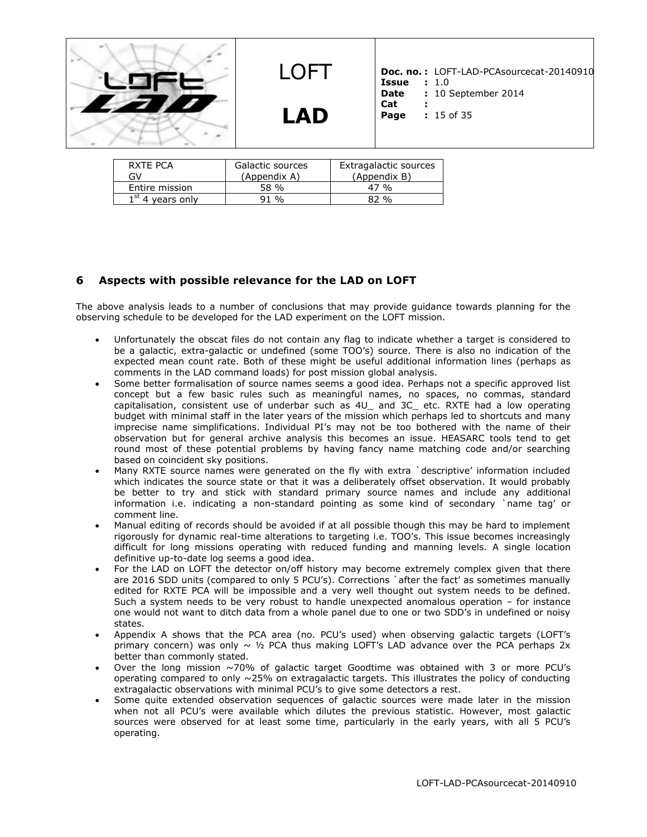

# **LAD**

**Doc. no. :** LOFT-LAD-PCAsourcecat-20140910 **Issue** : 1.0<br>**Date** : 10 % **: 10 September 2014 Cat :**

**Page :** 15 of 35

| RXTF PCA           | Galactic sources | Extragalactic sources |
|--------------------|------------------|-----------------------|
| GV                 | (Appendix A)     | (Appendix B)          |
| Entire mission     | 58 %             | 47 %                  |
| $1st$ 4 years only | 91 %             | $82\%$                |

# **6 Aspects with possible relevance for the LAD on LOFT**

The above analysis leads to a number of conclusions that may provide guidance towards planning for the observing schedule to be developed for the LAD experiment on the LOFT mission.

- Unfortunately the obscat files do not contain any flag to indicate whether a target is considered to be a galactic, extra-galactic or undefined (some TOO's) source. There is also no indication of the expected mean count rate. Both of these might be useful additional information lines (perhaps as comments in the LAD command loads) for post mission global analysis.
- Some better formalisation of source names seems a good idea. Perhaps not a specific approved list concept but a few basic rules such as meaningful names, no spaces, no commas, standard capitalisation, consistent use of underbar such as 4U\_ and 3C\_ etc. RXTE had a low operating budget with minimal staff in the later years of the mission which perhaps led to shortcuts and many imprecise name simplifications. Individual PI's may not be too bothered with the name of their observation but for general archive analysis this becomes an issue. HEASARC tools tend to get round most of these potential problems by having fancy name matching code and/or searching based on coincident sky positions.
- Many RXTE source names were generated on the fly with extra `descriptive' information included which indicates the source state or that it was a deliberately offset observation. It would probably be better to try and stick with standard primary source names and include any additional information i.e. indicating a non-standard pointing as some kind of secondary `name tag' or comment line.
- Manual editing of records should be avoided if at all possible though this may be hard to implement rigorously for dynamic real-time alterations to targeting i.e. TOO's. This issue becomes increasingly difficult for long missions operating with reduced funding and manning levels. A single location definitive up-to-date log seems a good idea.
- For the LAD on LOFT the detector on/off history may become extremely complex given that there are 2016 SDD units (compared to only 5 PCU's). Corrections `after the fact' as sometimes manually edited for RXTE PCA will be impossible and a very well thought out system needs to be defined. Such a system needs to be very robust to handle unexpected anomalous operation – for instance one would not want to ditch data from a whole panel due to one or two SDD's in undefined or noisy states.
- Appendix A shows that the PCA area (no. PCU's used) when observing galactic targets (LOFT's primary concern) was only  $\sim$  1/2 PCA thus making LOFT's LAD advance over the PCA perhaps 2x better than commonly stated.
- Over the long mission  $\sim$ 70% of galactic target Goodtime was obtained with 3 or more PCU's operating compared to only  $\sim$ 25% on extragalactic targets. This illustrates the policy of conducting extragalactic observations with minimal PCU's to give some detectors a rest.
- Some quite extended observation sequences of galactic sources were made later in the mission when not all PCU's were available which dilutes the previous statistic. However, most galactic sources were observed for at least some time, particularly in the early years, with all 5 PCU's operating.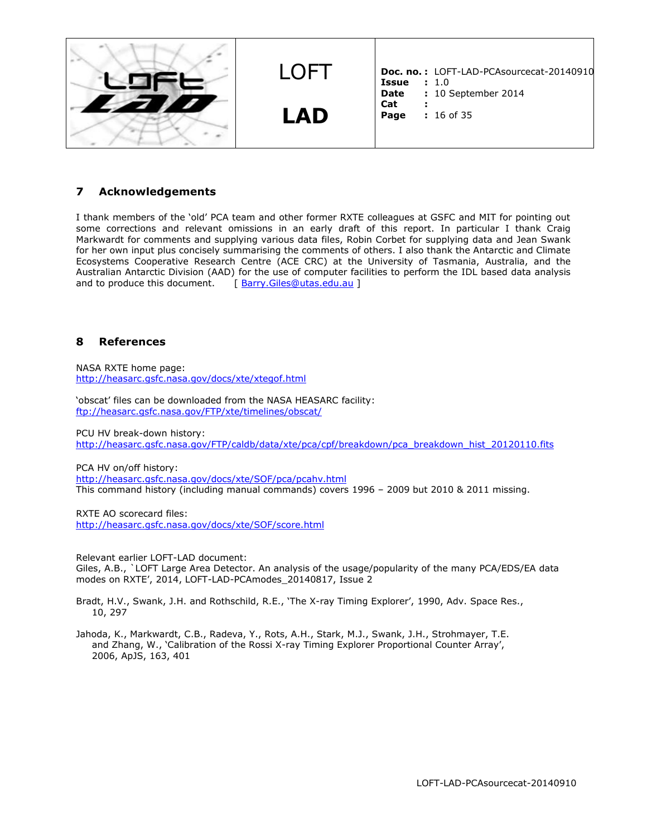

### **7 Acknowledgements**

I thank members of the 'old' PCA team and other former RXTE colleagues at GSFC and MIT for pointing out some corrections and relevant omissions in an early draft of this report. In particular I thank Craig Markwardt for comments and supplying various data files, Robin Corbet for supplying data and Jean Swank for her own input plus concisely summarising the comments of others. I also thank the Antarctic and Climate Ecosystems Cooperative Research Centre (ACE CRC) at the University of Tasmania, Australia, and the Australian Antarctic Division (AAD) for the use of computer facilities to perform the IDL based data analysis and to produce this document. [ [Barry.Giles@utas.edu.au](mailto:Barry.Giles@utas.edu.au) ]

#### **8 References**

NASA RXTE home page: <http://heasarc.gsfc.nasa.gov/docs/xte/xtegof.html>

'obscat' files can be downloaded from the NASA HEASARC facility: <ftp://heasarc.gsfc.nasa.gov/FTP/xte/timelines/obscat/>

PCU HV break-down history:

[http://heasarc.gsfc.nasa.gov/FTP/caldb/data/xte/pca/cpf/breakdown/pca\\_breakdown\\_hist\\_20120110.fits](http://heasarc.gsfc.nasa.gov/FTP/caldb/data/xte/pca/cpf/breakdown/pca_breakdown_hist_20120110.fits)

PCA HV on/off history:

<http://heasarc.gsfc.nasa.gov/docs/xte/SOF/pca/pcahv.html> This command history (including manual commands) covers 1996 – 2009 but 2010 & 2011 missing.

RXTE AO scorecard files: <http://heasarc.gsfc.nasa.gov/docs/xte/SOF/score.html>

Relevant earlier LOFT-LAD document: Giles, A.B., `LOFT Large Area Detector. An analysis of the usage/popularity of the many PCA/EDS/EA data modes on RXTE', 2014, LOFT-LAD-PCAmodes\_20140817, Issue 2

Bradt, H.V., Swank, J.H. and Rothschild, R.E., 'The X-ray Timing Explorer', 1990, Adv. Space Res., 10, 297

Jahoda, K., Markwardt, C.B., Radeva, Y., Rots, A.H., Stark, M.J., Swank, J.H., Strohmayer, T.E. and Zhang, W., 'Calibration of the Rossi X-ray Timing Explorer Proportional Counter Array', 2006, ApJS, 163, 401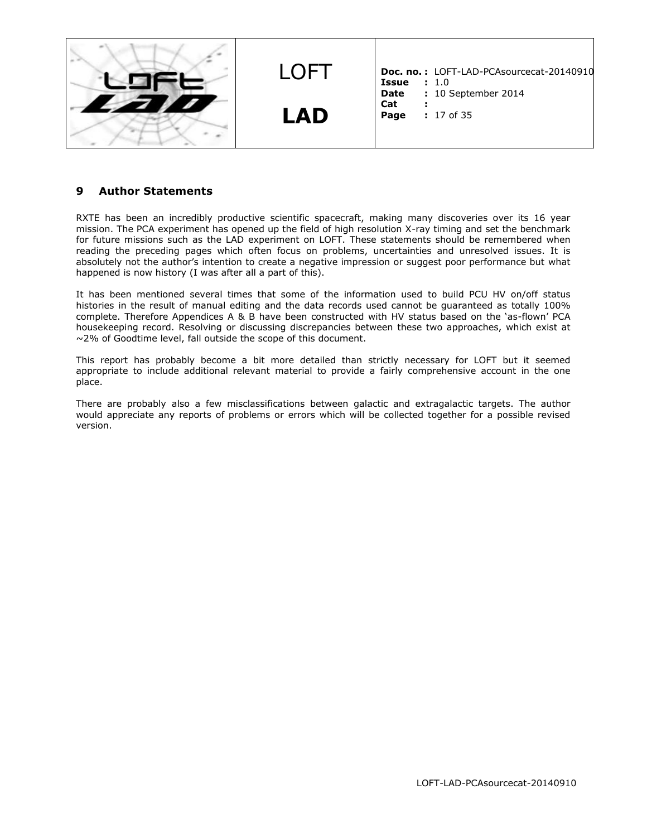

### **9 Author Statements**

RXTE has been an incredibly productive scientific spacecraft, making many discoveries over its 16 year mission. The PCA experiment has opened up the field of high resolution X-ray timing and set the benchmark for future missions such as the LAD experiment on LOFT. These statements should be remembered when reading the preceding pages which often focus on problems, uncertainties and unresolved issues. It is absolutely not the author's intention to create a negative impression or suggest poor performance but what happened is now history (I was after all a part of this).

It has been mentioned several times that some of the information used to build PCU HV on/off status histories in the result of manual editing and the data records used cannot be guaranteed as totally 100% complete. Therefore Appendices A & B have been constructed with HV status based on the 'as-flown' PCA housekeeping record. Resolving or discussing discrepancies between these two approaches, which exist at ~2% of Goodtime level, fall outside the scope of this document.

This report has probably become a bit more detailed than strictly necessary for LOFT but it seemed appropriate to include additional relevant material to provide a fairly comprehensive account in the one place.

There are probably also a few misclassifications between galactic and extragalactic targets. The author would appreciate any reports of problems or errors which will be collected together for a possible revised version.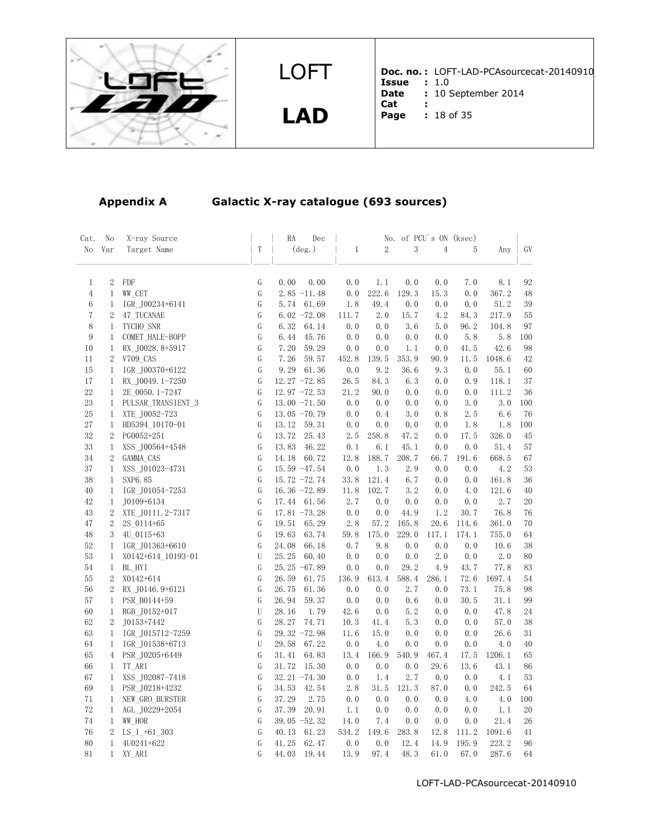

**LAD**

**Doc. no. :** LOFT-LAD-PCAsourcecat-20140910 **Issue :** 1.0 **Date :** 10 September 2014

- **Cat :**
- **Page :** 18 of 35

# **Appendix A Galactic X-ray catalogue (693 sources)**

| Cat.           | No               | X-ray Source       |             | RA<br>Dec       |              |                | No. of PCU's ON (ksec) |                |       |        |     |
|----------------|------------------|--------------------|-------------|-----------------|--------------|----------------|------------------------|----------------|-------|--------|-----|
| No             | Var              | Target Name        | $\rm T$     | $(\text{deg.})$ | $\mathbf{1}$ | $\overline{2}$ | 3                      | $\overline{4}$ | 5     | Any    | GV  |
| $\mathbf{1}$   | $\overline{2}$   | FDF                | G           | 0.00<br>0.00    | 0.0          | 1.1            | 0.0                    | 0.0            | 7.0   | 8.1    | 92  |
| $\overline{4}$ | $\mathbf{1}$     | WW CET             | G           | $2.85 - 11.48$  | 0.0          | 222.6          | 129.3                  | 15.3           | 0.0   | 367.2  | 48  |
| $\,6$          | $\mathbf{1}$     | IGR_J00234+6141    | G           | 5.74<br>61.69   | 1.8          | 49.4           | 0.0                    | 0.0            | 0.0   | 51.2   | 39  |
| $\overline{7}$ | $\sqrt{2}$       | 47 TUCANAE         | G           | $6.02 - 72.08$  | 111.7        | 2.0            | 15.7                   | 4.2            | 84.3  | 217.9  | 55  |
| 8              | $\mathbf{1}$     | TYCHO SNR          | G           | 6.32<br>64.14   | 0.0          | 0.0            | 3.6                    | 5.0            | 96.2  | 104.8  | 97  |
| 9              | $\mathbf{1}$     | COMET_HALE-BOPP    | G           | 45.76<br>6.44   | 0.0          | 0.0            | 0.0                    | 0.0            | 5.8   | 5.8    | 100 |
| 10             | $\mathbf{1}$     | RX J0028.8+5917    | G           | 7.20<br>59.29   | 0.0          | 0.0            | 1.1                    | 0.0            | 41.5  | 42.6   | 98  |
| 11             | $\boldsymbol{2}$ | V709 CAS           | ${\rm G}$   | 59.57<br>7.26   | 452.8        | 139.5          | 353.9                  | 90.9           | 11.5  | 1048.6 | 42  |
| 15             | $\mathbf{1}$     | IGR J00370+6122    | G           | 9.29<br>61.36   | 0.0          | 9.2            | 36.6                   | 9.3            | 0.0   | 55.1   | 60  |
| 17             | $\mathbf{1}$     | RX J0049.1-7250    | G           | $12.27 - 72.85$ | 26.5         | 84.3           | 6.3                    | 0.0            | 0.9   | 118.1  | 37  |
| 22             | $\mathbf{1}$     | 2E 0050.1-7247     | G           | $12.97 - 72.53$ | 21.2         | 90.0           | 0.0                    | 0.0            | 0.0   | 111.2  | 36  |
| $23\,$         | $\mathbf{1}$     | PULSAR TRANSIENT 3 | ${\bf G}$   | $13.00 - 71.50$ | 0.0          | 0.0            | 0.0                    | 0.0            | 3.0   | 3.0    | 100 |
| 25             | $\mathbf{1}$     | XTE J0052-723      | G           | $13.05 - 70.79$ | 0.0          | 0.4            | 3.0                    | 0.8            | 2.5   | 6.6    | 76  |
| 27             | $\mathbf{1}$     | HD5394_10170-01    | G           | 13.12<br>59.31  | 0.0          | 0.0            | 0.0                    | 0.0            | 1.8   | 1.8    | 100 |
| 32             | $\boldsymbol{2}$ | PG0052+251         | G           | 13.72<br>25.43  | 2.5          | 258.8          | 47.2                   | 0.0            | 17.5  | 326.0  | 45  |
| 33             | 1                | XSS_J00564+4548    | G           | 46.22<br>13.83  | 0.1          | 6.1            | 45.1                   | 0.0            | 0.0   | 51.4   | 57  |
| 34             | $\sqrt{2}$       | GAMMA CAS          | ${\rm G}$   | 14.18<br>60.72  | 12.8         | 188.7          | 208.7                  | 66.7           | 191.6 | 668.5  | 67  |
| 37             | $\mathbf{1}$     | XSS_J01023-4731    | G           | 15.59 -47.54    | 0.0          | 1.3            | 2.9                    | 0.0            | 0.0   | 4.2    | 53  |
| 38             | $\mathbf{1}$     | SXP6.85            | G           | 15.72 -72.74    | 33.8         | 121.4          | 6.7                    | 0.0            | 0.0   | 161.8  | 36  |
| 40             | $\mathbf{1}$     | IGR J01054-7253    | G           | 16.36 $-72.89$  | 11.8         | 102.7          | 3.2                    | 0.0            | 4.0   | 121.6  | 40  |
| 42             | $\mathbf 1$      | J0109+6134         | G           | 17.44 61.56     | 2.7          | 0.0            | 0.0                    | 0.0            | 0.0   | 2.7    | 20  |
| 43             | $\boldsymbol{2}$ | XTE J0111.2-7317   | G           | $17.81 - 73.28$ | 0.0          | 0.0            | 44.9                   | 1.2            | 30.7  | 76.8   | 76  |
| 47             | $\overline{2}$   | 2S 0114+65         | G           | 19.51<br>65.29  | 2.8          | 57.2           | 165.8                  | 20.6           | 114.6 | 361.0  | 70  |
| 48             | 3                | 4U 0115+63         | G           | 19.63<br>63.74  | 59.8         | 175.0          | 229.0                  | 117.1          | 174.1 | 755.0  | 64  |
| $52\,$         | $\mathbf{1}$     | IGR J01363+6610    | G           | 24.08<br>66.18  | 0.7          | 9.8            | 0.0                    | 0.0            | 0.0   | 10.6   | 38  |
| $53\,$         | $\mathbf{1}$     | X0142+614 10193-01 | $\mathbf U$ | 25.25<br>60.40  | 0.0          | 0.0            | 0.0                    | 2.0            | 0.0   | 2.0    | 80  |
| 54             | $\mathbf{1}$     | BL HYI             | G           | $25.25 - 67.89$ | 0.0          | 0.0            | 29.2                   | 4.9            | 43.7  | 77.8   | 83  |
| 55             | $\boldsymbol{2}$ | X0142+614          | G           | 26.59<br>61.75  | 136.9        | 613.4          | 588.4                  | 286.1          | 72.6  | 1697.4 | 54  |
| 56             | $\overline{2}$   | RX_J0146.9+6121    | G           | 26.75<br>61.36  | 0.0          | 0.0            | 2.7                    | 0.0            | 73.1  | 75.8   | 98  |
| 57             | $\mathbf{1}$     | PSR B0144+59       | G           | 26.94<br>59.37  | 0.0          | 0.0            | 0.6                    | 0.0            | 30.5  | 31.1   | 99  |
| 60             | $\mathbf{1}$     | RGB J0152+017      | U           | 28.16<br>1.79   | 42.6         | 0.0            | 5.2                    | 0.0            | 0.0   | 47.8   | 24  |
| 62             | $\boldsymbol{2}$ | J0153+7442         | G           | 28.27<br>74.71  | 10.3         | 41.4           | 5.3                    | 0.0            | 0.0   | 57.0   | 38  |
| 63             | $\mathbf{1}$     | IGR J015712-7259   | G           | 29.32 -72.98    | 11.6         | 15.0           | 0.0                    | 0.0            | 0.0   | 26.6   | 31  |
| 64             | $\mathbf{1}$     | IGR J01538+6713    | U           | 67.22<br>29.58  | 0.0          | 4.0            | 0.0                    | 0.0            | 0.0   | 4.0    | 40  |
| 65             | $^{4}$           | PSR J0205+6449     | G           | 31.41<br>64.83  | 13.4         | 166.9          | 540.9                  | 467.4          | 17.5  | 1206.1 | 65  |
| 66             | $\mathbf{1}$     | TT ARI             | G           | 31.72<br>15.30  | 0.0          | 0.0            | 0.0                    | 29.6           | 13.6  | 43.1   | 86  |
| 67             | $\mathbf{1}$     | XSS_J02087-7418    | G           | $32.21 - 74.30$ | 0.0          | 1.4            | 2.7                    | 0.0            | 0.0   | 4.1    | 53  |
| 69             | $\mathbf{1}$     | PSR J0218+4232     | G           | 34.53<br>42.54  | 2.8          | 31.5           | 121.3                  | 87.0           | 0.0   | 242.5  | 64  |
| 71             | $\mathbf{1}$     | NEW GRO BURSTER    | G           | 37.29<br>2.75   | 0.0          | 0.0            | 0.0                    | 0.0            | 4.0   | 4.0    | 100 |
| 72             | $\mathbf{1}$     | AGL_J0229+2054     | G           | 37.39<br>20.91  | 1.1          | 0.0            | 0.0                    | 0.0            | 0.0   | 1.1    | 20  |
| 74             | $\mathbf{1}$     | WW HOR             | G           | $39.05 -52.32$  | 14.0         | 7.4            | 0.0                    | 0.0            | 0.0   | 21.4   | 26  |
| 76             | $\boldsymbol{2}$ | $LS_1$ +61_303     | G           | 40.13<br>61.23  | 534.2        | 149.6          | 283.8                  | 12.8           | 111.2 | 1091.6 | 41  |
| 80             | $\mathbf{1}$     | 4U0241+622         | G           | 41.25<br>62.47  | 0.0          | 0.0            | 12.4                   | 14.9           | 195.9 | 223.2  | 96  |
| 81             | $\mathbf{1}$     | XY_ARI             | G           | 44.03<br>19.44  | 13.9         | 97.4           | 48.3                   | 61.0           | 67.0  | 287.6  | 64  |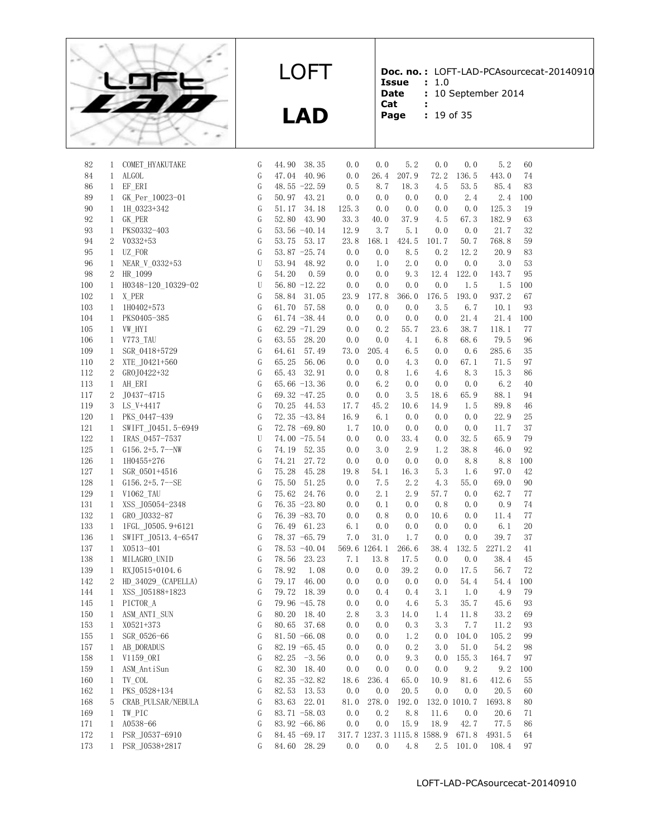

**LAD**

82 1 COMET\_HYAKUTAKE G 44.90 38.35 0.0 0.0 5.2 0.0 0.0 5.2 60

**Doc. no. :** LOFT-LAD-PCAsourcecat-20140910 **Issue :** 1.0

**Date :** 10 September 2014

- **Cat :**
- **Page :** 19 of 35

| 84      | 1              | ALGOL               | G             | 40.96<br>47.04  | 0.0   | 26.4         | 207.9                      | 72.2  | 136.5        | 443.0  | 74     |
|---------|----------------|---------------------|---------------|-----------------|-------|--------------|----------------------------|-------|--------------|--------|--------|
| 86      | $\mathbf{1}$   | EF ERI              | G             | 48.55 $-22.59$  | 0.5   | 8.7          | 18.3                       | 4.5   | 53.5         | 85.4   | 83     |
| 89      | $\mathbf{1}$   | GK_Per_10023-01     | G             | 50.97<br>43.21  | 0.0   | 0.0          | 0.0                        | 0.0   | 2.4          | 2.4    | 100    |
| 90      | $\mathbf{1}$   | 1H 0323+342         | G             | 51.17<br>34.18  | 125.3 | 0.0          | 0.0                        | 0.0   | 0.0          | 125.3  | 19     |
| 92      | $\mathbf{1}$   | GK PER              | G             | 52.80<br>43.90  | 33.3  | 40.0         | 37.9                       | 4.5   | 67.3         | 182.9  | 63     |
| 93      | $\mathbf{1}$   | PKS0332-403         | G             | $53.56 - 40.14$ | 12.9  | 3.7          | 5.1                        | 0.0   | 0.0          | 21.7   | 32     |
| 94      | 2              | $V0332+53$          | ${\mathbb G}$ | 53.75<br>53.17  | 23.8  | 168.1        | 424.5                      | 101.7 | 50.7         | 768.8  | 59     |
| 95      | $\mathbf{1}$   | UZ FOR              | ${\mathbb G}$ | $53.87 - 25.74$ | 0.0   | 0.0          | 8.5                        | 0.2   | 12.2         | 20.9   | 83     |
| 96      | 1              | NEAR V 0332+53      | $\mathbf U$   | 53.94<br>48.92  | 0.0   | 1.0          | 2.0                        | 0.0   | 0.0          | 3.0    | 53     |
| 98      | 2              | HR 1099             | G             | 54.20<br>0.59   | 0.0   | 0.0          | 9.3                        | 12.4  | 122.0        | 143.7  | 95     |
| 100     | $\mathbf{1}$   | H0348-120_10329-02  | $\mathbf U$   | 56.80 $-12.22$  | 0.0   | 0.0          | 0.0                        | 0.0   | 1.5          | 1.5    | 100    |
| 102     | 1              | X PER               | G             | 58.84<br>31.05  | 23.9  | 177.8        | 366.0                      | 176.5 | 193.0        | 937.2  | 67     |
| 103     | $\mathbf{1}$   | 1H0402+573          | G             | 61.70 57.58     | 0.0   | 0.0          | 0.0                        | 3.5   | 6.7          | 10.1   | 93     |
| 104     | 1              | PKS0405-385         | G             | 61.74 $-38.44$  | 0.0   | 0.0          | 0.0                        | 0.0   | 21.4         | 21.4   | 100    |
| 105     | $\mathbf{1}$   | VW HYI              | ${\mathbb G}$ | 62.29 $-71.29$  | 0.0   | 0.2          | 55.7                       | 23.6  | 38.7         | 118.1  | 77     |
| 106     | 1              | V773 TAU            | G             | 63.55<br>28.20  | 0.0   | 0.0          | 4.1                        | 6.8   | 68.6         | 79.5   | 96     |
| 109     | $\mathbf{1}$   |                     | G             | 64.61<br>57.49  | 73.0  | 205.4        | 6.5                        | 0.0   | 0.6          | 285.6  | 35     |
| 110     | 2              | SGR 0418+5729       | G             | 65.25<br>56.06  | 0.0   | 0.0          | 4.3                        | 0.0   | 67.1         | 71.5   | 97     |
|         |                | XTE J0421+560       | ${\mathbb G}$ |                 |       |              |                            |       |              |        |        |
| 112     | 2              | GROJ0422+32         |               | 65.43<br>32.91  | 0.0   | 0.8          | 1.6                        | 4.6   | 8.3          | 15.3   | 86     |
| 113     | $\mathbf{1}$   | AH ERI              | ${\mathbb G}$ | 65.66 $-13.36$  | 0.0   | 6.2          | 0.0                        | 0.0   | 0.0          | 6.2    | 40     |
| 117     | 2              | J0437-4715          | G             | 69.32 -47.25    | 0.0   | 0.0          | 3.5                        | 18.6  | 65.9         | 88.1   | 94     |
| 119     | 3              | LS V+4417           | ${\rm G}$     | 70.25<br>44.53  | 17.7  | 45.2         | 10.6                       | 14.9  | 1.5          | 89.8   | 46     |
| 120     | $\mathbf{1}$   | PKS 0447-439        | ${\mathbb G}$ | 72.35 -43.84    | 16.9  | 6.1          | 0.0                        | 0.0   | 0.0          | 22.9   | 25     |
| 121     | 1              | SWIFT_J0451.5-6949  | G             | 72.78 -69.80    | 1.7   | 10.0         | 0.0                        | 0.0   | 0.0          | 11.7   | 37     |
| 122     | 1              | IRAS 0457-7537      | U             | 74.00 -75.54    | 0.0   | 0.0          | 33.4                       | 0.0   | 32.5         | 65.9   | 79     |
| 125     | $\mathbf{1}$   | G156. $2+5.7-NN$    | ${\mathbb G}$ | 74.19<br>52.35  | 0.0   | 3.0          | 2.9                        | 1.2   | 38.8         | 46.0   | 92     |
| 126     | $\mathbf{1}$   | 1H0455+276          | $\mathsf G$   | 74.21<br>27.72  | 0.0   | 0.0          | 0.0                        | 0.0   | 8.8          | 8.8    | 100    |
| 127     | $\mathbf{1}$   | SGR 0501+4516       | G             | 75.28<br>45.28  | 19.8  | 54.1         | 16.3                       | 5.3   | 1.6          | 97.0   | 42     |
| 128     | $\mathbf{1}$   | $G156.2 + 5.7 - SE$ | G             | 75.50<br>51.25  | 0.0   | 7.5          | 2.2                        | 4.3   | 55.0         | 69.0   | 90     |
| 129     | $\mathbf{1}$   | V1062 TAU           | ${\mathbb G}$ | 75.62<br>24.76  | 0.0   | 2.1          | 2.9                        | 57.7  | 0.0          | 62.7   | 77     |
| 131     | 1              | XSS J05054-2348     | G             | $76.35 -23.80$  | 0.0   | 0.1          | 0.0                        | 0.8   | 0.0          | 0.9    | 74     |
| 132     | $\mathbf{1}$   | GRO J0332-87        | G             | 76.39 -83.70    | 0.0   | 0.8          | 0.0                        | 10.6  | 0.0          | 11.4   | 77     |
| 133     | $\mathbf{1}$   | 1FGL J0505.9+6121   | ${\rm G}$     | 76.49<br>61.23  | 6.1   | 0.0          | 0.0                        | 0.0   | 0.0          | 6.1    | $20\,$ |
| 136     | $\mathbf{1}$   | SWIFT_J0513.4-6547  | G             | 78.37 -65.79    | 7.0   | 31.0         | $1.\,7$                    | 0.0   | 0.0          | 39.7   | 37     |
| 137     | $\mathbf{1}$   | X0513-401           | G             | 78.53 -40.04    |       | 569.6 1264.1 | 266.6                      | 38.4  | 132.5        | 2271.2 | 41     |
| 138     | 1              | MILAGRO UNID        | G             | 78.56<br>23.23  | 7.1   | 13.8         | 17.5                       | 0.0   | 0.0          | 38.4   | 45     |
| 139     | $\mathbf{1}$   | RXJ0515+0104.6      | ${\mathsf G}$ | 78.92<br>1.08   | 0.0   | 0.0          | 39.2                       | 0.0   | 17.5         | 56.7   | 72     |
| 142     | $\overline{2}$ | HD_34029_(CAPELLA)  | $\mathsf G$   | 79.17<br>46.00  | 0.0   | 0.0          | 0.0                        | 0.0   | 54.4         | 54.4   | 100    |
| 144     | $\mathbf{1}$   | XSS J05188+1823     | ${\mathbb G}$ | 79.72<br>18.39  | 0.0   | 0.4          | 0.4                        | 3.1   | 1.0          | 4.9    | 79     |
| 145     | $\mathbf{1}$   | PICTOR A            | ${\mathbb G}$ | 79.96 -45.78    | 0.0   | 0.0          | 4.6                        | 5.3   | 35.7         | 45.6   | 93     |
| 150     | $\mathbf{1}$   | ASM_ANTI_SUN        | ${\mathbb G}$ | 80.20<br>18.40  | 2.8   | 3.3          | 14.0                       | 1.4   | 11.8         | 33.2   | 69     |
| 153     | $\mathbf{1}$   | X0521+373           | G             | 80.65<br>37.68  | 0.0   | 0.0          | 0.3                        | 3.3   | 7.7          | 11.2   | 93     |
| 155     | $\mathbf{1}$   | SGR 0526-66         | G             | $81.50 - 66.08$ | 0.0   | 0.0          | 1.2                        |       | $0.0$ 104.0  | 105.2  | 99     |
| $157\,$ | $\mathbf{1}$   | AB_DORADUS          | ${\rm G}$     | 82.19 -65.45    | 0.0   | 0.0          | 0.2                        |       | $3.0$ $51.0$ | 54.2   | 98     |
| 158     | 1              | V1159_ORI           | G             | $82.25 - 3.56$  | 0.0   | 0.0          | 9.3                        | 0.0   | 155.3        | 164.7  | 97     |
| 159     | 1              | ASM AntiSun         | G             | 82.30 18.40     | 0.0   | 0.0          | 0.0                        | 0.0   | 9.2          | 9.2    | 100    |
| 160     | 1              | TV COL              | G             | 82.35 $-32.82$  | 18.6  | 236.4        | 65.0                       | 10.9  | 81.6         | 412.6  | 55     |
| 162     | 1              | PKS_0528+134        | G             | 82.53 13.53     | 0.0   | 0.0          | 20.5                       | 0.0   | 0.0          | 20.5   | 60     |
| 168     | 5              | CRAB PULSAR/NEBULA  | G             | 83.63<br>22.01  | 81.0  | 278.0        | 192.0                      |       | 132.0 1010.7 | 1693.8 | 80     |
| 169     | 1              | TW_PIC              | G             | 83.71 -58.03    | 0.0   | 0.2          | 8.8                        | 11.6  | 0.0          | 20.6   | 71     |
| 171     | 1              | A0538-66            | G             | 83.92 -66.86    | 0.0   | 0.0          | 15.9                       | 18.9  | 42.7         | 77.5   | 86     |
| 172     | $\mathbf{1}$   | PSR_J0537-6910      | G             | 84.45 -69.17    |       |              | 317.7 1237.3 1115.8 1588.9 |       | 671.8        | 4931.5 | 64     |
| 173     | $\mathbf{1}$   | PSR J0538+2817      | G             | 84.60 28.29     | 0.0   | 0.0          | 4.8                        | 2.5   | 101.0        | 108.4  | 97     |
|         |                |                     |               |                 |       |              |                            |       |              |        |        |
|         |                |                     |               |                 |       |              |                            |       |              |        |        |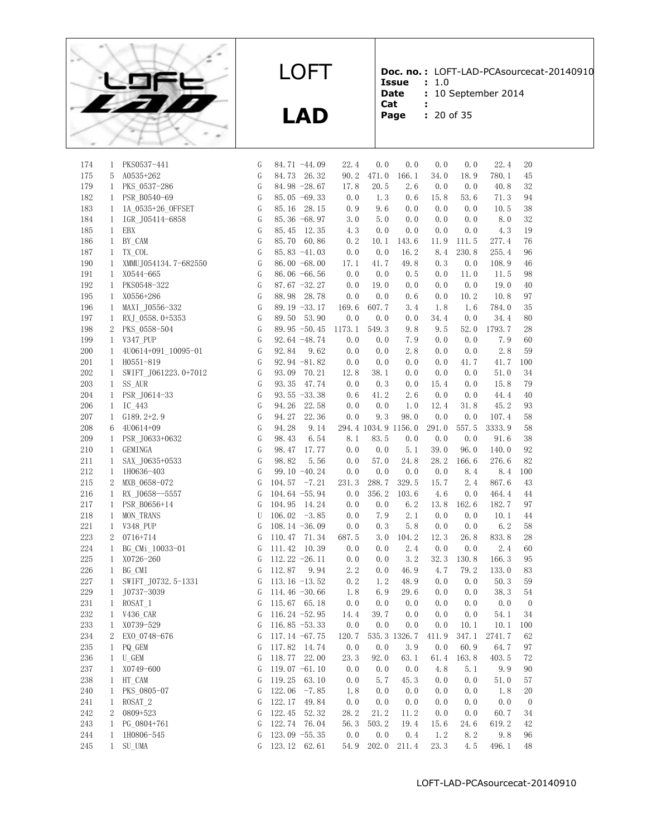

**LAD**

**Doc. no. :** LOFT-LAD-PCAsourcecat-20140910

- **Issue :** 1.0 **Date :** 10 September 2014
- **Cat :**
- **Page :** 20 of 35

| 20 of 3 |  |
|---------|--|
|         |  |

| 174     | 1              | PKS0537-441          | G             | 84.71 -44.09      | 22.4   | 0.0   | 0.0                 | 0.0   | 0.0   | 22.4                                  | 20             |
|---------|----------------|----------------------|---------------|-------------------|--------|-------|---------------------|-------|-------|---------------------------------------|----------------|
| 175     | 5              | A0535+262            | G             | 84.73<br>26.32    | 90.2   | 471.0 | 166.1               | 34.0  | 18.9  | 780.1                                 | 45             |
| 179     | $\mathbf{1}$   | PKS_0537-286         | G             | 84.98 -28.67      | 17.8   | 20.5  | 2.6                 | 0.0   | 0.0   | 40.8                                  | 32             |
| 182     | $\mathbf{1}$   | PSR B0540-69         | ${\mathbb G}$ | 85.05 $-69.33$    | 0.0    | 1.3   | 0.6                 | 15.8  | 53.6  | 71.3                                  | 94             |
| 183     | $\mathbf{1}$   | 1A_0535+26_0FFSET    | G             | 85.16 28.15       | 0.9    | 9.6   | 0.0                 | 0.0   | 0.0   | 10.5                                  | 38             |
| 184     | 1              | IGR J05414-6858      | G             | 85.36 -68.97      | 3.0    | 5.0   | 0.0                 | 0.0   | 0.0   | 8.0                                   | 32             |
| 185     | $\mathbf{1}$   | EBX                  | G             | 85.45<br>12.35    | 4.3    | 0.0   | 0.0                 | 0.0   | 0.0   | 4.3                                   | 19             |
| 186     | $\mathbf{1}$   | BY CAM               | G             | 85.70 60.86       | 0.2    | 10.1  | 143.6               | 11.9  | 111.5 | 277.4                                 | 76             |
| 187     | $\mathbf{1}$   | TX COL               | G             | $85.83 - 41.03$   | 0.0    | 0.0   | 16.2                | 8.4   | 230.8 | 255.4                                 | 96             |
| 190     | $\mathbf{1}$   | XMMUJ054134.7-682550 | G             | 86.00 $-68.00$    | 17.1   | 41.7  | 49.8                | 0.3   | 0.0   | 108.9                                 | 46             |
| 191     | $\mathbf{1}$   | X0544-665            | G             | 86.06 -66.56      | 0.0    | 0.0   | 0.5                 | 0.0   | 11.0  | 11.5                                  | 98             |
| 192     | $\mathbf{1}$   | PKS0548-322          | G             | $87.67 - 32.27$   | 0.0    | 19.0  | 0.0                 | 0.0   | 0.0   | 19.0                                  | 40             |
| 195     | $\mathbf{1}$   | X0556+286            | G             | 88.98<br>28.78    | 0.0    | 0.0   | 0.6                 | 0.0   | 10.2  | 10.8                                  | 97             |
| 196     | $\mathbf{1}$   | MAXI J0556-332       | G             | 89.19 -33.17      | 169.6  | 607.7 | 3.4                 | 1.8   | 1.6   | 784.0                                 | 35             |
| 197     | $\mathbf{1}$   | RXJ_0558.0+5353      | G             | 53.90<br>89.50    | 0.0    | 0.0   | 0.0                 | 34.4  | 0.0   | 34.4                                  | 80             |
| 198     | $\overline{2}$ | PKS 0558-504         | G             | 89.95 -50.45      | 1173.1 | 549.3 | 9.8                 | 9.5   | 52.0  | 1793.7                                | 28             |
| 199     | $\mathbf{1}$   | V347 PUP             | G             | 92.64 -48.74      | 0.0    | 0.0   | 7.9                 | 0.0   | 0.0   | 7.9                                   | 60             |
| 200     | $\mathbf{1}$   | 4U0614+091_10095-01  | G             | 92.84<br>9.62     | 0.0    | 0.0   | 2.8                 | 0.0   | 0.0   | 2.8                                   | 59             |
| 201     | $\mathbf{1}$   | $H0551 - 819$        | G             | 92.94 -81.82      | 0.0    | 0.0   | 0.0                 | 0.0   | 41.7  | 41.7                                  | 100            |
| 202     | $\mathbf{1}$   | SWIFT J061223.0+7012 | G             | 93.09<br>70.21    | 12.8   | 38.1  | 0.0                 | 0.0   | 0.0   | 51.0                                  | 34             |
| 203     | $\mathbf{1}$   | SS AUR               | G             | 93.35<br>47.74    | 0.0    | 0.3   | 0.0                 | 15.4  | 0.0   | 15.8                                  | 79             |
| 204     |                | 1 PSR J0614-33       | G             | $93.55 - 33.38$   | 0.6    | 41.2  | 2.6                 | 0.0   | 0.0   | 44.4                                  | 40             |
| 206     | $\mathbf{1}$   | IC 443               | G             | 94.26<br>22.58    | 0.0    | 0.0   | 1.0                 | 12.4  | 31.8  | 45.2                                  | 93             |
| 207     | $\mathbf{1}$   | $G189.2+2.9$         | G             | 94.27<br>22.36    | 0.0    | 9.3   | 98.0                | 0.0   | 0.0   | 107.4                                 | 58             |
| 208     | 6              | 4U0614+09            | G             | 94.28<br>9.14     |        |       | 294.4 1034.9 1156.0 | 291.0 | 557.5 | 3333.9                                | 58             |
| 209     | $\mathbf{1}$   | PSR J0633+0632       | ${\mathbb G}$ | 6.54<br>98.43     | 8.1    | 83.5  | 0.0                 | 0.0   | 0.0   | 91.6                                  | 38             |
| 210     | $\mathbf{1}$   | GEMINGA              | G             | 98.47<br>17.77    | 0.0    | 0.0   | 5.1                 | 39.0  | 96.0  | 140.0                                 | 92             |
| 211     | $\mathbf{1}$   | SAX J0635+0533       | G             | 98.82<br>5.56     | 0.0    | 57.0  | 24.8                | 28.2  | 166.6 | 276.6                                 | 82             |
| 212     | $\mathbf{1}$   | 1H0636-403           | G             | 99.10 $-40.24$    | 0.0    | 0.0   | 0.0                 | 0.0   | 8.4   | 8.4                                   | 100            |
| 215     | 2              | MXB 0658-072         | G             | $-7.21$<br>104.57 | 231.3  | 288.7 | 329.5               | 15.7  | 2.4   | 867.6                                 | 43             |
| 216     | $\mathbf{1}$   | RX J0658--5557       | G             | 104.64 -55.94     | 0.0    | 356.2 | 103.6               | 4.6   | 0.0   | 464.4                                 | 44             |
| 217     | $\mathbf{1}$   | PSR B0656+14         | G             | 104.95 14.24      | 0.0    | 0.0   | 6.2                 | 13.8  | 162.6 | 182.7                                 | 97             |
| 218     | $\mathbf{1}$   | MON TRANS            | U             | 106.02<br>$-3.85$ | 0.0    | 7.9   | 2.1                 | 0.0   | 0.0   | 10.1                                  | 44             |
| 221     | $\mathbf{1}$   | V348 PUP             | G             | 108.14 $-36.09$   | 0.0    | 0.3   | 5.8                 | 0.0   | 0.0   | $6.2\,$                               | 58             |
| 223     | 2              | 0716+714             | G             | 110.47 71.34      | 687.5  | 3.0   | 104.2               | 12.3  | 26.8  | 833.8                                 | 28             |
| 224     | $\mathbf{1}$   | BG_CMi_10033-01      | G             | 111.42<br>10.39   | 0.0    | 0.0   | 2.4                 | 0.0   | 0.0   | 2.4                                   | 60             |
| $225\,$ | $\mathbf{1}$   | X0726-260            | G             | 112.22 $-26.11$   | 0.0    | 0.0   | 3.2                 | 32.3  | 130.8 | 166.3                                 | 95             |
| 226     | $\mathbf{1}$   | BG CMI               | G             | 112.87<br>9.94    | 2.2    | 0.0   | 46.9                | 4.7   | 79.2  | 133.0                                 | 83             |
| 227     | $\mathbf{1}$   | SWIFT_J0732.5-1331   | G             | $113.16 - 13.52$  | 0.2    | 1.2   | 48.9                | 0.0   | 0.0   | 50.3                                  | 59             |
| 229     | $\mathbf{1}$   | J0737-3039           | G             | 114.46 $-30.66$   | 1.8    | 6.9   | 29.6                | 0.0   | 0.0   | 38.3                                  | 54             |
| 231     | $\mathbf{1}$   | ROSAT_1              | G             | 115.67 65.18      | 0.0    | 0.0   | 0.0                 | 0.0   | 0.0   | 0.0                                   | $\overline{0}$ |
| 232     | 1              | V436_CAR             | G             | 116.24 $-52.95$   | 14.4   | 39.7  | 0.0                 | 0.0   | 0.0   | 54.1                                  | 34             |
| 233     | 1              | X0739-529            | G             | $116.85 - 53.33$  | 0.0    | 0.0   | 0.0                 | 0.0   | 10.1  | 10.1                                  | 100            |
| $\,234$ | $\,2$          | EXO_0748-676         | ${\rm G}$     | 117.14 -67.75     |        |       |                     |       |       | 120.7 535.3 1326.7 411.9 347.1 2741.7 | 62             |
| 235     |                | 1 PQ_GEM             | G             | 117.82 14.74      | 0.0    | 0.0   | 3.9                 | 0.0   | 60.9  | 64.7                                  | 97             |
| 236     | $\mathbf{1}$   | U GEM                | G             | 118.77 22.00      | 23.3   | 92.0  | 63.1                | 61.4  | 163.8 | 403.5                                 | 72             |
| 237     | 1              | X0749-600            | G             | 119.07 $-61.10$   | 0.0    | 0.0   | 0.0                 | 4.8   | 5.1   | 9.9                                   | 90             |
| 238     | $\mathbf{1}$   | HT CAM               | G             | 119.25<br>63.10   | 0.0    | 5.7   | 45.3                | 0.0   | 0.0   | 51.0                                  | 57             |
| 240     | $\mathbf{1}$   | PKS 0805-07          | G             | 122.06<br>$-7.85$ | 1.8    | 0.0   | 0.0                 | 0.0   | 0.0   | 1.8                                   | 20             |
| 241     | $\mathbf{1}$   | ROSAT <sub>2</sub>   | G             | 122.17<br>49.84   | 0.0    | 0.0   | 0.0                 | 0.0   | 0.0   | 0.0                                   | $\overline{0}$ |
| 242     | $\overline{2}$ | 0809+523             | G             | 122.45<br>52.32   | 28.2   | 21.2  | 11.2                | 0.0   | 0.0   | 60.7                                  | 34             |
| 243     | $\mathbf{1}$   | PG 0804+761          | G             | 122.74 76.04      | 56.3   | 503.2 | 19.4                | 15.6  | 24.6  | 619.2                                 | 42             |
| 244     | 1              | 1H0806-545           | G             | $123.09 - 55.35$  | 0.0    | 0.0   | 0.4                 | 1.2   | 8.2   | 9.8                                   | 96             |
| 245     | $\mathbf{1}$   | SU_UMA               | G             | 123.12 62.61      | 54.9   | 202.0 | 211.4               | 23.3  | 4.5   | 496.1                                 | 48             |
|         |                |                      |               |                   |        |       |                     |       |       |                                       |                |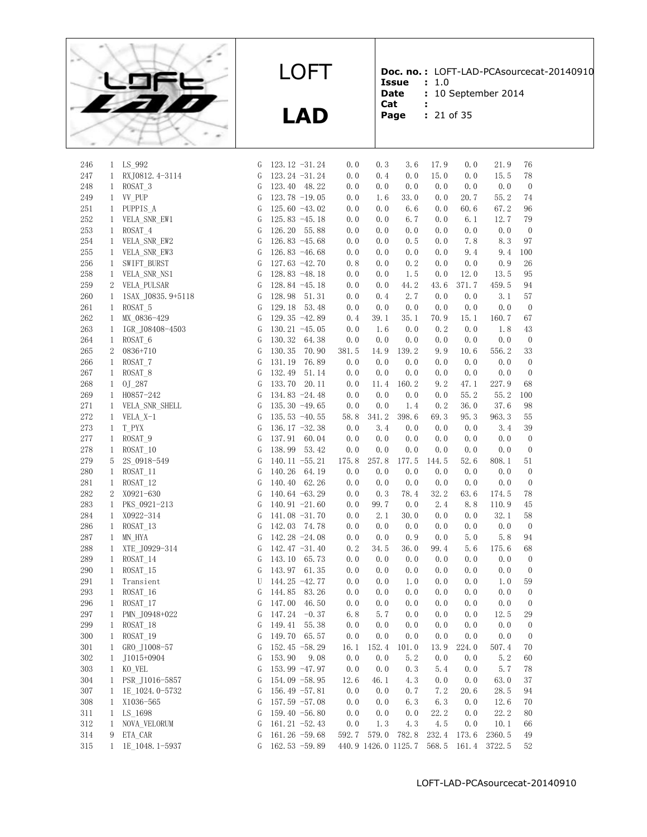

**Doc. no. :** LOFT-LAD-PCAsourcecat-20140910

**Issue** : 1.0<br>**Date** : 10 9 **:** 10 September 2014

- **Cat :**
- **Page :** 21 of 35

|  | - - | $  -$ |  |
|--|-----|-------|--|

| 246        |                              | 1 LS_992                 | G      | 123.12 -31.24                   | 0.0        | 0.3         | 3.6                          | 17.9        | 0.0        | 21.9         | 76                     |
|------------|------------------------------|--------------------------|--------|---------------------------------|------------|-------------|------------------------------|-------------|------------|--------------|------------------------|
| 247        | $\mathbf{1}$                 | RXJ0812.4-3114           | G      | 123.24 -31.24                   | 0.0        | 0.4         | 0.0                          | 15.0        | 0.0        | 15.5         | 78                     |
| 248        | $\mathbf{1}$                 | ROSAT_3                  | G      | 123.40 48.22                    | 0.0        | 0.0         | 0.0                          | 0.0         | 0.0        | 0.0          | $\boldsymbol{0}$       |
| 249        | $\mathbf{1}$                 | VV PUP                   | G      | $123.78 - 19.05$                | 0.0        | 1.6         | 33.0                         | 0.0         | 20.7       | 55.2         | 74                     |
| 251        | $\mathbf{1}$                 | PUPPIS_A                 | G      | 125.60 $-43.02$                 | 0.0        | 0.0         | 6.6                          | 0.0         | 60.6       | 67.2         | 96                     |
| $252\,$    | $\mathbf{1}$                 | VELA_SNR_EW1             | G      | $125.83 - 45.18$                | 0.0        | 0.0         | 6.7                          | 0.0         | 6.1        | 12.7         | 79                     |
| 253        | $\mathbf{1}$                 | ROSAT_4                  | G      | 126.20 55.88                    | 0.0        | 0.0         | 0.0                          | 0.0         | 0.0        | 0.0          | $\boldsymbol{0}$       |
| $254\,$    | $\mathbf{1}$                 | VELA_SNR_EW2             | G      | 126.83 $-45.68$                 | 0.0        | $0.0$       | 0.5                          | 0.0         | 7.8        | 8.3          | 97                     |
| 255        | $\mathbf{1}$                 | VELA_SNR_EW3             | G      | 126.83 $-46.68$                 | 0.0        | 0.0         | 0.0                          | 0.0         | 9.4        | 9.4          | 100                    |
| 256        | $\mathbf{1}$                 | SWIFT_BURST              | G      | 127.63 -42.70                   | 0.8        | 0.0         | 0.2                          | 0.0         | 0.0        | 0.9          | 26                     |
| $258\,$    | 1                            | VELA_SNR_NS1             | G      | $128.83 - 48.18$                | 0.0        | 0.0         | 1.5                          | 0.0         | 12.0       | 13.5         | 95                     |
| 259        |                              | 2 VELA_PULSAR            | G      | 128.84 -45.18                   | 0.0        | 0.0         | 44.2                         | 43.6        | 371.7      | 459.5        | 94                     |
| 260        | 1                            | 1SAX_J0835.9+5118        | G      | 128.98 51.31                    | 0.0        | 0.4         | 2.7                          | 0.0         | 0.0        | 3.1          | 57                     |
| 261        | $\mathbf{1}$                 | ROSAT 5                  | G      | 129.18 53.48                    | 0.0        | 0.0         | 0.0                          | 0.0         | 0.0        | 0.0          | $\boldsymbol{0}$       |
| $262\,$    | $\mathbf{1}$                 | MX_0836-429              | G      | 129.35 -42.89                   | 0.4        | 39.1        | 35.1                         | 70.9        | 15.1       | 160.7        | 67                     |
| 263        | $\mathbf{1}$                 | IGR_J08408-4503          | G      | $130.21 - 45.05$                | 0.0        | 1.6         | 0.0                          | 0.2         | 0.0        | 1.8          | 43                     |
| 264        | $\mathbf{1}$                 | ROSAT_6                  | G      | 130.32<br>64.38                 | 0.0        | 0.0         | 0.0                          | 0.0         | 0.0        | 0.0          | $\boldsymbol{0}$       |
| 265        | 2                            | 0836+710                 | G      | 130.35<br>70.90                 | 381.5      | 14.9        | 139.2                        | 9.9         | 10.6       | 556.2        | 33                     |
| 266        | $\mathbf{1}$                 | ROSAT_7                  | G      | 131.19<br>76.89                 | 0.0        | 0.0         | 0.0                          | 0.0         | 0.0        | 0.0          | $\boldsymbol{0}$       |
| 267        | $\mathbf{1}$                 | ROSAT_8                  | G      | 132.49<br>51.14                 | 0.0        | 0.0         | 0.0                          | 0.0         | 0.0        | 0.0          | $\boldsymbol{0}$       |
| 268        | $\mathbf{1}$                 | 0J 287                   | G      | 133.70<br>20.11                 | 0.0        | 11.4        | 160.2                        | 9.2         | 47.1       | 227.9        | 68                     |
| 269        | $\mathbf{1}$                 | H0857-242                | G      | 134.83 -24.48                   | 0.0        | 0.0         | 0.0                          | 0.0         | 55.2       | 55.2         | 100                    |
| $271\,$    | $\mathbf{1}$                 | VELA_SNR_SHELL           | G      | 135.30 -49.65                   | 0.0        | 0.0         | 1.4                          | 0.2         | 36.0       | 37.6         | 98                     |
| 272        | $\mathbf{1}$                 | VELA_X-1                 | G      | $135.53 - 40.55$                | 58.8       | 341.2       | 398.6                        | 69.3        | 95.3       | 963.3        | 55                     |
| 273        | $\mathbf{1}$                 | T PYX                    | G      | 136.17 $-32.38$                 | 0.0        | 3.4         | 0.0                          | 0.0         | 0.0        | 3.4          | 39                     |
| $277\,$    | $\mathbf{1}$                 | ROSAT <sub>9</sub>       | G      | 137.91 60.04                    | 0.0        | 0.0         | 0.0                          | 0.0         | 0.0        | 0.0          | $\boldsymbol{0}$       |
| 278        | $\mathbf{1}$                 | ROSAT 10                 | G      | 138.99<br>53.42                 | 0.0        | 0.0         | 0.0                          | 0.0         | 0.0        | 0.0          | $\boldsymbol{0}$       |
| 279        | 5                            | 2S_0918-549              | G      | 140.11 $-55.21$                 | 175.8      | 257.8       | 177.5                        | 144.5       | 52.6       | 808.1        | 51                     |
| 280        | $\mathbf{1}$                 | ROSAT_11                 | G      | 140.26 64.19                    | 0.0        | 0.0         | 0.0                          | 0.0         | 0.0        | 0.0          | $\boldsymbol{0}$       |
| 281        | $\mathbf{1}$                 | ROSAT_12                 | G      | 140.40 62.26                    | 0.0        | 0.0         | 0.0                          | 0.0         | 0.0        | 0.0          | $\boldsymbol{0}$       |
| 282        | 2                            | X0921-630                | G      | 140.64 -63.29                   | 0.0        | 0.3         | 78.4                         | 32.2        | 63.6       | 174.5        | 78                     |
| 283        | $\mathbf{1}$                 |                          | G      | 140.91 $-21.60$                 | 0.0        | 99.7        | 0.0                          | 2.4         | 8.8        | 110.9        | 45                     |
| 284        |                              | PKS_0921-213             |        | 141.08 -31.70                   | 0.0        | 2.1         | 30.0                         | 0.0         | 0.0        | 32.1         | 58                     |
| 286        | $\mathbf{1}$<br>$\mathbf{1}$ | X0922-314<br>$ROSAT_13$  | G<br>G | 142.03 74.78                    | 0.0        | 0.0         | 0.0                          | 0.0         | 0.0        | 0.0          | $\boldsymbol{0}$       |
| 287        |                              |                          | G      | 142.28 -24.08                   | 0.0        | 0.0         | 0.9                          | 0.0         | 5.0        | 5.8          | 94                     |
|            | $\mathbf{1}$                 | MN HYA                   |        |                                 |            |             |                              |             |            |              |                        |
| 288        | $\mathbf{1}$                 | XTE J0929-314            | G      | 142.47 $-31.40$<br>143.10 65.73 | 0.2<br>0.0 | 34.5<br>0.0 | 36.0<br>0.0                  | 99.4<br>0.0 | 5.6<br>0.0 | 175.6<br>0.0 | 68                     |
| 289        | $\mathbf{1}$                 | ROSAT_14                 | G      | 143.97 61.35                    |            |             |                              |             |            |              | $\boldsymbol{0}$       |
| 290<br>291 | $\mathbf{1}$                 | ROSAT 15                 | G      | 144.25 -42.77                   | 0.0<br>0.0 | 0.0<br>0.0  | 0.0<br>1.0                   | 0.0<br>0.0  | 0.0<br>0.0 | 0.0<br>1.0   | $\boldsymbol{0}$       |
| 293        | 1<br>$\mathbf{1}$            | Transient                | U      | 144.85 83.26                    | 0.0        | 0.0         | 0.0                          | 0.0         | 0.0        | 0.0          | 59<br>$\boldsymbol{0}$ |
|            |                              | ROSAT_16<br>ROSAT_17     | G      |                                 |            |             |                              |             |            |              |                        |
| 296        | $\mathbf{1}$                 | PMN J0948+022            | G      | 147.00<br>46.50                 | 0.0        | 0.0         | 0.0                          | 0.0         | 0.0        | 0.0          | $\boldsymbol{0}$       |
| 297        | $\mathbf{1}$                 |                          | G<br>G | 147.24<br>$-0.37$               | 6.8        | 5.7         | 0.0                          | 0.0         | 0.0        | 12.5         | $\rm 29$               |
| 299        | $\mathbf{1}$                 | ROSAT 18                 |        | 149.41 55.38                    | 0.0        | 0.0         | 0.0                          | 0.0         | 0.0        | 0.0          | $\boldsymbol{0}$       |
| 300        | 1                            | ROSAT_19                 | G      | 149.70 65.57                    | 0.0        | 0.0         | 0.0                          | 0.0         | 0.0        | 0.0          | $\boldsymbol{0}$       |
| 301        | 1                            | GRO J1008-57             | G      | 152.45 -58.29                   | 16.1       | 152.4       | 101.0                        | 13.9        | 224.0      | 507.4        | 70                     |
| 302        | 1                            | J1015+0904               | G      | 153.90<br>9.08                  | 0.0        | 0.0         | 5.2                          | 0.0         | 0.0        | 5.2          | 60                     |
| 303        | $\mathbf{1}$                 | KO VEL<br>PSR J1016-5857 | G      | 153.99 -47.97                   | 0.0        | 0.0         | 0.3                          | 5.4         | 0.0        | 5.7          | 78                     |
| 304        | $\mathbf{1}$                 |                          | G      | 154.09 -58.95                   | 12.6       | 46.1        | 4.3                          | 0.0         | 0.0        | 63.0         | 37                     |
| 307        | $\mathbf{1}$                 | 1E 1024.0-5732           | G      | 156.49 $-57.81$                 | 0.0        | 0.0         | 0.7                          | 7.2         | 20.6       | 28.5         | 94                     |
| $308\,$    | $\mathbf{1}$                 | X1036-565                | G      | 157.59 $-57.08$                 | 0.0        | 0.0         | 6.3                          | 6.3         | 0.0        | 12.6         | 70                     |
| 311        | $\mathbf{1}$                 | LS 1698                  | G      | 159.40 -56.80                   | 0.0        | 0.0         | 0.0                          | 22.2        | 0.0        | 22.2         | 80                     |
| 312        | $\mathbf{1}$                 | NOVA VELORUM             | G      | $161.21 -52.43$                 | 0.0        | 1.3         | 4.3                          | 4.5         | $0. \; 0$  | 10.1         | 66                     |
| 314        | 9                            | ETA CAR                  | G      | 161.26 -59.68                   | 592.7      | 579.0       | 782.8<br>440.9 1426.0 1125.7 | 232.4       | 173.6      | 2360.5       | 49                     |
| 315        | $\mathbf{1}$                 | 1E 1048.1-5937           | G      | $162.53 - 59.89$                |            |             |                              | 568.5       | 161.4      | 3722.5       | 52                     |
|            |                              |                          |        |                                 |            |             |                              |             |            |              |                        |

LOFT

**LAD**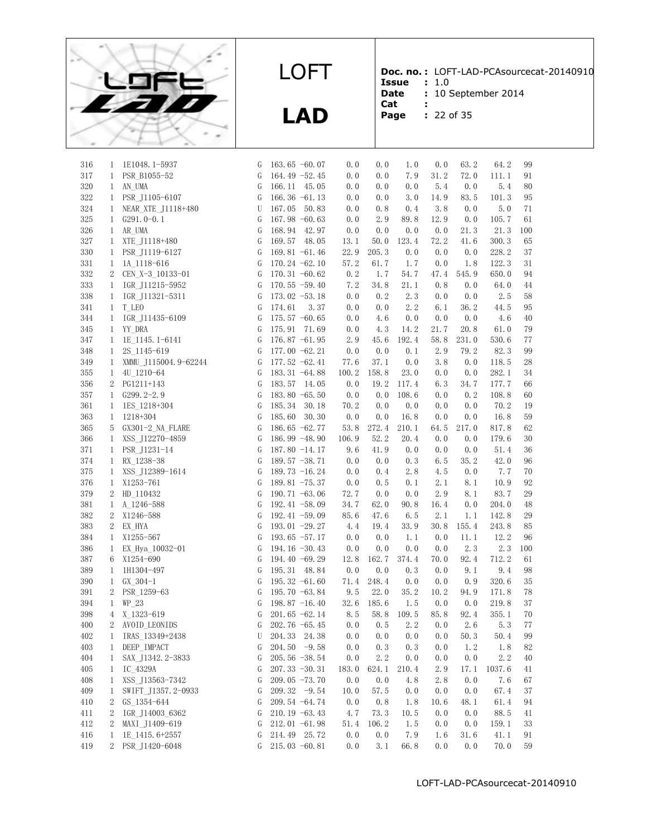

**LAD**

**Doc. no. :** LOFT-LAD-PCAsourcecat-20140910

- **Issue :** 1.0 **Date** : 10 September 2014
- **Cat :**
- **Page :** 22 of 35

| 316     | 1                 | 1E1048.1-5937        | G      | $163.65 - 60.07$                | 0.0                                        | 0.0   | 1.0   | 0.0  | 63.2  | 64.2   | 99       |
|---------|-------------------|----------------------|--------|---------------------------------|--------------------------------------------|-------|-------|------|-------|--------|----------|
| 317     | $\mathbf{1}$      | PSR B1055-52         | G      | 164.49 -52.45                   | 0.0                                        | 0.0   | 7.9   | 31.2 | 72.0  | 111.1  | 91       |
| 320     | $\mathbf{1}$      | AN UMA               | G      | 166.11 45.05                    | 0.0                                        | 0.0   | 0.0   | 5.4  | 0.0   | 5.4    | 80       |
| 322     | $\mathbf{1}$      | PSR_J1105-6107       | G      | 166.36 $-61.13$                 | 0.0                                        | 0.0   | 3.0   | 14.9 | 83.5  | 101.3  | 95       |
| 324     | $\mathbf{1}$      | NEAR_XTE_J1118+480   | U      | 167.05 50.83                    | 0.0                                        | 0.8   | 0.4   | 3.8  | 0.0   | 5.0    | 71       |
| 325     | $\mathbf{1}$      | $G291.0-0.1$         | G      | 167.98 $-60.63$                 | 0.0                                        | 2.9   | 89.8  | 12.9 | 0.0   | 105.7  | 61       |
| 326     |                   | 1 AR UMA             | G      | 168.94 42.97                    | 0.0                                        | 0.0   | 0.0   | 0.0  | 21.3  | 21.3   | 100      |
| 327     | $\mathbf{1}$      | XTE_J1118+480        | G      | 169.57 48.05                    | 13.1                                       | 50.0  | 123.4 | 72.2 | 41.6  | 300.3  | 65       |
| 330     | $\mathbf{1}$      | PSR J1119-6127       | G      | 169.81 $-61.46$                 | 22.9                                       | 205.3 | 0.0   | 0.0  | 0.0   | 228.2  | 37       |
| 331     | $\mathbf{1}$      | 1A_1118-616          | G      | $170.24 -62.10$                 | 57.2                                       | 61.7  | 1.7   | 0.0  | 1.8   | 122.3  | 31       |
| 332     | $\mathbf{2}$      | CEN X-3 10133-01     | G      | 170.31 $-60.62$                 | 0.2                                        | 1.7   | 54.7  | 47.4 | 545.9 | 650.0  | 94       |
| 333     | $\mathbf{1}$      | IGR_J11215-5952      | G      | $170.55 - 59.40$                | 7.2                                        | 34.8  | 21.1  | 0.8  | 0.0   | 64.0   | 44       |
| 338     | $\mathbf{1}$      | IGR_J11321-5311      | G      | 173.02 -53.18                   | 0.0                                        | 0.2   | 2.3   | 0.0  | 0.0   | 2.5    | 58       |
| 341     | $\mathbf{1}$      | T_LEO                | G      | 174.61                          | 0.0<br>3.37                                | 0.0   | 2.2   | 6.1  | 36.2  | 44.5   | 95       |
| 344     | $\mathbf{1}$      | IGR_J11435-6109      | G      | 175.57 $-60.65$                 | 0.0                                        | 4.6   | 0.0   | 0.0  | 0.0   | 4.6    | 40       |
| 345     | $\mathbf{1}$      | YY DRA               | G      | 175.91 71.69                    | 0.0                                        | 4.3   | 14.2  | 21.7 | 20.8  | 61.0   | 79       |
| 347     | $\mathbf{1}$      | 1E 1145.1-6141       | G      | 176.87 -61.95                   | 2.9                                        | 45.6  | 192.4 | 58.8 | 231.0 | 530.6  | 77       |
| 348     | $\mathbf{1}$      | 2S 1145-619          | G      | $177.00 - 62.21$                | 0.0                                        | 0.0   | 0.1   | 2.9  | 79.2  | 82.3   | 99       |
| 349     | $\mathbf{1}$      | XMMU_J115004.9-62244 | G      | $177.52 -62.41$                 | 77.6                                       | 37.1  | 0.0   | 3.8  | 0.0   | 118.5  | 28       |
| 355     | $\mathbf{1}$      | 4U 1210-64           | G      | 183.31 -64.88                   | 100.2                                      | 158.8 | 23.0  | 0.0  | 0.0   | 282.1  | 34       |
| 356     |                   | 2 PG1211+143         | G      | 183.57 14.05                    | 0.0                                        | 19.2  | 117.4 | 6.3  | 34.7  | 177.7  | 66       |
| 357     |                   | $1$ G299. $2-2.9$    | G      | 183.80 $-65.50$                 | 0.0                                        | 0.0   | 108.6 | 0.0  | 0.2   | 108.8  | 60       |
| 361     | $\mathbf{1}$      | 1ES 1218+304         | G      | 185.34                          | 30.18<br>70.2                              | 0.0   | 0.0   | 0.0  | 0.0   | 70.2   | 19       |
| 363     | $\mathbf{1}$      | 1218+304             | G      | 185.60                          | 30.30<br>0.0                               | 0.0   | 16.8  | 0.0  | 0.0   | 16.8   | 59       |
| 365     | 5                 | GX301-2_NA_FLARE     | G      | 186.65 $-62.77$                 | 53.8                                       | 272.4 | 210.1 | 64.5 | 217.0 | 817.8  | 62       |
| 366     | $\mathbf{1}$      | XSS_J12270-4859      | G      | 186.99 -48.90                   | 106.9                                      | 52.2  | 20.4  | 0.0  | 0.0   | 179.6  | 30       |
| 371     | $\mathbf{1}$      | PSR J1231-14         | G      | 187.80 -14.17                   | 9.6                                        | 41.9  | 0.0   | 0.0  | 0.0   | 51.4   | 36       |
| 374     | $\mathbf{1}$      | RX 1238-38           | G      | $189.57 - 38.71$                | 0.0                                        | 0.0   | 0.3   | 6.5  | 35.2  | 42.0   | 96       |
| 375     | $\mathbf{1}$      | XSS J12389-1614      | G      | 189.73 -16.24                   | 0.0                                        | 0.4   | 2.8   | 4.5  | 0.0   | 7.7    | 70       |
| 376     | $\mathbf{1}$      | X1253-761            | G      | $189.81 - 75.37$                | 0.0                                        | 0.5   | 0.1   | 2.1  | 8.1   | 10.9   | 92       |
| 379     | 2                 | HD 110432            | G      | 190.71 $-63.06$                 | 72.7                                       | 0.0   | 0.0   | 2.9  | 8.1   | 83.7   | 29       |
| 381     | 1                 | A 1246-588           | G      | $192.41 - 58.09$                | 34.7                                       | 62.0  | 90.8  | 16.4 | 0.0   | 204.0  | 48       |
| 382     | $\mathbf{2}$      | X1246-588            | G      | $192.41 - 59.09$                | 85.6                                       | 47.6  | 6.5   | 2.1  | 1.1   | 142.8  | 29       |
| 383     | 2                 | EX HYA               | G      | $193.01 - 29.27$                | 4.4                                        | 19.4  | 33.9  | 30.8 | 155.4 | 243.8  | 85       |
| 384     | $\mathbf{1}$      | X1255-567            | G      | 193.65 $-57.17$                 | 0.0                                        | 0.0   | 1.1   | 0.0  | 11.1  | 12.2   | 96       |
| 386     | $\mathbf{1}$      | EX Hya 10032-01      | G      | $194.16 - 30.43$                | 0.0                                        | 0.0   | 0.0   | 0.0  | 2.3   | 2.3    | 100      |
| 387     | 6                 | X1254-690            | G      | 194.40 -69.29                   | 12.8                                       | 162.7 | 374.4 | 70.0 | 92.4  | 712.2  | 61       |
| 389     | $\mathbf{1}$      | 1H1304-497           | G      | 195.31 48.84                    | 0.0                                        | 0.0   | 0.3   | 0.0  | 9.1   | 9.4    | 98       |
| 390     | $\mathbf{1}$      | $GX 304-1$           | G      | $195.32 -61.60$                 | 71.4                                       | 248.4 | 0.0   | 0.0  | 0.9   | 320.6  | 35       |
| 391     |                   | 2 PSR_1259-63        | G      | 195.70 $-63.84$                 | 9.5                                        | 22.0  | 35.2  | 10.2 | 94.9  | 171.8  | 78       |
| 394     | $\mathbf{1}$      | $WP_23$              | G      | 198.87 $-16.40$                 | 32.6                                       | 185.6 | 1.5   | 0.0  | 0.0   | 219.8  | 37       |
| 398     | $\overline{4}$    | X_1323-619           | G      | $201.65 -62.14$                 | 8.5                                        | 58.8  | 109.5 | 85.8 | 92.4  | 355.1  | 70       |
| 400     | 2                 | AVOID LEONIDS        | G      | 202.76 -65.45                   | 0.0                                        | 0.5   | 2.2   | 0.0  | 2.6   | 5.3    | 77       |
| $402\,$ |                   | 1 IRAS_13349+2438    | $\;$ U |                                 | $204.33$ $24.38$ 0.0 0.0 0.0 0.0 50.3 50.4 |       |       |      |       |        | 99       |
| 403     | 1                 | DEEP_IMPACT          | G      | 204.50 $-9.58$                  | 0.0                                        | 0.3   | 0.3   | 0.0  | 1.2   | 1.8    | 82       |
| 404     | $\mathbf{1}$      | SAX_J1342.2-3833     | G      | 205.56 $-38.54$                 | 0.0                                        | 2.2   | 0.0   | 0.0  | 0.0   | 2.2    | 40       |
| 405     |                   | IC 4329A             | G      | $207.33 - 30.31$                |                                            | 624.1 | 210.4 | 2.9  | 17.1  | 1037.6 |          |
| 408     | 1<br>$\mathbf{1}$ | XSS_J13563-7342      | G      | 209.05 -73.70                   | 183.0<br>0.0                               | 0.0   | 4.8   | 2.8  | 0.0   | 7.6    | 41<br>67 |
|         |                   |                      |        | 209.32 $-9.54$                  |                                            |       |       |      |       |        |          |
| 409     | $\mathbf{1}$      | SWIFT J1357.2-0933   | G      |                                 | 10.0                                       | 57.5  | 0.0   | 0.0  | 0.0   | 67.4   | 37       |
| 410     | 2                 | GS 1354-644          | G      | 209.54 -64.74                   | 0.0                                        | 0.8   | 1.8   | 10.6 | 48.1  | 61.4   | 94       |
| 411     | 2                 | IGR J14003 6362      | G      | $210.19 -63.43$                 | 4.7                                        | 73.3  | 10.5  | 0.0  | 0.0   | 88.5   | 41       |
| 412     | 2                 | MAXI_J1409-619       | G      | $212.01 -61.98$<br>214.49 25.72 | 51.4                                       | 106.2 | 1.5   | 0.0  | 0.0   | 159.1  | 33       |
| 416     | 1                 | 1E 1415.6+2557       | G      |                                 | 0.0                                        | 0.0   | 7.9   | 1.6  | 31.6  | 41.1   | 91       |
| 419     | $\overline{2}$    | PSR J1420-6048       | G      | 215.03 -60.81                   | 0.0                                        | 3.1   | 66.8  | 0.0  | 0.0   | 70.0   | 59       |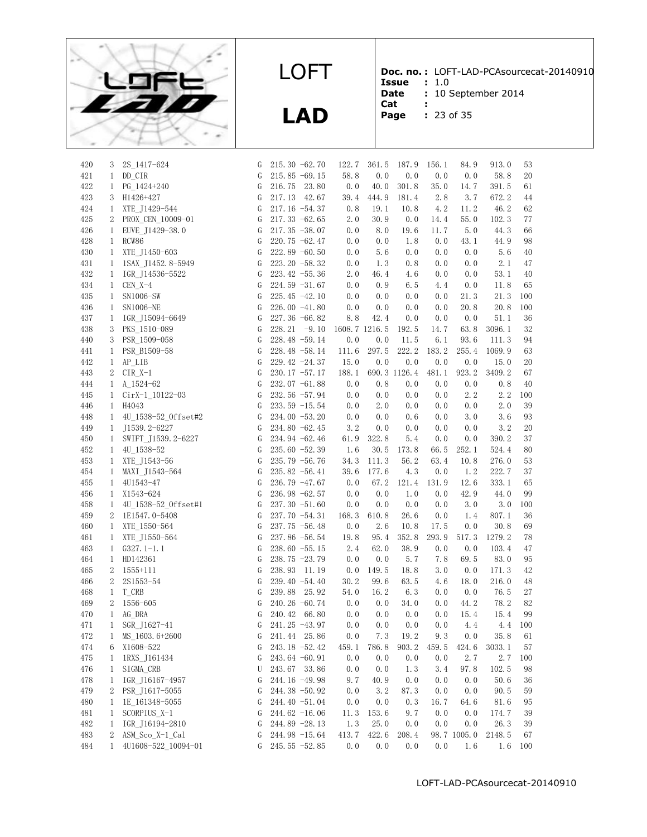

**Doc. no. :** LOFT-LAD-PCAsourcecat-20140910 **Issue :** 1.0

**Date** : 10 September 2014

- **Cat :**
- **Page :** 23 of 35
	-

| 420 | 3                            | 2S_1417-624                | G | $215.30 -62.70$  | 122.7         | 361.5 | 187.9        | 156.1 | 84.9        | 913.0   | 53      |
|-----|------------------------------|----------------------------|---|------------------|---------------|-------|--------------|-------|-------------|---------|---------|
| 421 | $\mathbf{1}$                 | DD CIR                     | G | $215.85 -69.15$  | 58.8          | 0.0   | 0.0          | 0.0   | 0.0         | 58.8    | 20      |
| 422 | $\mathbf{1}$                 | PG 1424+240                | G | 216.75 23.80     | 0.0           | 40.0  | 301.8        | 35.0  | 14.7        | 391.5   | 61      |
| 423 | 3                            | H1426+427                  | G | 217.13 42.67     | 39.4          | 444.9 | 181.4        | 2.8   | 3.7         | 672.2   | 44      |
| 424 | $\mathbf{1}$                 | XTE J1429-544              | G | $217.16 - 54.37$ | 0.8           | 19.1  | 10.8         | 4.2   | 11.2        | 46.2    | 62      |
| 425 | $2^{\circ}$                  | PROX_CEN_10009-01          | G | $217.33 -62.65$  | 2.0           | 30.9  | 0.0          | 14.4  | 55.0        | 102.3   | 77      |
| 426 | $\mathbf{1}$                 | EUVE_J1429-38.0            | G | $217.35 - 38.07$ | 0.0           | 8.0   | 19.6         | 11.7  | 5.0         | 44.3    | 66      |
| 428 | $\mathbf{1}$                 | RCW86                      | G | $220.75 -62.47$  | 0.0           | 0.0   | 1.8          | 0.0   | 43.1        | 44.9    | 98      |
| 430 | $\mathbf{1}$                 | XTE J1450-603              | G | 222.89 -60.50    | 0.0           | 5.6   | 0.0          | 0.0   | 0.0         | 5.6     | 40      |
| 431 | $\mathbf{1}$                 | 1SAX_J1452.8-5949          | G | $223.20 -58.32$  | 0.0           | 1.3   | 0.8          | 0.0   | 0.0         | 2.1     | 47      |
| 432 | $\mathbf{1}$                 | IGR J14536-5522            | G | $223.42 -55.36$  | 2.0           | 46.4  | 4.6          | 0.0   | 0.0         | 53.1    | 40      |
| 434 | $\mathbf{1}$                 | $CEN X-4$                  | G | $224.59 - 31.67$ | 0.0           | 0.9   | 6.5          | 4.4   | 0.0         | 11.8    | 65      |
| 435 | $\mathbf{1}$                 | SN1006-SW                  | G | 225.45 $-42.10$  | 0.0           | 0.0   | 0.0          | 0.0   | 21.3        | 21.3    | 100     |
| 436 | $\mathbf{1}$                 | SN1006-NE                  | G | 226.00 $-41.80$  | 0.0           | 0.0   | 0.0          | 0.0   | 20.8        | 20.8    | 100     |
| 437 | $\mathbf{1}$                 | IGR_J15094-6649            | G | 227.36 -66.82    | 8.8           | 42.4  | 0.0          | 0.0   | 0.0         | 51.1    | 36      |
| 438 | 3                            | PKS 1510-089               | G | $228.21 - 9.10$  | 1608.7 1216.5 |       | 192.5        | 14.7  | 63.8        | 3096.1  | 32      |
| 440 | 3                            | PSR_1509-058               | G | 228.48 -59.14    | 0.0           | 0.0   | 11.5         | 6.1   | 93.6        | 111.3   | 94      |
| 441 | $\mathbf{1}$                 | PSR B1509-58               | G | 228.48 -58.14    | 111.6         | 297.5 | 222.2        | 183.2 | 255.4       | 1069.9  | 63      |
| 442 | $\mathbf{1}$                 | $AP$ <sub></sub> $LIB$     | G | 229.42 -24.37    | 15.0          | 0.0   | 0.0          | 0.0   | 0.0         | 15.0    | 20      |
| 443 | $\mathbf{2}$                 | $CIR$ $X-1$                | G | $230.17 - 57.17$ | 188.1         |       | 690.3 1126.4 | 481.1 | 923.2       | 3409.2  | 67      |
| 444 |                              | 1 A $1524-62$              | G | 232.07 -61.88    | 0.0           | 0.8   | 0.0          | 0.0   | 0.0         | 0.8     | 40      |
| 445 | $\mathbf{1}$                 | CirX-1_10122-03            | G | 232.56 -57.94    | 0.0           | 0.0   | 0.0          | 0.0   | 2.2         | 2.2     | 100     |
| 446 | $\mathbf{1}$                 | H4043                      | G | $233.59 - 15.54$ | 0.0           | 2.0   | 0.0          | 0.0   | 0.0         | 2.0     | 39      |
| 448 | $\mathbf{1}$                 | 4U_1538-52_0ffset#2        | G | $234.00 -53.20$  | 0.0           | 0.0   | 0.6          | 0.0   | 3.0         | 3.6     | 93      |
| 449 | $\mathbf{1}$                 | J1539. 2-6227              | G | 234.80 -62.45    | 3.2           | 0.0   | 0.0          | 0.0   | 0.0         | 3.2     | 20      |
| 450 | $\mathbf{1}$                 | SWIFT_J1539.2-6227         | G | 234.94 -62.46    | 61.9          | 322.8 | 5.4          | 0.0   | 0.0         | 390.2   | 37      |
| 452 | $\mathbf{1}$                 |                            | G | $235.60 - 52.39$ | 1.6           | 30.5  | 173.8        | 66.5  | 252.1       | 524.4   | 80      |
| 453 | $\mathbf{1}$                 | 4U 1538-52<br>XTE J1543-56 | G | $235.79 - 56.76$ | 34.3          | 111.3 | 56.2         | 63.4  | 10.8        | 276.0   | 53      |
| 454 |                              |                            | G | 235.82 -56.41    | 39.6          | 177.6 | 4.3          | 0.0   | 1.2         | 222.7   | 37      |
| 455 | $\mathbf{1}$<br>$\mathbf{1}$ | MAXI J1543-564             | G | 236.79 -47.67    | 0.0           | 67.2  | 121.4        | 131.9 | 12.6        | 333.1   | 65      |
| 456 |                              | 4U1543-47<br>X1543-624     | G | $236.98 - 62.57$ | 0.0           | 0.0   | 1.0          | 0.0   | 42.9        | 44.0    | 99      |
|     | $\mathbf{1}$                 |                            |   |                  |               |       |              |       |             |         |         |
| 458 | 1                            | 4U 1538-52 Offset#1        | G | $237.30 - 51.60$ | 0.0           | 0.0   | 0.0          | 0.0   | 3.0         | 3.0     | 100     |
| 459 | $\overline{2}$               | 1E1547.0-5408              | G | 237.70 -54.31    | 168.3         | 610.8 | 26.6         | 0.0   | 1.4         | 807.1   | 36      |
| 460 | $\mathbf{1}$                 | XTE 1550-564               | G | 237.75 -56.48    | 0.0           | 2.6   | 10.8         | 17.5  | 0.0         | 30.8    | 69      |
| 461 | $\mathbf{1}$                 | XTE_J1550-564              | G | 237.86 -56.54    | 19.8          | 95.4  | 352.8        | 293.9 | 517.3       | 1279.2  | 78      |
| 463 | $\mathbf{1}$                 | $G327.1-1.1$               | G | $238.60 - 55.15$ | 2.4           | 62.0  | 38.9         | 0.0   | 0.0         | 103.4   | 47      |
| 464 | $\mathbf{1}$                 | HD142361                   | G | 238.75 -23.79    | 0.0           | 0.0   | 5.7          | 7.8   | 69.5        | 83.0    | 95      |
| 465 | 2                            | $1555+111$                 | G | 238.93 11.19     | 0.0           | 149.5 | 18.8         | 3.0   | 0.0         | 171.3   | 42      |
| 466 | 2                            | 2S1553-54                  | G | $239.40 -54.40$  | 30.2          | 99.6  | 63.5         | 4.6   | 18.0        | 216.0   | 48      |
| 468 | $\mathbf{1}$                 | T CRB                      | G | 239.88 25.92     | 54.0          | 16.2  | 6.3          | 0.0   | 0.0         | 76.5    | 27      |
| 469 | 2                            | 1556-605                   | G | $240.26 -60.74$  | 0.0           | 0.0   | 34.0         | 0.0   | 44.2        | 78.2    | 82      |
| 470 | $\mathbf{1}$                 | AG DRA                     | G | 240.42 66.80     | 0.0           | 0.0   | 0.0          | 0.0   | 15.4        | 15.4    | 99      |
| 471 | $\mathbf{1}$                 | SGR_J1627-41               | G | 241.25 -43.97    | 0.0           | 0.0   | 0.0          | 0.0   | 4.4         |         | 4.4 100 |
| 472 |                              | 1 MS_1603.6+2600           |   | G 241.44 25.86   | 0.0           |       | 7.3 19.2     |       | 9.3 0.0     | 35.8 61 |         |
| 474 | 6                            | X1608-522                  | G | 243.18 -52.42    | 459.1         | 786.8 | 903.2        | 459.5 | 424.6       | 3033.1  | 57      |
| 475 | 1                            | 1RXS_J161434               | G | $243.64 -60.91$  | 0.0           | 0.0   | 0.0          | 0.0   | 2.7         | 2.7     | 100     |
| 476 | 1                            | SIGMA CRB                  | U | 243.67 33.86     | 0.0           | 0.0   | 1.3          | 3.4   | 97.8        | 102.5   | 98      |
| 478 | $\mathbf{1}$                 | IGR_J16167-4957            | G | 244.16 -49.98    | 9.7           | 40.9  | 0.0          | 0.0   | 0.0         | 50.6    | 36      |
| 479 | 2                            | PSR J1617-5055             | G | 244.38 -50.92    | 0.0           | 3.2   | 87.3         | 0.0   | 0.0         | 90.5    | 59      |
| 480 | 1                            | 1E 161348-5055             | G | 244.40 -51.04    | 0.0           | 0.0   | 0.3          | 16.7  | 64.6        | 81.6    | 95      |
| 481 | $\mathbf{1}$                 | SCORPIUS X-1               | G | 244.62 $-16.06$  | 11.3          | 153.6 | 9.7          | 0.0   | 0.0         | 174.7   | 39      |
| 482 | $\mathbf{1}$                 | IGR_J16194-2810            | G | $244.89 - 28.13$ | 1.3           | 25.0  | 0.0          | 0.0   | 0.0         | 26.3    | 39      |
| 483 | 2                            | ASM_Sco_X-1_Cal            | G | $244.98 - 15.64$ | 413.7         | 422.6 | 208.4        |       | 98.7 1005.0 | 2148.5  | 67      |
| 484 | $\mathbf{1}$                 | 4U1608-522 10094-01        | G | $245.55 - 52.85$ | 0.0           | 0.0   | 0.0          | 0.0   | 1.6         |         | 1.6 100 |

LOFT

**LAD**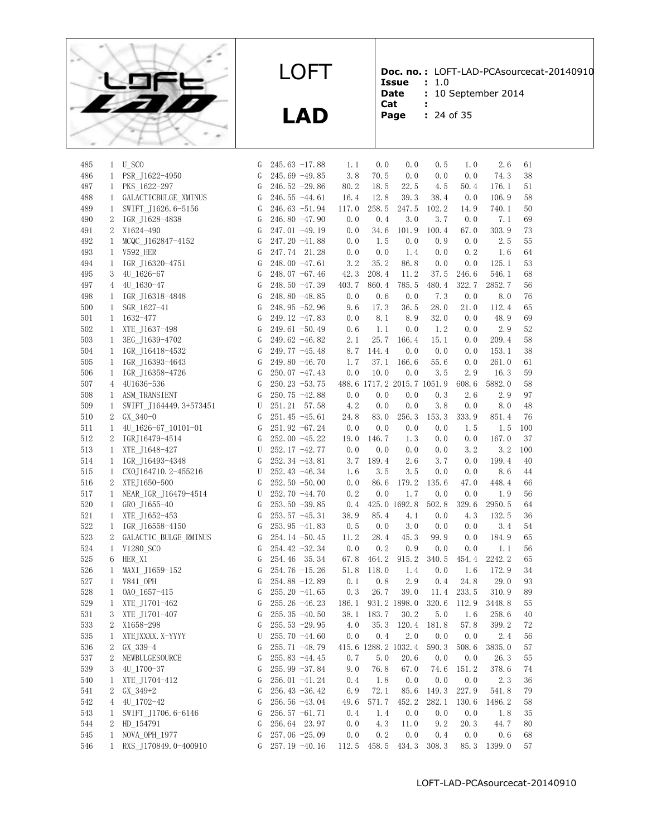

**LAD**

**Doc. no. :** LOFT-LAD-PCAsourcecat-20140910

- **Issue :** 1.0 Date : 10 September 2014
- **Cat :**
- **Page :** 24 of 35

|  | 24 of 35 |  |
|--|----------|--|

| 485        | 1                 | U_SCO                                | G           | $245.63 -17.88$  | 1.1         | 0.0         | 0.0                        | 0.5          | 1.0          | 2.6          | 61       |
|------------|-------------------|--------------------------------------|-------------|------------------|-------------|-------------|----------------------------|--------------|--------------|--------------|----------|
| 486        | $\mathbf{1}$      | PSR J1622-4950                       | G           | $245.69 - 49.85$ | 3.8         | 70.5        | 0.0                        | 0.0          | 0.0          | 74.3         | 38       |
| 487        | $\mathbf{1}$      | PKS 1622-297                         | G           | $246.52 - 29.86$ | 80.2        | 18.5        | 22.5                       | 4.5          | 50.4         | 176.1        | 51       |
| 488        | $\mathbf{1}$      | GALACTICBULGE_XMINUS                 | G           | $246.55 - 44.61$ | 16.4        | 12.8        | 39.3                       | 38.4         | 0.0          | 106.9        | 58       |
| 489        | $\mathbf{1}$      | SWIFT J1626.6-5156                   | G           | $246.63 - 51.94$ | 117.0       | 258.5       | 247.5                      | 102.2        | 14.9         | 740.1        | 50       |
| 490        | 2                 | IGR J1628-4838                       | G           | $246.80 - 47.90$ | 0.0         | 0.4         | 3.0                        | 3.7          | 0.0          | 7.1          | 69       |
| 491        | $\overline{2}$    | X1624-490                            | G           | $247.01 - 49.19$ | 0.0         | 34.6        | 101.9                      | 100.4        | 67.0         | 303.9        | 73       |
| 492        | $\mathbf{1}$      | MCQC J162847-4152                    | G           | $247.20 -41.88$  | 0.0         | 1.5         | 0.0                        | 0.9          | 0.0          | 2.5          | 55       |
| 493        | 1                 | V592 HER                             | G           | 247.74 21.28     | 0.0         | 0.0         | 1.4                        | 0.0          | 0.2          | 1.6          | 64       |
| 494        | $\mathbf{1}$      | IGR J16320-4751                      | G           | $248.00 -47.61$  | 3.2         | 35.2        | 86.8                       | 0.0          | 0.0          | 125.1        | 53       |
| 495        | 3                 | 4U 1626-67                           | G           | $248.07 -67.46$  | 42.3        | 208.4       | 11.2                       | 37.5         | 246.6        | 546.1        | 68       |
| 497        | 4                 | 4U 1630-47                           | G           | $248.50 - 47.39$ | 403.7       | 860.4       | 785.5                      | 480.4        | 322.7        | 2852.7       | 56       |
| 498        | 1                 | IGR J16318-4848                      | G           | $248.80 - 48.85$ | 0.0         | 0.6         | 0.0                        | 7.3          | 0.0          | 8.0          | 76       |
| 500        | $\mathbf{1}$      | SGR 1627-41                          | G           | $248.95 - 52.96$ | 9.6         | 17.3        | 36.5                       | 28.0         | 21.0         | 112.4        | 65       |
| 501        | $\mathbf{1}$      | 1632-477                             | G           | $249.12 -47.83$  | 0.0         | 8.1         | 8.9                        | 32.0         | 0.0          | 48.9         | 69       |
| 502        | $\mathbf{1}$      | XTE J1637-498                        | G           | $249.61 - 50.49$ | 0.6         | 1.1         | 0.0                        | 1.2          | 0.0          | 2.9          | 52       |
| 503        | $\mathbf{1}$      | 3EG J1639-4702                       | G           | $249.62 - 46.82$ | 2.1         | 25.7        | 166.4                      | 15.1         | 0.0          | 209.4        | 58       |
| 504        | $\mathbf{1}$      | IGR J16418-4532                      | G           | $249.77 - 45.48$ | 8.7         | 144.4       | 0.0                        | 0.0          | 0.0          | 153.1        | 38       |
| 505        | $\mathbf{1}$      | IGR J16393-4643                      | G           | $249.80 - 46.70$ | 1.7         | 37.1        | 166.6                      | 55.6         | 0.0          | 261.0        | 61       |
| 506        | 1                 | IGR J16358-4726                      | G           | $250.07 -47.43$  | 0.0         | 10.0        | 0.0                        | 3.5          | 2.9          | 16.3         | 59       |
| 507        | 4                 | 4U1636-536                           | G           | $250.23 - 53.75$ |             |             | 488.6 1717.2 2015.7 1051.9 |              | 608.6        | 5882.0       | 58       |
| 508        | $\mathbf{1}$      |                                      | G           |                  | 0.0         | 0.0         | 0.0                        | 0.3          | 2.6          | 2.9          | 97       |
|            |                   | ASM TRANSIENT                        |             | $250.75 - 42.88$ |             |             |                            |              |              |              |          |
| 509<br>510 | $\mathbf{1}$<br>2 | SWIFT J164449.3+573451<br>$GX_340-0$ | U<br>G      | 251.21 57.58     | 4.2<br>24.8 | 0.0<br>83.0 | 0.0<br>256.3               | 3.8<br>153.3 | 0.0<br>333.9 | 8.0<br>851.4 | 48<br>76 |
|            |                   |                                      |             | $251.45 - 45.61$ |             |             |                            |              |              |              |          |
| 511        | 1                 | 4U 1626-67 10101-01                  | G           | $251.92 -67.24$  | 0.0         | 0.0         | 0.0                        | 0.0          | 1.5          | 1.5          | 100      |
| 512        | 2                 | IGRJ16479-4514                       | G           | 252.00 -45.22    | 19.0        | 146.7       | 1.3                        | 0.0          | 0.0          | 167.0        | 37       |
| 513        | $\mathbf{1}$      | XTE J1648-427                        | U           | 252.17 -42.77    | 0.0         | 0.0         | 0.0                        | 0.0          | 3.2          | 3.2          | 100      |
| 514        | $\mathbf{1}$      | IGR J16493-4348                      | G           | $252.34 -43.81$  | 3.7         | 189.4       | 2.6                        | 3.7          | 0.0          | 199.4        | 40       |
| 515        | $\mathbf{1}$      | CX0J164710.2-455216                  | U           | 252.43 -46.34    | 1.6         | 3.5         | 3.5                        | 0.0          | 0.0          | 8.6          | 44       |
| 516        | $\mathbf{2}$      | XTEJ1650-500                         | G           | $252.50 - 50.00$ | 0.0         | 86.6        | 179.2                      | 135.6        | 47.0         | 448.4        | 66       |
| 517        | $\mathbf{1}$      | NEAR_IGR_J16479-4514                 | U           | $252.70 -44.70$  | 0.2         | 0.0         | 1.7                        | 0.0          | 0.0          | 1.9          | 56       |
| 520        | 1                 | GRO J1655-40                         | G           | $253.50 - 39.85$ | 0.4         |             | 425.0 1692.8               | 502.8        | 329.6        | 2950.5       | 64       |
| 521        | $\mathbf{1}$      | XTE J1652-453                        | G           | $253.57 -45.31$  | 38.9        | 85.4        | 4.1                        | 0.0          | 4.3          | 132.5        | 36       |
| 522        | $\mathbf{1}$      | IGR_J16558-4150                      | G           | $253.95 -41.83$  | 0.5         | 0.0         | 3.0                        | 0.0          | 0.0          | 3.4          | 54       |
| 523        | $\overline{2}$    | GALACTIC BULGE RMINUS                | G           | $254.14 - 50.45$ | 11.2        | 28.4        | 45.3                       | 99.9         | 0.0          | 184.9        | 65       |
| 524        | 1                 | V1280 SCO                            | G           | $254.42 -32.34$  | 0.0         | 0.2         | 0.9                        | 0.0          | 0.0          | 1.1          | 56       |
| 525        | 6                 | HER X1                               | G           | 254.46<br>35.34  | 67.8        | 464.2       | 915.2                      | 340.5        | 454.4        | 2242.2       | 65       |
| 526        | 1                 | MAXI J1659-152                       | G           | 254.76 -15.26    | 51.8        | 118.0       | 1.4                        | 0.0          | 1.6          | 172.9        | 34       |
| 527        | $\mathbf{1}$      | V841 OPH                             | G           | $254.88 - 12.89$ | 0.1         | 0.8         | 2.9                        | 0.4          | 24.8         | 29.0         | 93       |
| 528        | 1                 | OAO 1657-415                         | G           | $255.20 -41.65$  | 0.3         | 26.7        | 39.0                       | 11.4         | 233.5        | 310.9        | 89       |
| 529        | $\mathbf{1}$      | XTE_J1701-462                        | G           | 255.26 -46.23    | 186.1       |             | 931.2 1898.0               | 320.6        | 112.9        | 3448.8       | 55       |
| 531        | 3                 | XTE_J1701-407                        | G           | $255.35 - 40.50$ | 38.1        | 183.7       | 30.2                       | 5.0          | 1.6          | 258.6        | 40       |
| 533        | 2                 | X1658-298                            | G           | $255.53 - 29.95$ | 4.0         |             | 35.3 120.4 181.8           |              | 57.8         | 399.2        | 72       |
| 535        | $\mathbf{1}$      | XTEJXXXX. X-YYYY                     | $\mathbf U$ | 255.70 -44.60    |             |             | $0.0$ $0.4$ $2.0$          | 0.0          | 0.0          | 2.4          | $56\,$   |
| 536        | 2                 | GX 339-4                             | G           | $255.71 - 48.79$ |             |             | 415.6 1288.2 1032.4        | 590.3        | 508.6        | 3835.0       | 57       |
| 537        | 2                 | NEWBULGESOURCE                       | G           | $255.83 -44.45$  | 0.7         | 5.0         | 20.6                       | 0.0          | 0.0          | 26.3         | 55       |
| 539        | 3                 | 4U 1700-37                           | G           | $255.99 - 37.84$ | 9.0         | 76.8        | 67.0                       | 74.6         | 151.2        | 378.6        | 74       |
| 540        | $\mathbf{1}$      | XTE J1704-412                        | G           | 256.01 -41.24    | 0.4         | 1.8         | 0.0                        | 0.0          | 0.0          | 2.3          | 36       |
| 541        | 2                 | GX 349+2                             | G           | 256.43 $-36.42$  | 6.9         | 72.1        | 85.6                       | 149.3        | 227.9        | 541.8        | 79       |
| 542        | 4                 | 4U 1702-42                           | G           | 256.56 -43.04    | 49.6        | 571.7       | 452.2                      | 282.1        | 130.6        | 1486.2       | 58       |
| 543        | 1                 | SWIFT_J1706.6-6146                   | G           | $256.57 - 61.71$ | 0.4         | 1.4         | 0.0                        | 0.0          | 0.0          | 1.8          | 35       |
| 544        | 2                 | HD 154791                            | G           | 256.64 23.97     | 0.0         | 4.3         | 11.0                       | 9.2          | 20.3         | 44.7         | 80       |
| 545        | $\mathbf{1}$      | NOVA_OPH_1977                        | G           | $257.06 - 25.09$ | 0.0         | 0.2         | 0.0                        | 0.4          | 0.0          | 0.6          | 68       |
| 546        | $\mathbf{1}$      | RXS J170849.0-400910                 | G           | 257.19 -40.16    | 112.5       | 458.5       | 434.3                      | 308.3        | 85.3         | 1399.0       | 57       |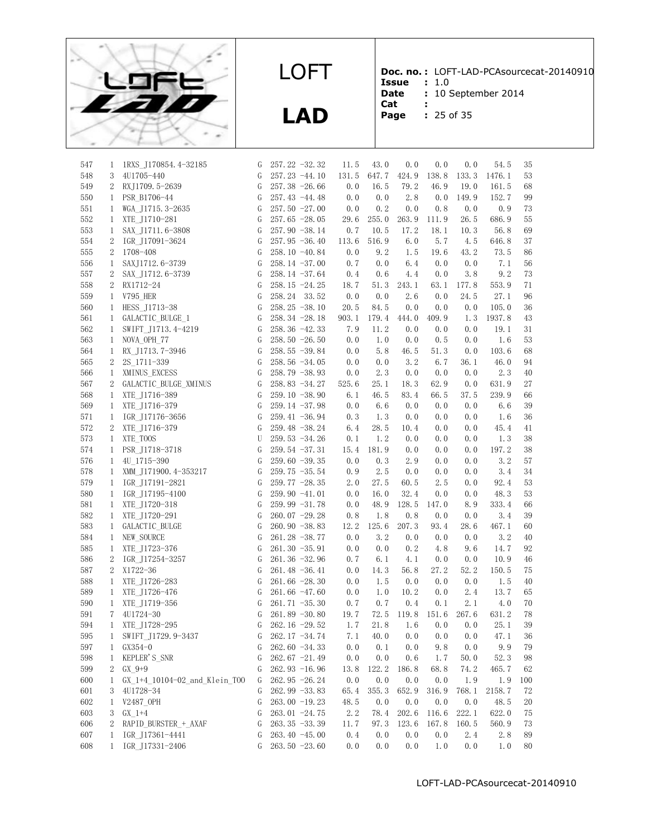

**LAD**

**Doc. no. :** LOFT-LAD-PCAsourcecat-20140910 **Issue :** 1.0

- Date : 10 September 2014
- **Cat :**
- **Page :** 25 of 35

| 547 | 1              | 1RXS J170854.4-32185          | G | $257.22 - 32.32$ | 11.5  | 43.0  | 0.0   | 0.0   | 0.0   | 54.5   | 35  |
|-----|----------------|-------------------------------|---|------------------|-------|-------|-------|-------|-------|--------|-----|
| 548 | 3              | 4U1705-440                    | G | $257.23 -44.10$  | 131.5 | 647.7 | 424.9 | 138.8 | 133.3 | 1476.1 | 53  |
| 549 | $\overline{2}$ | RXJ1709.5-2639                | G | $257.38 - 26.66$ | 0.0   | 16.5  | 79.2  | 46.9  | 19.0  | 161.5  | 68  |
| 550 | $\mathbf{1}$   | PSR B1706-44                  | G | $257.43 -44.48$  | 0.0   | 0.0   | 2.8   | 0.0   | 149.9 | 152.7  | 99  |
| 551 | 1              | WGA J1715.3-2635              | G | $257.50 - 27.00$ | 0.0   | 0.2   | 0.0   | 0.8   | 0.0   | 0.9    | 73  |
| 552 | $\mathbf{1}$   | XTE J1710-281                 | G | $257.65 - 28.05$ | 29.6  | 255.0 | 263.9 | 111.9 | 26.5  | 686.9  | 55  |
| 553 | $\mathbf{1}$   | SAX J1711.6-3808              | G | $257.90 - 38.14$ | 0.7   | 10.5  | 17.2  | 18.1  | 10.3  | 56.8   | 69  |
| 554 | 2              | IGR J17091-3624               | G | $257.95 - 36.40$ | 113.6 | 516.9 | 6.0   | 5.7   | 4.5   | 646.8  | 37  |
| 555 | 2              | 1708-408                      | G | 258.10 -40.84    | 0.0   | 9.2   | 1.5   | 19.6  | 43.2  | 73.5   | 86  |
| 556 | $\mathbf{1}$   | SAXJ1712.6-3739               | G | $258.14 - 37.00$ | 0.7   | 0.0   | 6.4   | 0.0   | 0.0   | 7.1    | 56  |
| 557 | 2              | SAX J1712.6-3739              | G | $258.14 - 37.64$ | 0.4   | 0.6   | 4.4   | 0.0   | 3.8   | 9.2    | 73  |
| 558 | 2              | RX1712-24                     | G | $258.15 - 24.25$ | 18.7  | 51.3  | 243.1 | 63.1  | 177.8 | 553.9  | 71  |
| 559 | $\mathbf{1}$   | <b>V795 HER</b>               | G | 258.24 33.52     | 0.0   | 0.0   | 2.6   | 0.0   | 24.5  | 27.1   | 96  |
| 560 | $\mathbf{1}$   | HESS_J1713-38                 | G | $258.25 - 38.10$ | 20.5  | 84.5  | 0.0   | 0.0   | 0.0   | 105.0  | 36  |
| 561 | $\mathbf{1}$   | GALACTIC BULGE 1              | G | $258.34 - 28.18$ | 903.1 | 179.4 | 444.0 | 409.9 | 1.3   | 1937.8 | 43  |
| 562 | 1              | SWIFT J1713.4-4219            | G | $258.36 - 42.33$ | 7.9   | 11.2  | 0.0   | 0.0   | 0.0   | 19.1   | 31  |
| 563 | $\mathbf{1}$   | NOVA OPH 77                   | G | 258.50 $-26.50$  | 0.0   | 1.0   | 0.0   | 0.5   | 0.0   | 1.6    | 53  |
| 564 | $\mathbf{1}$   | RX J1713.7-3946               | G | 258.55 -39.84    | 0.0   | 5.8   | 46.5  | 51.3  | 0.0   | 103.6  | 68  |
| 565 | 2              | 2S 1711-339                   | G | $258.56 - 34.05$ | 0.0   | 0.0   | 3.2   | 6.7   | 36.1  | 46.0   | 94  |
| 566 | 1              | XMINUS EXCESS                 | G | 258.79 -38.93    | 0.0   | 2.3   | 0.0   | 0.0   | 0.0   | 2.3    | 40  |
| 567 | 2              | GALACTIC_BULGE_XMINUS         | G | $258.83 - 34.27$ | 525.6 | 25.1  | 18.3  | 62.9  | 0.0   | 631.9  | 27  |
| 568 | $\mathbf{1}$   | XTE J1716-389                 | G | $259.10 - 38.90$ | 6.1   | 46.5  | 83.4  | 66.5  | 37.5  | 239.9  | 66  |
| 569 | $\mathbf{1}$   | XTE J1716-379                 | G | $259.14 - 37.98$ | 0.0   | 6.6   | 0.0   | 0.0   | 0.0   | 6.6    | 39  |
| 571 | $\mathbf{1}$   | IGR_J17176-3656               | G | $259.41 - 36.94$ | 0.3   | 1.3   | 0.0   | 0.0   | 0.0   | 1.6    | 36  |
| 572 | 2              | XTE J1716-379                 | G | $259.48 - 38.24$ | 6.4   | 28.5  | 10.4  | 0.0   | 0.0   | 45.4   | 41  |
| 573 | $\mathbf{1}$   | XTE TOOS                      | U | $259.53 - 34.26$ | 0.1   | 1.2   | 0.0   | 0.0   | 0.0   | 1.3    | 38  |
| 574 | 1              | PSR J1718-3718                | G | $259.54 - 37.31$ | 15.4  | 181.9 | 0.0   | 0.0   | 0.0   | 197.2  | 38  |
| 576 | $\mathbf{1}$   | 4U 1715-390                   | G | $259.60 - 39.35$ | 0.0   | 0.3   | 2.9   | 0.0   | 0.0   | 3.2    | 57  |
| 578 | $\mathbf{1}$   | XMM J171900.4-353217          | G | 259.75 -35.54    | 0.9   | 2.5   | 0.0   | 0.0   | 0.0   | 3.4    | 34  |
| 579 | 1              | IGR J17191-2821               | G | $259.77 - 28.35$ | 2.0   | 27.5  | 60.5  | 2.5   | 0.0   | 92.4   | 53  |
| 580 | 1              | IGR J17195-4100               | G | 259.90 -41.01    | 0.0   | 16.0  | 32.4  | 0.0   | 0.0   | 48.3   | 53  |
| 581 |                | 1 XTE J1720-318               | G | 259.99 -31.78    | 0.0   | 48.9  | 128.5 | 147.0 | 8.9   | 333.4  | 66  |
| 582 | $\mathbf{1}$   | XTE J1720-291                 | G | $260.07 -29.28$  | 0.8   | 1.8   | 0.8   | 0.0   | 0.0   | 3.4    | 39  |
| 583 | 1              | GALACTIC_BULGE                | G | $260.90 - 38.83$ | 12.2  | 125.6 | 207.3 | 93.4  | 28.6  | 467.1  | 60  |
| 584 | $\mathbf{1}$   | NEW SOURCE                    | G | $261.28 - 38.77$ | 0.0   | 3.2   | 0.0   | 0.0   | 0.0   | 3.2    | 40  |
| 585 | $\mathbf{1}$   | XTE J1723-376                 | G | $261.30 - 35.91$ | 0.0   | 0.0   | 0.2   | 4.8   | 9.6   | 14.7   | 92  |
| 586 | 2              | IGR J17254-3257               | G | $261.36 - 32.96$ | 0.7   | 6.1   | 4.1   | 0.0   | 0.0   | 10.9   | 46  |
| 587 | 2              | X1722-36                      | G | $261.48 - 36.41$ | 0.0   | 14.3  | 56.8  | 27.2  | 52.2  | 150.5  | 75  |
| 588 | $\mathbf{1}$   | XTE J1726-283                 | G | $261.66 - 28.30$ | 0.0   | 1.5   | 0.0   | 0.0   | 0.0   | 1.5    | 40  |
| 589 | 1              | XTE_J1726-476                 | G | $261.66 - 47.60$ | 0.0   | 1.0   | 10.2  | 0.0   | 2.4   | 13.7   | 65  |
| 590 | 1              | XTE J1719-356                 | G | $261.71 - 35.30$ | 0.7   | 0.7   | 0.4   | 0.1   | 2.1   | 4.0    | 70  |
| 591 | 7              | 4U1724-30                     | G | $261.89 - 30.80$ | 19.7  | 72.5  | 119.8 | 151.6 | 267.6 | 631.2  | 78  |
| 594 | 1              | XTE_J1728-295                 | G | 262.16 -29.52    | 1.7   | 21.8  | 1.6   | 0.0   | 0.0   | 25.1   | 39  |
| 595 | 1              | SWIFT_J1729.9-3437            | G | 262.17 -34.74    | 7.1   | 40.0  | 0.0   | 0.0   | 0.0   | 47.1   | 36  |
| 597 | $\mathbf{1}$   | $GX354-0$                     | G | 262.60 -34.33    | 0.0   | 0.1   | 0.0   | 9.8   | 0.0   | 9.9    | 79  |
| 598 | 1              | KEPLER'S_SNR                  | G | $262.67 -21.49$  | 0.0   | 0.0   | 0.6   | 1.7   | 50.0  | 52.3   | 98  |
| 599 | 2              | $GX 9+9$                      | G | $262.93 - 16.96$ | 13.8  | 122.2 | 186.8 | 68.8  | 74.2  | 465.7  | 62  |
| 600 | $\mathbf{1}$   | GX 1+4 10104-02 and Klein TOO | G | $262.95 -26.24$  | 0.0   | 0.0   | 0.0   | 0.0   | 1.9   | 1.9    | 100 |
| 601 | 3              | 4U1728-34                     | G | $262.99 - 33.83$ | 65.4  | 355.3 | 652.9 | 316.9 | 768.1 | 2158.7 | 72  |
| 602 | $\mathbf{1}$   | V2487 OPH                     | G | $263.00 -19.23$  | 48.5  | 0.0   | 0.0   | 0.0   | 0.0   | 48.5   | 20  |
| 603 | 3              | $GX 1+4$                      | G | 263.01 -24.75    | 2.2   | 78.4  | 202.6 | 116.6 | 222.1 | 622.0  | 75  |
| 606 | 2              | RAPID BURSTER + AXAF          | G | $263.35 - 33.39$ | 11.7  | 97.3  | 123.6 | 167.8 | 160.5 | 560.9  | 73  |
| 607 | 1              | IGR J17361-4441               | G | 263.40 $-45.00$  | 0.4   | 0.0   | 0.0   | 0.0   | 2.4   | 2.8    | 89  |
| 608 | $\mathbf{1}$   | IGR J17331-2406               | G | 263.50 -23.60    | 0.0   | 0.0   | 0.0   | 1.0   | 0.0   | 1.0    | 80  |
|     |                |                               |   |                  |       |       |       |       |       |        |     |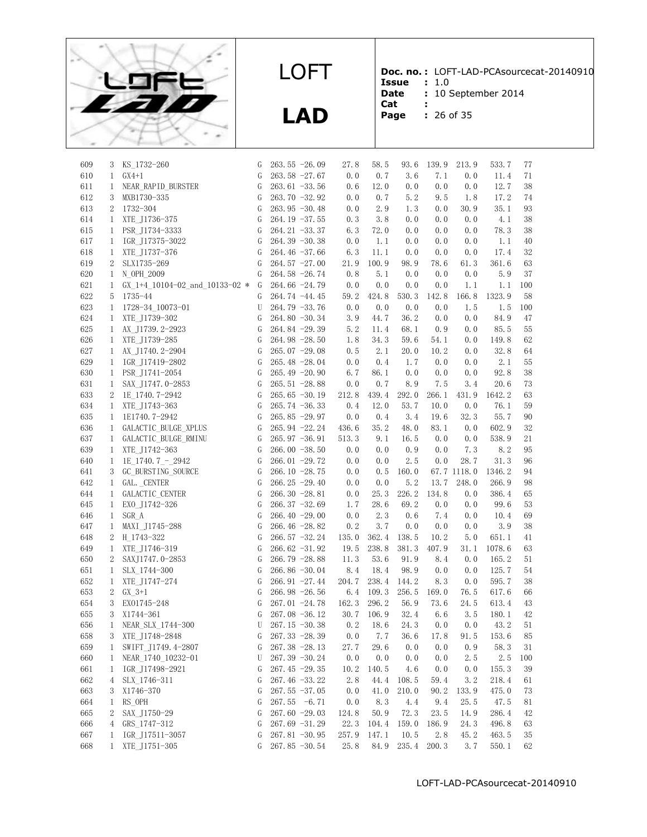

**LAD**

**Doc. no. :** LOFT-LAD-PCAsourcecat-20140910

- **Issue :** 1.0 Date : 10 September 2014
- **Cat :**
- **Page :** 26 of 35

|  | 26 of 35 |  |  |
|--|----------|--|--|

| 609 | 3              | KS_1732-260                      | G             | $263.55 - 26.09$ | 27.8  | 58.5  | 93.6  | 139.9 | 213.9       | 533.7  | 77     |
|-----|----------------|----------------------------------|---------------|------------------|-------|-------|-------|-------|-------------|--------|--------|
| 610 | $\mathbf{1}$   | $GX4+1$                          | G             | $263.58 - 27.67$ | 0.0   | 0.7   | 3.6   | 7.1   | 0.0         | 11.4   | 71     |
| 611 | 1              | NEAR_RAPID_BURSTER               | G             | $263.61 - 33.56$ | 0.6   | 12.0  | 0.0   | 0.0   | 0.0         | 12.7   | 38     |
| 612 | 3              | MXB1730-335                      | G             | $263.70 - 32.92$ | 0.0   | 0.7   | 5.2   | 9.5   | 1.8         | 17.2   | 74     |
| 613 | 2              | 1732-304                         | G             | $263.95 - 30.48$ | 0.0   | 2.9   | 1.3   | 0.0   | 30.9        | 35.1   | 93     |
| 614 | $\mathbf{1}$   | XTE J1736-375                    | G             | $264.19 - 37.55$ | 0.3   | 3.8   | 0.0   | 0.0   | 0.0         | 4.1    | 38     |
| 615 | 1              | PSR J1734-3333                   | G             | $264.21 - 33.37$ | 6.3   | 72.0  | 0.0   | 0.0   | 0.0         | 78.3   | 38     |
| 617 | $\mathbf{1}$   | IGR J17375-3022                  | ${\mathbb G}$ | $264.39 - 30.38$ | 0.0   | 1.1   | 0.0   | 0.0   | 0.0         | 1.1    | 40     |
| 618 | $\mathbf{1}$   | XTE J1737-376                    | G             | $264.46 - 37.66$ | 6.3   | 11.1  | 0.0   | 0.0   | 0.0         | 17.4   | $32\,$ |
| 619 | 2              | SLX1735-269                      | G             | $264.57 -27.00$  | 21.9  | 100.9 | 98.9  | 78.6  | 61.3        | 361.6  | 63     |
| 620 | 1              | N OPH 2009                       | G             | 264.58 -26.74    | 0.8   | 5.1   | 0.0   | 0.0   | 0.0         | 5.9    | $37\,$ |
| 621 | $\mathbf{1}$   | GX 1+4 10104-02 and 10133-02 $*$ | G             | 264.66 -24.79    | 0.0   | 0.0   | 0.0   | 0.0   | 1.1         | 1.1    | 100    |
| 622 | 5              | 1735-44                          | G             | 264.74 -44.45    | 59.2  | 424.8 | 530.3 | 142.8 | 166.8       | 1323.9 | 58     |
| 623 | $\mathbf{1}$   | 1728-34 10073-01                 | U             | 264.79 -33.76    | 0.0   | 0.0   | 0.0   | 0.0   | 1.5         | 1.5    | 100    |
| 624 | $\mathbf{1}$   | XTE J1739-302                    | G             | $264.80 - 30.34$ | 3.9   | 44.7  | 36.2  | 0.0   | 0.0         | 84.9   | 47     |
| 625 | $\mathbf{1}$   | AX_J1739.2-2923                  | G             | $264.84 - 29.39$ | 5.2   | 11.4  | 68.1  | 0.9   | 0.0         | 85.5   | 55     |
| 626 | $\mathbf{1}$   | XTE J1739-285                    | G             | $264.98 - 28.50$ | 1.8   | 34.3  | 59.6  | 54.1  | 0.0         | 149.8  | $62\,$ |
|     |                |                                  |               |                  |       |       |       |       |             |        |        |
| 627 | 1              | AX_J1740.2-2904                  | G             | $265.07 -29.08$  | 0.5   | 2.1   | 20.0  | 10.2  | 0.0         | 32.8   | 64     |
| 629 | $\mathbf{1}$   | IGR J17419-2802                  | G             | $265.48 - 28.04$ | 0.0   | 0.4   | 1.7   | 0.0   | 0.0         | 2.1    | 55     |
| 630 | $\mathbf{1}$   | PSR J1741-2054                   | G             | 265.49 -20.90    | 6.7   | 86.1  | 0.0   | 0.0   | 0.0         | 92.8   | $38\,$ |
| 631 | $\mathbf{1}$   | SAX_J1747.0-2853                 | G             | $265.51 - 28.88$ | 0.0   | 0.7   | 8.9   | 7.5   | 3.4         | 20.6   | 73     |
| 633 | 2              | 1E 1740.7-2942                   | G             | $265.65 - 30.19$ | 212.8 | 439.4 | 292.0 | 266.1 | 431.9       | 1642.2 | 63     |
| 634 | $\mathbf{1}$   | XTE J1743-363                    | $\mathsf G$   | $265.74 - 36.33$ | 0.4   | 12.0  | 53.7  | 10.0  | 0.0         | 76.1   | 59     |
| 635 | $\mathbf{1}$   | 1E1740.7-2942                    | G             | 265.85 -29.97    | 0.0   | 0.4   | 3.4   | 19.6  | 32.3        | 55.7   | 90     |
| 636 | $\mathbf{1}$   | GALACTIC_BULGE_XPLUS             | G             | $265.94 -22.24$  | 436.6 | 35.2  | 48.0  | 83.1  | 0.0         | 602.9  | $32\,$ |
| 637 | $\mathbf{1}$   | GALACTIC_BULGE_RMINU             | G             | $265.97 -36.91$  | 513.3 | 9.1   | 16.5  | 0.0   | 0.0         | 538.9  | 21     |
| 639 | $\mathbf{1}$   | XTE J1742-363                    | G             | $266.00 - 38.50$ | 0.0   | 0.0   | 0.9   | 0.0   | 7.3         | 8.2    | 95     |
| 640 | $\mathbf{1}$   | 1E_1740.7_-_2942                 | G             | $266.01 - 29.72$ | 0.0   | 0.0   | 2.5   | 0.0   | 28.7        | 31.3   | 96     |
| 641 | 3              | GC BURSTING SOURCE               | G             | $266.10 - 28.75$ | 0.0   | 0.5   | 160.0 |       | 67.7 1118.0 | 1346.2 | 94     |
| 642 | $\mathbf{1}$   | GAL. _CENTER                     | ${\mathbb G}$ | $266.25 - 29.40$ | 0.0   | 0.0   | 5.2   | 13.7  | 248.0       | 266.9  | 98     |
| 644 | $\mathbf{1}$   | GALACTIC_CENTER                  | G             | $266.30 - 28.81$ | 0.0   | 25.3  | 226.2 | 134.8 | 0.0         | 386.4  | 65     |
| 645 | $\mathbf{1}$   | EXO J1742-326                    | G             | $266.37 -32.69$  | 1.7   | 28.6  | 69.2  | 0.0   | 0.0         | 99.6   | 53     |
| 646 | 1              | SGR A                            | G             | $266.40 -29.00$  | 0.0   | 2.3   | 0.6   | 7.4   | 0.0         | 10.4   | 69     |
| 647 | $\mathbf{1}$   | MAXI_J1745-288                   | G             | $266.46 - 28.82$ | 0.2   | 3.7   | 0.0   | 0.0   | 0.0         | 3.9    | 38     |
| 648 | $\overline{2}$ | H 1743-322                       | G             | $266.57 - 32.24$ | 135.0 | 362.4 | 138.5 | 10.2  | 5.0         | 651.1  | 41     |
| 649 | $\mathbf{1}$   | XTE J1746-319                    | G             | $266.62 -31.92$  | 19.5  | 238.8 | 381.3 | 407.9 | 31.1        | 1078.6 | 63     |
| 650 | 2              | SAXJ1747.0-2853                  | G             | 266.79 -28.88    | 11.3  | 53.6  | 91.9  | 8.4   | 0.0         | 165.2  | 51     |
| 651 | $\mathbf{1}$   | SLX 1744-300                     | G             | 266.86 -30.04    | 8.4   | 18.4  | 98.9  | 0.0   | 0.0         | 125.7  | 54     |
| 652 | $\mathbf{1}$   | XTE J1747-274                    | G             | $266.91 -27.44$  | 204.7 | 238.4 | 144.2 | 8.3   | 0.0         | 595.7  | 38     |
| 653 | 2              | $GX_3+1$                         | G             | $266.98 - 26.56$ | 6.4   | 109.3 | 256.5 | 169.0 | 76.5        | 617.6  | 66     |
| 654 | 3              | EX01745-248                      | G             | $267.01 - 24.78$ | 162.3 | 296.2 | 56.9  | 73.6  | 24.5        | 613.4  | 43     |
| 655 | 3              | X1744-361                        | G             | $267.08 - 36.12$ | 30.7  | 106.9 | 32.4  | 6.6   | 3.5         | 180.1  | 42     |
| 656 | $\mathbf{1}$   | NEAR SLX 1744-300                | U             | $267.15 - 30.38$ | 0.2   | 18.6  | 24.3  | 0.0   | 0.0         | 43.2   | 51     |
| 658 | 3              | XTE_J1748-2848                   | G             | $267.33 - 28.39$ | 0.0   | 7. 7  | 36.6  | 17.8  | $91.\,\,5$  | 153.6  | $85\,$ |
| 659 | 1              | SWIFT J1749.4-2807               | G             | $267.38 - 28.13$ | 27.7  | 29.6  | 0.0   | 0.0   | 0.9         | 58.3   | 31     |
| 660 | 1              | NEAR 1740 10232-01               | U             | 267.39 -30.24    | 0.0   | 0.0   | 0.0   | 0.0   | 2.5         | 2.5    | 100    |
| 661 | 1              | IGR J17498-2921                  | G             | $267.45 -29.35$  | 10.2  | 140.5 | 4.6   | 0.0   | 0.0         | 155.3  | 39     |
| 662 | 4              | SLX_1746-311                     | G             | 267.46 -33.22    | 2.8   | 44.4  | 108.5 | 59.4  | 3.2         | 218.4  | 61     |
| 663 | 3              | X1746-370                        | G             | $267.55 - 37.05$ | 0.0   | 41.0  | 210.0 | 90.2  | 133.9       | 475.0  | 73     |
| 664 | $\mathbf{1}$   | RS_OPH                           | G             | $267.55 - 6.71$  | 0.0   | 8.3   | 4.4   | 9.4   | 25.5        | 47.5   | 81     |
| 665 | 2              | SAX J1750-29                     | G             | $267.60 - 29.03$ | 124.8 | 50.9  | 72.3  | 23.5  | 14.9        | 286.4  | 42     |
| 666 | 4              | GRS_1747-312                     | G             | $267.69 - 31.29$ | 22.3  | 104.4 | 159.0 | 186.9 | 24.3        | 496.8  | 63     |
| 667 | 1              | IGR_J17511-3057                  | G             | $267.81 - 30.95$ | 257.9 | 147.1 | 10.5  | 2.8   | 45.2        | 463.5  | 35     |
| 668 | $\mathbf{1}$   | XTE J1751-305                    | G             | $267.85 - 30.54$ | 25.8  | 84.9  | 235.4 | 200.3 | 3.7         | 550.1  | 62     |
|     |                |                                  |               |                  |       |       |       |       |             |        |        |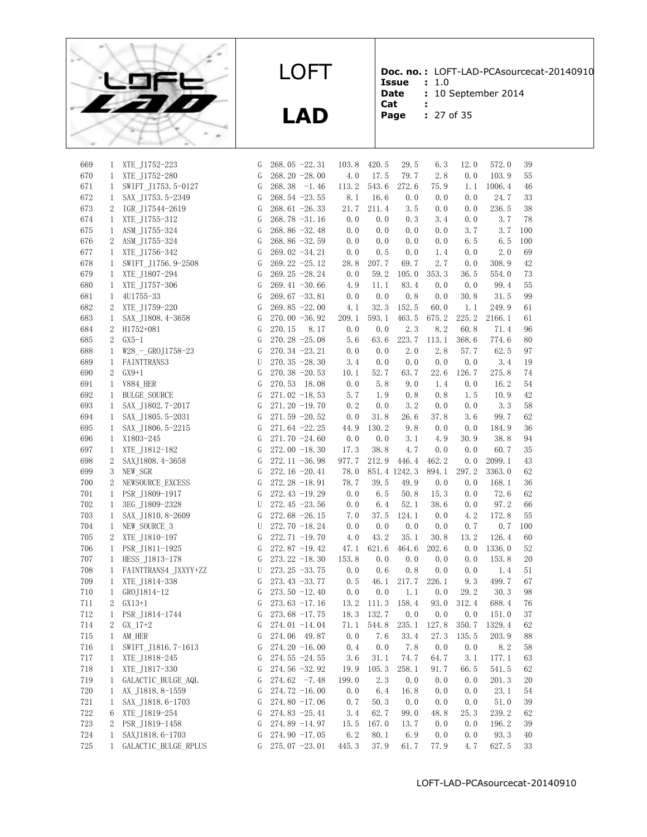

**LAD**

**Doc. no. :** LOFT-LAD-PCAsourcecat-20140910

- **Issue :** 1.0 Date : 10 September 2014
- **Cat :**
- **Page :** 27 of 35

| 669        | 1              | XTE_J1752-223          | G         | $268.05 -22.31$  | 103.8       | 420.5         | 29.5                      | 6.3          | 12.0  | 572.0         | 39       |
|------------|----------------|------------------------|-----------|------------------|-------------|---------------|---------------------------|--------------|-------|---------------|----------|
| 670        | $\mathbf{1}$   | XTE J1752-280          | G         | 268.20 -28.00    | 4.0         | 17.5          | 79.7                      | 2.8          | 0.0   | 103.9         | 55       |
| 671        | $\mathbf{1}$   | SWIFT J1753.5-0127     | G         | $268.38 -1.46$   | 113.2       | 543.6         | 272.6                     | 75.9         | 1.1   | 1006.4        | 46       |
| 672        | $\mathbf{1}$   | SAX J1753.5-2349       | G         | 268.54 -23.55    | 8.1         | 16.6          | 0.0                       | 0.0          | 0.0   | 24.7          | 33       |
| 673        | 2              | IGR J17544-2619        | G         | $268.61 - 26.33$ | 21.7        | 211.4         | 3.5                       | 0.0          | 0.0   | 236.5         | 38       |
| 674        | $\mathbf{1}$   | XTE J1755-312          | G         | $268.78 - 31.16$ | 0.0         | 0.0           | 0.3                       | 3.4          | 0.0   | 3.7           | 78       |
| 675        | $\mathbf{1}$   | ASM J1755-324          | G         | 268.86 -32.48    | 0.0         | 0.0           | 0.0                       | 0.0          | 3.7   | 3.7           | 100      |
| 676        | $\overline{2}$ | ASM J1755-324          | G         | 268.86 -32.59    | 0.0         | 0.0           | 0.0                       | 0.0          | 6.5   | 6.5           | 100      |
| 677        | $\mathbf{1}$   | XTE J1756-342          | G         | $269.02 -34.21$  | 0.0         | 0.5           | 0.0                       | 1.4          | 0.0   | 2.0           | 69       |
| 678        | $\mathbf{1}$   | SWIFT J1756.9-2508     | G         | 269.22 -25.12    | 28.8        | 207.7         | 69.7                      | 2.7          | 0.0   | 308.9         | 42       |
| 679        | $\mathbf{1}$   | XTE J1807-294          | G         | 269.25 -28.24    | 0.0         | 59.2          | 105.0                     | 353.3        | 36.5  | 554.0         | 73       |
| 680        | $\mathbf{1}$   | XTE J1757-306          | G         | $269.41 - 30.66$ | 4.9         | 11.1          | 83.4                      | 0.0          | 0.0   | 99.4          | 55       |
| 681        | $\mathbf{1}$   | 4U1755-33              | G         | $269.67 - 33.81$ | 0.0         | 0.0           | 0.8                       | 0.0          | 30.8  | 31.5          | 99       |
| 682        | 2              | XTE J1759-220          | G         | $269.85 -22.00$  | 4.1         | 32.3          | 152.5                     | 60.0         | 1.1   | 249.9         | 61       |
| 683        | $\mathbf{1}$   | SAX_J1808.4-3658       | G         | $270.00 - 36.92$ | 209.1       | 593.1         | 463.5                     | 675.2        | 225.2 | 2166.1        | 61       |
| 684        | $2^{\circ}$    | H1752+081              | G         | 270.15           | 0.0<br>8.17 | 0.0           | 2.3                       | 8.2          | 60.8  | 71.4          | 96       |
| 685        | 2              | $GX5-1$                | G         | $270.28 - 25.08$ | 5.6         | 63.6          | 223.7                     | 113.1        | 368.6 | 774.6         | 80       |
| 688        | 1              | $W28 - GROJ1758 - 23$  | G         | $270.34 - 23.21$ | 0.0         | 0.0           | 2.0                       | 2.8          | 57.7  | 62.5          | 97       |
| 689        | $\mathbf{1}$   | FAINTTRANS3            | U         | 270.35 -28.30    | 3.4         | 0.0           | 0.0                       | 0.0          | 0.0   | 3.4           | 19       |
| 690        | $\overline{2}$ | $GX9+1$                | G         | $270.38 - 20.53$ | 10.1        | 52.7          | 63.7                      | 22.6         | 126.7 | 275.8         | 74       |
| 691        | $\mathbf{1}$   | <b>V884 HER</b>        | G         | 270.53 18.08     | 0.0         | 5.8           | 9.0                       | 1.4          | 0.0   | 16.2          | 54       |
| 692        | $\mathbf{1}$   | <b>BULGE SOURCE</b>    | G         | $271.02 -18.53$  | 5.7         | 1.9           | 0.8                       | 0.8          | 1.5   | 10.9          | 42       |
| 693        | $\mathbf{1}$   | SAX J1802.7-2017       | G         | 271.20 -19.70    | 0.2         | 0.0           | 3.2                       | 0.0          | 0.0   | 3.3           | 58       |
| 694        | $\mathbf{1}$   | SAX J1805.5-2031       | G         | $271.59 - 20.52$ | 0.0         | 31.8          | 26.6                      | 37.8         | 3.6   | 99.7          | 62       |
| 695        | $\mathbf{1}$   | SAX_J1806.5-2215       | G         | $271.64 -22.25$  | 44.9        | 130.2         | 9.8                       | 0.0          | 0.0   | 184.9         | 36       |
| 696        | $\mathbf{1}$   | X1803-245              | G         | 271.70 -24.60    | 0.0         | 0.0           | 3.1                       | 4.9          | 30.9  | 38.8          | 94       |
|            |                |                        |           |                  | 17.3        |               |                           |              |       |               |          |
| 697<br>698 | $\mathbf{1}$   | XTE J1812-182          | G<br>G    | 272.00 -18.30    | 977.7       | 38.8<br>212.9 | 4.7                       | 0.0<br>462.2 | 0.0   | 60.7          | 35<br>43 |
|            | 2              | SAXJ1808.4-3658        |           | $272.11 - 36.98$ |             |               | 446.4                     |              | 0.0   | 2099.1        |          |
| 699<br>700 | 3              | NEW SGR                | G         | 272.16 -20.41    | 78.0        |               | 851.4 1242.3              | 894.1        | 297.2 | 3363.0        | 62       |
|            | 2              | NEWSOURCE_EXCESS       | G         | 272.28 -18.91    | 78.7        | 39.5          | 49.9                      | 0.0<br>15.3  | 0.0   | 168.1<br>72.6 | 36       |
| 701        | $\mathbf{1}$   | PSR J1809-1917         | G         | 272.43 -19.29    | 0.0         | 6.5           | 50.8                      |              | 0.0   |               | $62\,$   |
| 702        | $\mathbf{1}$   | 3EG_J1809-2328         | U         | $272.45 - 23.56$ | 0.0         | 6.4           | 52.1                      | 38.6         | 0.0   | 97.2          | 66       |
| 703        | $\mathbf{1}$   | SAX J1810.8-2609       | G         | 272.68 -26.15    | 7.0         | 37.5          | 124.1                     | 0.0          | 4.2   | 172.8         | 55       |
| 704        | $\mathbf{1}$   | NEW SOURCE 3           | U         | 272.70 -18.24    | 0.0         | 0.0           | 0.0                       | 0.0          | 0.7   | 0.7           | 100      |
| 705        | 2              | XTE J1810-197          | G         | 272.71 -19.70    | 4.0         | 43.2          | 35.1                      | 30.8         | 13.2  | 126.4         | 60       |
| 706        | $\mathbf{1}$   | PSR J1811-1925         | G         | 272.87 -19.42    | 47.1        | 621.6         | 464.6                     | 202.6        | 0.0   | 1336.0        | 52       |
| 707        |                | 1 HESS_J1813-178       | G         | $273.22 - 18.30$ | 153.8       | 0.0           | 0.0                       | 0.0          | 0.0   | 153.8         | 20       |
| 708        |                | 1 FAINTTRANS4_JXXYY+ZZ | U         | $273.25 - 33.75$ | 0.0         | 0.6           | 0.8                       | 0.0          | 0.0   | 1.4           | 51       |
| 709        | $\mathbf{1}$   | XTE J1814-338          | G         | $273.43 - 33.77$ | 0.5         | 46.1          | 217.7                     | 226.1        | 9.3   | 499.7         | 67       |
| 710        | $\mathbf{1}$   | GROJ1814-12            | G         | $273.50 -12.40$  | 0.0         | 0.0           | 1.1                       | 0.0          | 29.2  | 30.3          | 98       |
| 711        | $\overline{2}$ | GX13+1                 | G         | $273.63 - 17.16$ | 13.2        | 111.3         | 158.4                     | 93.0         | 312.4 | 688.4         | 76       |
| 712        | $\mathbf{1}$   | PSR J1814-1744         | G         | $273.68 - 17.75$ | 18.3        | 132.7         | 0.0                       | 0.0          | 0.0   | 151.0         | 37       |
| 714        | $\overline{2}$ | $GX 17+2$              | G         | 274.01 -14.04    | 71.1        |               | 544.8 235.1               | 127.8        | 350.7 | 1329.4        | 62       |
| $715\,$    | $\mathbf{1}$   | AM_HER                 | ${\rm G}$ | 274.06 49.87     |             |               | $0.0$ 7.6 33.4 27.3 135.5 |              |       | 203.9         | 88       |
| 716        | $\mathbf{1}$   | SWIFT_J1816.7-1613     | G         | $274.20 -16.00$  | 0.4         | 0.0           | 7.8                       | 0.0          | 0.0   | 8.2           | 58       |
| 717        | 1              | XTE_J1818-245          | G         | $274.55 - 24.55$ | 3.6         | 31.1          | 74.7                      | 64.7         | 3.1   | 177.1         | 63       |
| 718        | $\mathbf{1}$   | XTE J1817-330          | G         | $274.56 - 32.92$ | 19.9        | 105.3         | 258.1                     | 91.7         | 66.5  | 541.5         | 62       |
| 719        | $\mathbf{1}$   | GALACTIC_BULGE_AQL     | G         | $274.62 -7.48$   | 199.0       | 2.3           | 0.0                       | 0.0          | 0.0   | 201.3         | 20       |
| 720        | $\mathbf{1}$   | AX J1818.8-1559        | G         | 274.72 $-16.00$  | 0.0         | 6.4           | 16.8                      | 0.0          | 0.0   | 23.1          | 54       |
| 721        | 1              | SAX_J1818.6-1703       | G         | $274.80 - 17.06$ | 0.7         | 50.3          | 0.0                       | 0.0          | 0.0   | 51.0          | 39       |
| 722        | 6              | XTE J1819-254          | G         | $274.83 - 25.41$ | 3.4         | 62.7          | 99.0                      | 48.8         | 25.3  | 239.2         | 62       |
| 723        | $\overline{2}$ | PSR_J1819-1458         | G         | 274.89 -14.97    | 15.5        | 167.0         | 13.7                      | 0.0          | 0.0   | 196.2         | 39       |
| 724        | 1              | SAXJ1818.6-1703        | G         | $274.90 -17.05$  | 6.2         | 80.1          | 6.9                       | 0.0          | 0.0   | 93.3          | 40       |
| 725        | $\mathbf{1}$   | GALACTIC BULGE RPLUS   | G         | $275.07 - 23.01$ | 445.3       | 37.9          | 61.7                      | 77.9         | 4.7   | 627.5         | 33       |
|            |                |                        |           |                  |             |               |                           |              |       |               |          |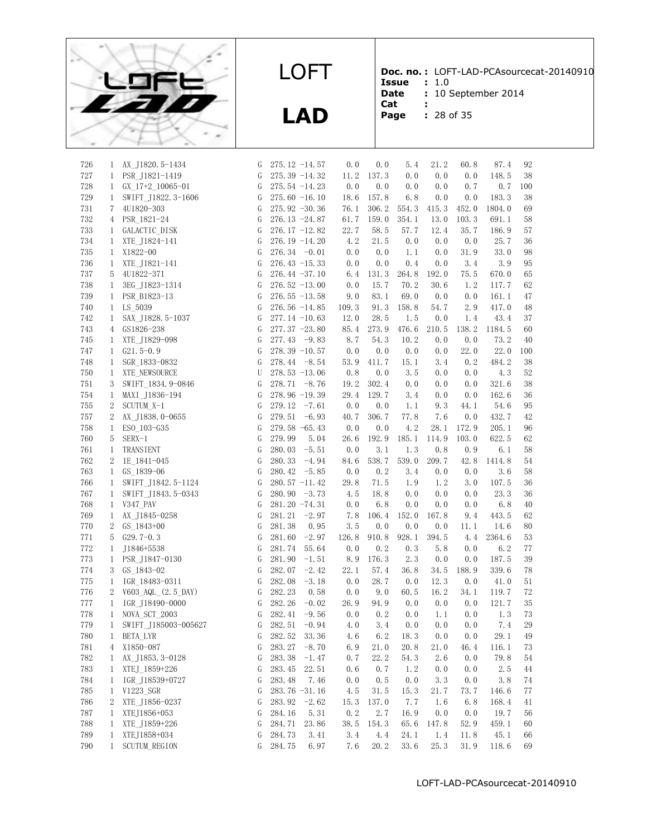

**LAD**

**Doc. no. :** LOFT-LAD-PCAsourcecat-20140910

**Issue :** 1.0 **Date** : 10 September 2014<br>**Cat** :

- **Cat :**
- **Page :** 28 of 35

| 28 of 3 |  |
|---------|--|
|         |  |

| 726        | 1              | AX_J1820.5-1434                       | G         |        | $275.12 -14.57$  | 0.0   | 0.0   | 5.4        | 21.2        | 60.8        | 87.4          | 92  |
|------------|----------------|---------------------------------------|-----------|--------|------------------|-------|-------|------------|-------------|-------------|---------------|-----|
| 727        | $\mathbf{1}$   | PSR J1821-1419                        | G         |        | 275.39 -14.32    | 11.2  | 137.3 | 0.0        | 0.0         | 0.0         | 148.5         | 38  |
| 728        | $\mathbf{1}$   | $GX_17+2_10065-01$                    | G         |        | $275.54 -14.23$  | 0.0   | 0.0   | 0.0        | 0.0         | 0.7         | 0.7           | 100 |
| 729        | $\mathbf{1}$   | SWIFT_J1822.3-1606                    | G         |        | 275.60 $-16.10$  | 18.6  | 157.8 | 6.8        | 0.0         | 0.0         | 183.3         | 38  |
| 731        | 7              | 4U1820-303                            | G         |        | $275.92 - 30.36$ | 76.1  | 306.2 | 554.3      | 415.3       | 452.0       | 1804.0        | 69  |
| 732        | 4              | PSR_1821-24                           | G         |        | $276.13 - 24.87$ | 61.7  | 159.0 | 354.1      | 13.0        | 103.3       | 691.1         | 58  |
| 733        | $\mathbf{1}$   | GALACTIC DISK                         | G         |        | $276.17 - 12.82$ | 22.7  | 58.5  | 57.7       | 12.4        | 35.7        | 186.9         | 57  |
| 734        | $\mathbf{1}$   | XTE J1824-141                         | G         |        | $276.19 - 14.20$ | 4.2   | 21.5  | 0.0        | 0.0         | 0.0         | 25.7          | 36  |
| 735        | $\mathbf{1}$   | X1822-00                              | G         |        | 276.34 $-0.01$   | 0.0   | 0.0   | 1.1        | 0.0         | 31.9        | 33.0          | 98  |
| 736        | 1              | XTE_J1821-141                         | G         |        | $276.43 - 15.33$ | 0.0   | 0.0   | 0.4        | 0.0         | 3.4         | 3.9           | 95  |
| 737        | 5              | 4U1822-371                            | G         |        | $276.44 - 37.10$ | 6.4   | 131.3 | 264.8      | 192.0       | 75.5        | 670.0         | 65  |
| 738        | $\mathbf{1}$   | 3EG J1823-1314                        | G         |        | $276.52 - 13.00$ | 0.0   | 15.7  | 70.2       | 30.6        | 1.2         | 117.7         | 62  |
| 739        | $\mathbf{1}$   | PSR B1823-13                          | G         |        | $276.55 - 13.58$ | 9.0   | 83.1  | 69.0       | 0.0         | 0.0         | 161.1         | 47  |
| 740        | $\mathbf{1}$   | LS 5039                               | G         |        | $276.56 - 14.85$ | 109.3 | 91.3  | 158.8      | 54.7        | 2.9         | 417.0         | 48  |
| 742        | $\mathbf{1}$   | SAX_J1828.5-1037                      | G         |        | $277.14 -10.63$  | 12.0  | 28.5  | 1.5        | 0.0         | 1.4         | 43.4          | 37  |
| 743        | $\overline{4}$ | GS1826-238                            | G         |        | $277.37 - 23.80$ | 85.4  | 273.9 | 476.6      | 210.5       | 138.2       | 1184.5        | 60  |
| 745        | 1              | XTE_J1829-098                         | G         |        | $277.43 -9.83$   | 8.7   | 54.3  | 10.2       | 0.0         | 0.0         | 73.2          | 40  |
| 747        | $\mathbf{1}$   | $G21.5-0.9$                           | G         |        | 278.39 -10.57    | 0.0   | 0.0   | 0.0        | 0.0         | 22.0        | 22.0          | 100 |
| 748        | $\mathbf{1}$   | SGR 1833-0832                         | G         |        | 278.44 -8.54     | 53.9  | 411.7 | 15.1       | 3.4         | 0.2         | 484.2         | 38  |
| 750        | $\mathbf{1}$   | XTE NEWSOURCE                         | U         |        | $278.53 - 13.06$ | 0.8   | 0.0   | 3.5        | 0.0         | 0.0         | 4.3           | 52  |
| 751        | 3              | SWIFT 1834.9-0846                     | G         |        | 278.71 -8.76     | 19.2  | 302.4 | 0.0        | 0.0         | 0.0         | 321.6         | 38  |
| 754        | $\mathbf{1}$   | MAXI J1836-194                        | G         |        | 278.96 -19.39    | 29.4  | 129.7 | 3.4        | 0.0         | 0.0         | 162.6         | 36  |
| 755        | $\sqrt{2}$     | SCUTUM X-1                            | G         | 279.12 | $-7.61$          | 0.0   | 0.0   | 1.1        | 9.3         | 44.1        | 54.6          | 95  |
| 757        | 2              | AX J1838.0-0655                       | G         | 279.51 | $-6.93$          | 40.7  | 306.7 | 77.8       | 7.6         | 0.0         | 432.7         | 42  |
| 758        | $\mathbf{1}$   | ESO 103-G35                           | G         |        | 279.58 -65.43    | 0.0   | 0.0   | 4.2        | 28.1        | 172.9       | 205.1         | 96  |
| 760        | 5              | $SERX-1$                              | G         | 279.99 | 5.04             | 26.6  | 192.9 | 185.1      | 114.9       | 103.0       | 622.5         | 62  |
| 761        | $\mathbf{1}$   | <b>TRANSIENT</b>                      | G         | 280.03 | $-5.51$          | 0.0   | 3.1   | 1.3        | 0.8         | 0.9         | 6.1           | 58  |
| 762        | 2              | 1E 1841-045                           | G         | 280.33 | $-4.94$          | 84.6  | 538.7 | 539.0      | 209.7       | 42.8        | 1414.8        | 54  |
| 763        | $\mathbf{1}$   | GS 1839-06                            | G         | 280.42 | $-5.85$          | 0.0   | 0.2   | 3.4        | 0.0         | 0.0         | 3.6           | 58  |
| 766        | $\mathbf{1}$   | SWIFT_J1842.5-1124                    | G         |        | 280.57 -11.42    | 29.8  | 71.5  | 1.9        | 1.2         | 3.0         | 107.5         | 36  |
| 767        | $\mathbf{1}$   | SWIFT J1843.5-0343                    | G         |        | $280.90 -3.73$   | 4.5   | 18.8  | 0.0        | 0.0         | 0.0         | 23.3          | 36  |
| 768        | 1              | V347 PAV                              | G         |        | 281.20 -74.31    | 0.0   | 6.8   | 0.0        | 0.0         | 0.0         | 6.8           | 40  |
| 769        | $\mathbf{1}$   | AX J1845-0258                         | G         | 281.21 | $-2.97$          | 7.8   | 106.4 | 152.0      | 167.8       | 9.4         | 443.5         | 62  |
| 770        | 2              | GS 1843+00                            | G         | 281.38 | 0.95             | 3.5   | 0.0   | 0.0        | 0.0         | 11.1        | 14.6          | 80  |
| 771        | 5              | $G29.7-0.3$                           | G         | 281.60 | $-2.97$          | 126.8 | 910.8 | 928.1      | 394.5       | 4.4         | 2364.6        | 53  |
| 772        | $\mathbf{1}$   | J1846+5538                            | G         | 281.74 | 55.64            | 0.0   | 0.2   | 0.3        | 5.8         | 0.0         | 6.2           | 77  |
| 773        | $\mathbf{1}$   | PSR_J1847-0130                        | G         | 281.90 | $-1.51$          | 8.9   | 176.3 | 2.3        | 0.0         | 0.0         | 187.5         | 39  |
| 774        | 3              | GS 1843-02                            | G         | 282.07 | $-2.42$          | 22.1  | 57.4  | 36.8       | 34.5        | 188.9       | 339.6         | 78  |
| 775        | $\mathbf{1}$   | IGR 18483-0311                        | G         | 282.08 | $-3.18$          | 0.0   | 28.7  | 0.0        | 12.3        | 0.0         | 41.0          | 51  |
| 776        | 2              | V603 AQL (2.5 DAY)                    | G         | 282.23 | 0.58             | 0.0   | 9.0   | 60.5       | 16.2        | 34.1        | 119.7         | 72  |
| 777        | $\mathbf{1}$   | IGR J18490-0000                       | G         | 282.26 | $-0.02$          | 26.9  | 94.9  | 0.0        | 0.0         | 0.0         | 121.7         | 35  |
| 778        | $\mathbf{1}$   |                                       | G         | 282.41 | $-9.56$          | 0.0   | 0.2   | 0.0        | 1.1         | 0.0         | 1.3           | 73  |
| 779        | $\mathbf{1}$   | NOVA_SCT_2003<br>SWIFT_J185003-005627 | G         | 282.51 | $-0.94$          | 4.0   | 3.4   | 0.0        | 0.0         | 0.0         | 7.4           | 29  |
| $780\,$    | $\mathbf{1}$   | BETA_LYR                              | ${\rm G}$ |        | 282.52 33.36     | 4.6   |       | $6.2$ 18.3 | 0.0         | 0.0         | 29.1          | 49  |
|            |                | X1850-087                             |           |        | $283.27 - 8.70$  |       | 21.0  | 20.8       |             |             |               | 73  |
| 781<br>782 | 4              |                                       | G<br>G    | 283.38 |                  | 6.9   | 22.2  | 54.3       | 21.0<br>2.6 | 46.4<br>0.0 | 116.1<br>79.8 |     |
|            | 1              | AX_J1853. 3-0128                      |           |        | $-1.47$          | 0.7   |       |            |             |             |               | 54  |
| 783        | 1              | XTEJ 1859+226                         | G         | 283.45 | 22.51            | 0.6   | 0.7   | 1.2        | 0.0         | 0.0         | 2.5           | 44  |
| 784        | $\mathbf{1}$   | IGR_J18539+0727                       | G         | 283.48 | 7.46             | 0.0   | 0.5   | 0.0        | 3.3         | 0.0         | 3.8           | 74  |
| 785        | $\mathbf{1}$   | V1223_SGR                             | G         |        | $283.76 - 31.16$ | 4.5   | 31.5  | 15.3       | 21.7        | 73.7        | 146.6         | 77  |
| 786        | 2              | XTE J1856-0237                        | G         | 283.92 | $-2.62$          | 15.3  | 137.0 | 7.7        | 1.6         | 6.8         | 168.4         | 41  |
| 787        | 1              | XTEJ1856+053                          | G         | 284.16 | 5.31             | 0.2   | 2.7   | 16.9       | 0.0         | 0.0         | 19.7          | 56  |
| 788        | 1              | XTE J1859+226                         | G         | 284.71 | 23.86            | 38.5  | 154.3 | 65.6       | 147.8       | 52.9        | 459.1         | 60  |
| 789        | 1              | XTEJ1858+034                          | G         | 284.73 | 3.41             | 3.4   | 4.4   | 24.1       | 1.4         | 11.8        | 45.1          | 66  |
| 790        | $\mathbf{1}$   | <b>SCUTUM REGION</b>                  | G         | 284.75 | 6.97             | 7.6   | 20.2  | 33.6       | 25.3        | 31.9        | 118.6         | 69  |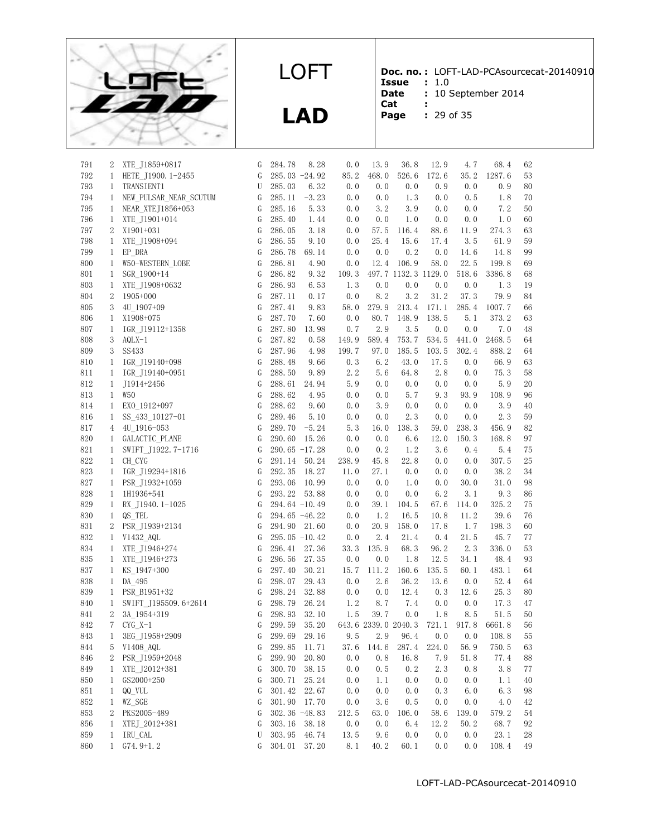

**LAD**

**Doc. no. :** LOFT-LAD-PCAsourcecat-20140910 **Issue :** 1.0

- Date : 10 September 2014
- **Cat :**
- **Page :** 29 of 35

| 791 | 2                | XTE J1859+0817         | G | 284.78           | 8.28    | 0.0   | 13.9                | 36.8                | 12.9  | 4.7   | 68.4   | 62 |
|-----|------------------|------------------------|---|------------------|---------|-------|---------------------|---------------------|-------|-------|--------|----|
| 792 | $\mathbf{1}$     | HETE J1900. 1-2455     | G | 285.03 -24.92    |         | 85.2  | 468.0               | 526.6               | 172.6 | 35.2  | 1287.6 | 53 |
| 793 | $\mathbf{1}$     | TRANSIENT1             | U | 285.03           | 6.32    | 0.0   | 0.0                 | 0.0                 | 0.9   | 0.0   | 0.9    | 80 |
| 794 | $\mathbf{1}$     | NEW PULSAR NEAR SCUTUM | G | 285.11           | $-3.23$ | 0.0   | 0.0                 | 1.3                 | 0.0   | 0.5   | 1.8    | 70 |
| 795 | 1                | NEAR XTEJ1856+053      | G | 285.16           | 5.33    | 0.0   | 3.2                 | 3.9                 | 0.0   | 0.0   | 7.2    | 50 |
| 796 | $\mathbf{1}$     | XTE J1901+014          | G | 285.40           | 1.44    | 0.0   | 0.0                 | 1.0                 | 0.0   | 0.0   | 1.0    | 60 |
| 797 | 2                | X1901+031              | G | 286.05           | 3.18    | 0.0   | 57.5                | 116.4               | 88.6  | 11.9  | 274.3  | 63 |
| 798 | 1                | XTE J1908+094          | G | 286.55           | 9.10    | 0.0   | 25.4                | 15.6                | 17.4  | 3.5   | 61.9   | 59 |
| 799 | $\mathbf{1}$     | EP DRA                 | G | 286.78           | 69.14   | 0.0   | 0.0                 | 0.2                 | 0.0   | 14.6  | 14.8   | 99 |
| 800 | $\mathbf{1}$     | W50-WESTERN LOBE       | G | 286.81           | 4.90    | 0.0   | 12.4                | 106.9               | 58.0  | 22.5  | 199.8  | 69 |
| 801 | $\mathbf{1}$     | SGR 1900+14            | G | 286.82           | 9.32    | 109.3 |                     | 497.7 1132.3 1129.0 |       | 518.6 | 3386.8 | 68 |
| 803 | 1                | XTE J1908+0632         | G | 286.93           | 6.53    | 1.3   | 0.0                 | 0.0                 | 0.0   | 0.0   | 1.3    | 19 |
| 804 | $\boldsymbol{2}$ | $1905+000$             | G | 287.11           | 0.17    | 0.0   | 8.2                 | 3.2                 | 31.2  | 37.3  | 79.9   | 84 |
| 805 | 3                | 4U 1907+09             | G | 287.41           | 9.83    | 58.0  | 279.9               | 213.4               | 171.1 | 285.4 | 1007.7 | 66 |
| 806 | $\mathbf{1}$     | X1908+075              | G | 287.70           | 7.60    | 0.0   | 80.7                | 148.9               | 138.5 | 5.1   | 373.2  | 63 |
| 807 | $\mathbf{1}$     | IGR J19112+1358        | G | 287.80           | 13.98   | 0.7   | 2.9                 | 3.5                 | 0.0   | 0.0   | 7.0    | 48 |
| 808 | 3                | $AQLX-1$               | G | 287.82           | 0.58    | 149.9 | 589.4               | 753.7               | 534.5 | 441.0 | 2468.5 | 64 |
| 809 | $\mathbf{3}$     | <b>SS433</b>           | G | 287.96           | 4.98    | 199.7 | 97.0                | 185.5               | 103.5 | 302.4 | 888.2  | 64 |
| 810 | 1                | IGR J19140+098         | G | 288.48           | 9.66    | 0.3   | 6.2                 | 43.0                | 17.5  | 0.0   | 66.9   | 63 |
| 811 | 1                | IGR J19140+0951        | G | 288.50           | 9.89    | 2.2   | 5.6                 | 64.8                | 2.8   | 0.0   | 75.3   | 58 |
| 812 | $\mathbf{1}$     | J1914+2456             | G | 288.61           | 24.94   | 5.9   | 0.0                 | 0.0                 | 0.0   | 0.0   | 5.9    | 20 |
| 813 | $\mathbf{1}$     | W <sub>50</sub>        | G | 288.62           | 4.95    | 0.0   | 0.0                 | 5.7                 | 9.3   | 93.9  | 108.9  | 96 |
| 814 | $\mathbf{1}$     | EXO 1912+097           | G | 288.62           | 9.60    | 0.0   | 3.9                 | 0.0                 | 0.0   | 0.0   | 3.9    | 40 |
| 816 | $\mathbf{1}$     | SS_433_10127-01        | G | 289.46           | 5.10    | 0.0   | 0.0                 | 2.3                 | 0.0   | 0.0   | 2.3    | 59 |
| 817 | 4                | 4U 1916-053            | G | 289.70           | $-5.24$ | 5.3   | 16.0                | 138.3               | 59.0  | 238.3 | 456.9  | 82 |
| 820 | 1                | GALACTIC_PLANE         | G | 290.60           | 15.26   | 0.0   | 0.0                 | 6.6                 | 12.0  | 150.3 | 168.8  | 97 |
| 821 | 1                | SWIFT J1922.7-1716     | G | 290.65 -17.28    |         | 0.0   | 0.2                 | 1.2                 | 3.6   | 0.4   | 5.4    | 75 |
| 822 | $\mathbf{1}$     | CH CYG                 | G | 291.14           | 50.24   | 238.9 | 45.8                | 22.8                | 0.0   | 0.0   | 307.5  | 25 |
| 823 | $\mathbf{1}$     | IGR J19294+1816        | G | 292.35           | 18.27   | 11.0  | 27.1                | 0.0                 | 0.0   | 0.0   | 38.2   | 34 |
| 827 | $\mathbf{1}$     | PSR J1932+1059         | G | 293.06           | 10.99   | 0.0   | 0.0                 | 1.0                 | 0.0   | 30.0  | 31.0   | 98 |
| 828 | $\mathbf{1}$     | 1H1936+541             | G | 293.22           | 53.88   | 0.0   | 0.0                 | 0.0                 | 6.2   | 3.1   | 9.3    | 86 |
| 829 | $\mathbf{1}$     | RX J1940.1-1025        | G | 294.64 -10.49    |         | 0.0   | 39.1                | 104.5               | 67.6  | 114.0 | 325.2  | 75 |
| 830 | $\mathbf{1}$     | QS TEL                 | G | 294.65 -46.22    |         | 0.0   | 1.2                 | 16.5                | 10.8  | 11.2  | 39.6   | 76 |
| 831 | $\overline{2}$   | PSR J1939+2134         | G | 294.90 21.60     |         | 0.0   | 20.9                | 158.0               | 17.8  | 1.7   | 198.3  | 60 |
| 832 | $\mathbf{1}$     | V1432_AQL              | G | 295.05 $-10.42$  |         | 0.0   | 2.4                 | 21.4                | 0.4   | 21.5  | 45.7   | 77 |
| 834 | $\mathbf{1}$     | XTE J1946+274          | G | 296.41           | 27.36   | 33.3  | 135.9               | 68.3                | 96.2  | 2.3   | 336.0  | 53 |
| 835 | 1                | XTE J1946+273          | G | 296.56           | 27.35   | 0.0   | 0.0                 | 1.8                 | 12.5  | 34.1  | 48.4   | 93 |
| 837 | $\mathbf{1}$     | KS 1947+300            | G | 297.40           | 30.21   | 15.7  | 111.2               | 160.6               | 135.5 | 60.1  | 483.1  | 64 |
| 838 | $\mathbf{1}$     | DA 495                 | G | 298.07           | 29.43   | 0.0   | 2.6                 | 36.2                | 13.6  | 0.0   | 52.4   | 64 |
| 839 | $\mathbf{1}$     | PSR B1951+32           | G | 298.24           | 32.88   | 0.0   | 0.0                 | 12.4                | 0.3   | 12.6  | 25.3   | 80 |
| 840 | $\mathbf{1}$     | SWIFT J195509.6+2614   | G | 298.79           | 26.24   | 1.2   | 8.7                 | 7.4                 | 0.0   | 0.0   | 17.3   | 47 |
| 841 | $\mathbf{2}$     | 3A 1954+319            | G | 298.93           | 32.10   | 1.5   | 39.7                | 0.0                 | 1.8   | 8.5   | 51.5   | 50 |
| 842 | 7                | $CYG$ $X-1$            | G | 299.59           | 35.20   |       | 643.6 2339.0 2040.3 |                     | 721.1 | 917.8 | 6661.8 | 56 |
| 843 | 1                | 3EG_J1958+2909         | G | 299.69           | 29.16   | 9.5   | 2.9                 | 96.4                | 0.0   | 0.0   | 108.8  | 55 |
| 844 | 5                | V1408 AQL              | G | 299.85           | 11.71   | 37.6  | 144.6               | 287.4               | 224.0 | 56.9  | 750.5  | 63 |
| 846 | 2                | PSR J1959+2048         | G | 299.90           | 20.80   | 0.0   | 0.8                 | 16.8                | 7.9   | 51.8  | 77.4   | 88 |
| 849 | $\mathbf{1}$     | XTE J2012+381          | G | 300.70           | 38.15   | 0.0   | 0.5                 | 0.2                 | 2.3   | 0.8   | 3.8    | 77 |
| 850 | $\mathbf{1}$     | GS2000+250             | G | 300.71           | 25.24   | 0.0   | 1.1                 | 0.0                 | 0.0   | 0.0   | 1.1    | 40 |
| 851 | $\mathbf{1}$     | QQ_VUL                 | G | 301.42           | 22.67   | 0.0   | 0.0                 | 0.0                 | 0.3   | 6.0   | 6.3    | 98 |
| 852 | $\mathbf{1}$     | WZ_SGE                 | G | 301.90           | 17.70   | 0.0   | 3.6                 | 0.5                 | 0.0   | 0.0   | 4.0    | 42 |
| 853 | 2                | PKS2005-489            | G | $302.36 - 48.83$ |         | 212.5 | 63.0                | 106.0               | 58.6  | 139.0 | 579.2  | 54 |
| 856 | $\mathbf{1}$     | XTEJ_2012+381          | G | 303.16           | 38.18   | 0.0   | 0.0                 | 6.4                 | 12.2  | 50.2  | 68.7   | 92 |
| 859 | 1                | IRU CAL                | U | 303.95           | 46.74   | 13.5  | 9.6                 | 0.0                 | 0.0   | 0.0   | 23.1   | 28 |
| 860 | $\mathbf{1}$     | $G74.9+1.2$            | G | 304.01           | 37.20   | 8.1   | 40.2                | 60.1                | 0.0   | 0.0   | 108.4  | 49 |
|     |                  |                        |   |                  |         |       |                     |                     |       |       |        |    |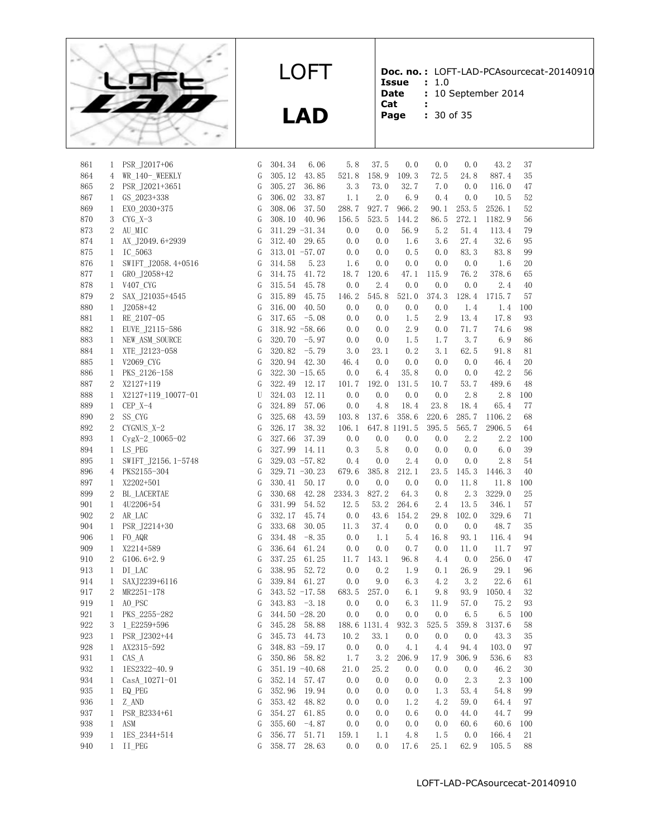

**LAD**

**Doc. no. :** LOFT-LAD-PCAsourcecat-20140910

**Issue :** 1.0 **Date :** 10 September 2014

**Cat :**

**Page :** 30 of 35

| 861        | 1              | PSR J2017+06          | G             | 304.34           | 6.06             | 5.8             | 37.5  | 0.0                | 0.0        | 0.0          | 43.2         | 37       |
|------------|----------------|-----------------------|---------------|------------------|------------------|-----------------|-------|--------------------|------------|--------------|--------------|----------|
| 864        | 4              | WR_140-_WEEKLY        | G             | 305.12           | 43.85            | 521.8           | 158.9 | 109.3              | 72.5       | 24.8         | 887.4        | 35       |
| 865        | $2^{\circ}$    | PSR J2021+3651        | G             | 305.27           | 36.86            | 3.3             | 73.0  | 32.7               | 7.0        | 0.0          | 116.0        | 47       |
| 867        | $\mathbf{1}$   | GS 2023+338           | G             | 306.02           | 33.87            | 1.1             | 2.0   | 6.9                | 0.4        | 0.0          | 10.5         | 52       |
| 869        | 1              | EXO 2030+375          | G             | 308.06           | 37.50            | 288.7           | 927.7 | 966.2              | 90.1       | 253.5        | 2526.1       | 52       |
| 870        | 3              | $CYG$ $X-3$           | G             | 308.10           | 40.96            | 156.5           | 523.5 | 144.2              | 86.5       | 272.1        | 1182.9       | 56       |
| 873        | $\overline{2}$ | AU MIC                | G             | $311.29 - 31.34$ |                  | 0.0             | 0.0   | 56.9               | 5.2        | 51.4         | 113.4        | 79       |
| 874        | $\mathbf{1}$   | AX J2049.6+2939       | G             | 312.40           | 29.65            | 0.0             | 0.0   | 1.6                | 3.6        | 27.4         | 32.6         | 95       |
| 875        | $\mathbf{1}$   | IC 5063               | G             | $313.01 - 57.07$ |                  | 0.0             | 0.0   | 0.5                | 0.0        | 83.3         | 83.8         | 99       |
| 876        | 1              | SWIFT_J2058.4+0516    | G             | 314.58           | 5.23             | 1.6             | 0.0   | 0.0                | 0.0        | $0.\,0$      | 1.6          | 20       |
| 877        | $\mathbf{1}$   | GRO J2058+42          | G             | 314.75           | 41.72            | 18.7            | 120.6 | 47.1               | 115.9      | 76.2         | 378.6        | 65       |
| 878        | $\mathbf{1}$   | V407_CYG              | G             | 315.54           | 45.78            | 0.0             | 2.4   | 0.0                | 0.0        | 0.0          | 2.4          | 40       |
| 879        | 2              | SAX J21035+4545       | G             | 315.89           | 45.75            | 146.2           | 545.8 | 521.0              | 374.3      | 128.4        | 1715.7       | 57       |
| 880        | $\mathbf{1}$   | $J2058+42$            | G             | 316.00           | 40.50            | 0.0             | 0.0   | 0.0                | 0.0        | 1.4          | 1.4          | 100      |
| 881        | $\mathbf{1}$   | RE 2107-05            | G             | 317.65           | $-5.08$          | 0.0             | 0.0   | 1.5                | 2.9        | 13.4         | 17.8         | 93       |
| 882        | $\mathbf{1}$   | EUVE_J2115-586        | G             |                  | $318.92 - 58.66$ | 0.0             | 0.0   | 2.9                | 0.0        | 71.7         | 74.6         | 98       |
| 883        | $\mathbf{1}$   | NEW_ASM_SOURCE        | G             | 320.70           | $-5.97$          | 0.0             | 0.0   | 1.5                | 1.7        | 3.7          | 6.9          | 86       |
| 884        | $\mathbf{1}$   | XTE J2123-058         | G             | 320.82           | $-5.79$          | 3.0             | 23.1  | 0.2                | 3.1        | 62.5         | 91.8         | 81       |
| 885        | $\mathbf{1}$   | V2069 CYG             | G             | 320.94           | 42.30            | 46.4            | 0.0   | 0.0                | 0.0        | 0.0          | 46.4         | 20       |
| 886        | $\mathbf{1}$   | PKS 2126-158          | G             | $322.30 - 15.65$ |                  | 0.0             | 6.4   | 35.8               | 0.0        | 0.0          | 42.2         | 56       |
| 887        | $\overline{2}$ | X2127+119             | G             | 322.49           | 12.17            | 101.7           | 192.0 | 131.5              | 10.7       | 53.7         | 489.6        | 48       |
| 888        | $\mathbf{1}$   | X2127+119_10077-01    | U             | 324.03           | 12.11            | 0.0             | 0.0   | 0.0                | 0.0        | 2.8          | 2.8          | 100      |
| 889        | $\mathbf{1}$   | $CEP_X-4$             | G             | 324.89           | 57.06            | 0.0             | 4.8   | 18.4               | 23.8       | 18.4         | 65.4         | 77       |
| 890        | 2              | SS_CYG                | G             | 325.68           | 43.59            | 103.8           | 137.6 | 358.6              | 220.6      | 285.7        | 1106.2       | 68       |
| 892        | 2              | CYGNUS X-2            | G             | 326.17           | 38.32            | 106.1           |       | 647.8 1191.5       | 395.5      | 565.7        | 2906.5       | 64       |
| 893        | $\mathbf{1}$   | CygX-2_10065-02       | G             | 327.66           | 37.39            | 0.0             | 0.0   | 0.0                | 0.0        | 2.2          | 2.2          | 100      |
| 894        | $\mathbf{1}$   | LS PEG                | G             | 327.99           | 14.11            | 0.3             | 5.8   | 0.0                | 0.0        | 0.0          | 6.0          | 39       |
| 895        | $\mathbf{1}$   | SWIFT_J2156.1-5748    | G             | 329.03 $-57.82$  |                  | 0.4             | 0.0   | 2.4                | 0.0        | 0.0          | 2.8          | 54       |
| 896        |                | 4 PKS2155-304         | G             | $329.71 - 30.23$ |                  | 679.6           | 385.8 | 212.1              | 23.5       | 145.3        | 1446.3       | 40       |
| 897        | $\mathbf{1}$   | X2202+501             | G             | 330.41           | 50.17            | 0.0             | 0.0   | 0.0                | 0.0        | 11.8         | 11.8         | 100      |
| 899        | 2              | BL LACERTAE           | G             | 330.68           | 42.28            | 2334.3          | 827.2 | 64.3               | 0.8        | 2.3          | 3229.0       | 25       |
| 901        | $\mathbf{1}$   | 4U2206+54             | G             | 331.99           | 54.52            | 12.5            | 53.2  | 264.6              | 2.4        | 13.5         | 346.1        | 57       |
| 902        | $\overline{2}$ | AR LAC                | G             | 332.17           | 45.74            | 0.0             | 43.6  | 154.2              | 29.8       | 102.0        | 329.6        | 71       |
| 904        | $\mathbf{1}$   | PSR J2214+30          | G             | 333.68           | 30.05            | 11.3            | 37.4  | 0.0                | 0.0        | 0.0          | 48.7         | 35       |
| 906        | $\mathbf{1}$   | FO AQR                | G             | 334.48           | $-8.35$          | 0.0             | 1.1   | 5.4                | 16.8       | 93.1         | 116.4        | 94       |
| 909        | $\mathbf{1}$   | X2214+589             | G             | 336.64           | 61.24            | 0.0             | 0.0   | 0.7                | 0.0        | 11.0         | 11.7         | 97       |
| 910        | 2              | $G106.6+2.9$          | G             | 337.25           | 61.25            | 11.7            | 143.1 | 96.8               | 4.4        | 0.0          | 256.0        | 47       |
| 913        | $\mathbf{1}$   | DI LAC                | G             | 338.95           | 52.72            | 0.0             | 0.2   | 1.9                | 0.1        | 26.9         | 29.1         | 96       |
| 914        | $\mathbf{1}$   | SAXJ2239+6116         | G             | 339.84           | 61.27            | 0.0             | 9.0   | 6.3                | 4.2        | 3.2          | 22.6         | 61       |
| 917        | $\overline{2}$ | MR2251-178            | G             | $343.52 -17.58$  |                  | 683.5           | 257.0 | 6.1                | 9.8        | 93.9         | 1050.4       | 32       |
| 919        | $\mathbf{1}$   | AO PSC                | G             | 343.83           | $-3.18$          | 0.0             | 0.0   | 6.3                | 11.9       | 57.0         | 75.2         | 93       |
| 921        | $\mathbf{1}$   | PKS 2255-282          | G             |                  | 344.50 -28.20    | $0.0$           | 0.0   | 0.0                | 0.0        | 6.5          | 6.5          | 100      |
| 922        | 3              | 1 E2259+596           | G             | 345.28           | 58.88            |                 |       | 188.6 1131.4 932.3 | 525.5      | 359.8        | 3137.6       | 58       |
| 923        |                | 1 PSR_J2302+44        | ${\mathsf G}$ | 345.73 44.73     |                  | $10.2$ 33.1 0.0 |       |                    | 0.0        |              | $0.0$ 43.3   | 35       |
| 928        | $\mathbf{1}$   | AX2315-592            | G             |                  | 348.83 -59.17    | 0.0             | 0.0   | 4.1                | 4.4        | 94.4         | 103.0        | 97       |
| 931        | $\mathbf{1}$   | $CAS_A$               | G             |                  | 350.86 58.82     | 1.7             | 3.2   | 206.9              | 17.9       | 306.9        | 536.6        | 83       |
| 932        | $\mathbf{1}$   | 1ES2322-40.9          | G             | 351.19 $-40.68$  |                  | 21.0            | 25.2  | 0.0                | 0.0        | 0.0          | 46.2         | 30       |
| 934        | $\mathbf{1}$   | CasA_10271-01         | G             |                  | 352.14 57.47     | 0.0             | 0.0   | 0.0                | 0.0        | 2.3          | 2.3          | 100      |
| 935        | $\mathbf{1}$   | EQ PEG                | G             | 352.96           | 19.94            | 0.0             | 0.0   | 0.0                | 1.3        | 53.4         | 54.8         | 99       |
|            |                |                       |               |                  |                  |                 | 0.0   |                    |            |              |              |          |
| 936<br>937 | $\mathbf{1}$   | Z_AND<br>PSR B2334+61 | G             | 353.42<br>354.27 | 48.82<br>61.85   | 0.0<br>0.0      | 0.0   | 1.2<br>0.6         | 4.2<br>0.0 | 59.0<br>44.0 | 64.4<br>44.7 | 97<br>99 |
| 938        | $\mathbf{1}$   | ASM                   | G             | 355.60           |                  | 0.0             |       |                    |            |              | 60.6         |          |
|            | $\mathbf{1}$   |                       | G             |                  | $-4.87$          |                 | 0.0   | 0.0                | 0.0        | 60.6         |              | 100      |
| 939        | $\mathbf{1}$   | 1ES 2344+514          | G             | 356.77           | 51.71            | 159.1           | 1.1   | 4.8                | 1.5        | 0.0          | 166.4        | 21       |
| 940        | $\mathbf{1}$   | II PEG                | G             | 358.77           | 28.63            | 0.0             | 0.0   | 17.6               | 25.1       | 62.9         | 105.5        | 88       |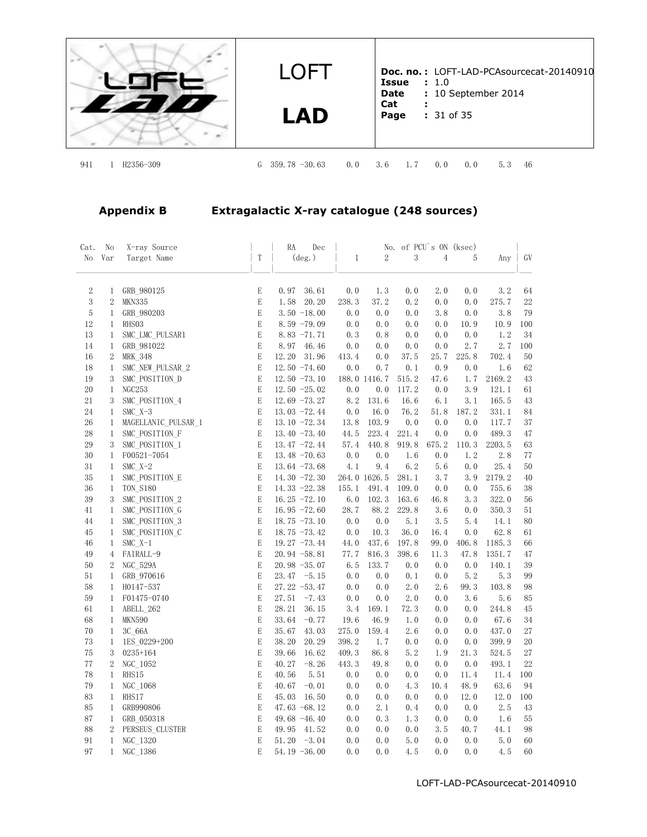

**LAD**

**Doc. no. :** LOFT-LAD-PCAsourcecat-20140910 **Issue :** 1.0 **Date :** 10 September 2014 **Cat : Page :** 31 of 35

941 1 H2356-309 G 359.78 -30.63 0.0 3.6 1.7 0.0 0.0 5.3 46

# **Appendix B Extragalactic X-ray catalogue (248 sources)**

| Cat.        | No                           | X-ray Source             |             | RA<br>Dec                           |              |                | No. of PCU's ON (ksec) |                |             |              |          |
|-------------|------------------------------|--------------------------|-------------|-------------------------------------|--------------|----------------|------------------------|----------------|-------------|--------------|----------|
| No          | Var                          | Target Name              | T           | $(\text{deg.})$                     | $\mathbf{1}$ | $\overline{2}$ | 3                      | $\overline{4}$ | 5           | Any          | GV       |
| $\sqrt{2}$  | 1                            | GRB_980125               | E           | 0.97<br>36.61                       | 0.0          | 1.3            | 0.0                    | 2.0            | 0.0         | 3.2          | 64       |
| $\,3$       | $\sqrt{2}$                   | MKN335                   | $\mathbf E$ | 20.20<br>1.58                       | 238.3        | 37.2           | 0.2                    | 0.0            | 0.0         | 275.7        | $22\,$   |
| $\mathbf 5$ | $\mathbf{1}$                 | GRB_980203               | E           | $3.50 - 18.00$                      | 0.0          | 0.0            | 0.0                    | 3.8            | 0.0         | 3.8          | 79       |
| 12          | $\mathbf{1}$                 | RHS03                    | E           | $8.59 - 79.09$                      | 0.0          | 0.0            | 0.0                    | 0.0            | 10.9        | 10.9         | 100      |
| 13          | $\mathbf{1}$                 | SMC LMC PULSAR1          | E           | $8.83 - 71.71$                      | 0.3          | 0.8            | 0.0                    | 0.0            | 0.0         | 1.2          | 34       |
| 14          | $\mathbf{1}$                 | GRB_981022               | E           | 8.97<br>46.46                       | 0.0          | 0.0            | 0.0                    | 0.0            | 2.7         | 2.7          | 100      |
| 16          | $\sqrt{2}$                   | <b>MRK 348</b>           | E           | 12.20<br>31.96                      | 413.4        | 0.0            | 37.5                   | 25.7           | 225.8       | 702.4        | 50       |
| 18          | $\mathbf{1}$                 | SMC_NEW_PULSAR_2         | E           | $12.50 - 74.60$                     | 0.0          | 0.7            | 0.1                    | 0.9            | 0.0         | 1.6          | 62       |
| 19          | 3                            | SMC POSITION D           | $\mathbf E$ | $12.50 - 73.10$                     |              | 188.0 1416.7   | 515.2                  | 47.6           | 1.7         | 2169.2       | 43       |
| 20          | $\mathbf{1}$                 | <b>NGC253</b>            | E           | $12.50 - 25.02$                     | 0.0          | 0.0            | 117.2                  | 0.0            | 3.9         | 121.1        | 61       |
| 21          | 3                            | SMC POSITION 4           | E           | $12.69 - 73.27$                     | 8.2          | 131.6          | 16.6                   | 6.1            | 3.1         | 165.5        | 43       |
| 24          | $\mathbf{1}$                 | $SMC X-3$                | E           | $13.03 - 72.44$                     | 0.0          | 16.0           | 76.2                   | 51.8           | 187.2       | 331.1        | 84       |
| 26          | $\mathbf{1}$                 | MAGELLANIC_PULSAR_1      | E           | 13.10 -72.34                        | 13.8         | 103.9          | 0.0                    | 0.0            | 0.0         | 117.7        | 37       |
| 28          | $\mathbf{1}$                 | SMC POSITION F           | E           | 13.40 $-73.40$                      | 44.5         | 223.4          | 221.4                  | 0.0            | 0.0         | 489.3        | 47       |
| 29          | 3                            | SMC POSITION 1           | E           | $13.47 - 72.44$                     | 57.4         | 440.8          | 919.8                  | 675.2          | 110.3       | 2203.5       | 63       |
| 30          | $\mathbf{1}$                 | F00521-7054              | E           | 13.48 $-70.63$                      | 0.0          | 0.0            | 1.6                    | 0.0            | 1.2         | 2.8          | 77       |
| 31          | $\mathbf{1}$                 | SMC $X-2$                | E           | 13.64 $-73.68$                      | 4.1          | 9.4            | 6.2                    | 5.6            | 0.0         | 25.4         | 50       |
| 35          | $\mathbf{1}$                 | SMC POSITION E           | E           | 14.30 $-72.30$                      |              | 264.0 1626.5   | 281.1                  | 3.7            | 3.9         | 2179.2       | 40       |
| 36          | $\mathbf{1}$                 | <b>TON S180</b>          | E           | 14.33 -22.38                        | 155.1        | 491.4          | 109.0                  | 0.0            | 0.0         | 755.6        | 38       |
| 39          | 3                            | SMC POSITION 2           | E           | $16.25 - 72.10$                     | 6.0          | 102.3          | 163.6                  | 46.8           | 3.3         | 322.0        | 56       |
| 41          | $\mathbf{1}$                 | SMC POSITION G           | E           | $16.95 - 72.60$                     | 28.7         | 88.2           | 229.8                  | 3.6            | 0.0         | 350.3        | 51       |
| 44          | $\mathbf{1}$                 | SMC_POSITION_3           | E           | $18.75 - 73.10$                     | 0.0          | 0.0            | 5.1                    | 3.5            | 5.4         | 14.1         | 80       |
| 45          | $\mathbf{1}$                 | SMC POSITION C           | E           | $18.75 - 73.42$                     | 0.0          | 10.3           | 36.0                   | 16.4           | 0.0         | 62.8         | 61       |
| 46          | $\mathbf{1}$                 | $SMC X-1$                | E           | $19.27 - 73.44$                     | 44.0         | 437.6          | 197.8                  | 99.0           | 406.8       | 1185.3       | 66       |
| 49          | $\overline{4}$               | FAIRALL-9                | E           | $20.94 - 58.81$                     | 77.7         | 816.3          | 398.6                  | 11.3           | 47.8        | 1351.7       | 47       |
| 50          | $\boldsymbol{2}$             | NGC 529A                 | $\mathbf E$ | $20.98 - 35.07$                     | 6.5          | 133.7          | 0.0                    | 0.0            | 0.0         | 140.1        | 39       |
| 51<br>58    | 1                            | GRB 970616               | E<br>E      | 23.47<br>$-5.15$<br>$27.22 - 53.47$ | 0.0          | 0.0            | 0.1<br>2.0             | 0.0<br>2.6     | 5.2<br>99.3 | 5.3<br>103.8 | 99<br>98 |
| 59          | $\mathbf{1}$<br>$\mathbf{1}$ | H0147-537                | $\mathbf E$ | 27.51<br>$-7.43$                    | 0.0<br>0.0   | 0.0<br>0.0     | 2.0                    | 0.0            | 3.6         | 5.6          | 85       |
| 61          | $\mathbf{1}$                 | F01475-0740<br>ABELL_262 | E           | 28.21<br>36.15                      | 3.4          | 169.1          | 72.3                   | 0.0            | 0.0         | 244.8        | 45       |
| 68          | $\mathbf{1}$                 | <b>MKN590</b>            | E           | 33.64<br>$-0.77$                    | 19.6         | 46.9           | 1.0                    | 0.0            | 0.0         | 67.6         | 34       |
| 70          | $\mathbf{1}$                 | 3C 66A                   | E           | 35.67<br>43.03                      | 275.0        | 159.4          | 2.6                    | 0.0            | 0.0         | 437.0        | 27       |
| 73          | $\mathbf{1}$                 | 1ES 0229+200             | E           | 38.20<br>20.29                      | 398.2        | 1.7            | 0.0                    | 0.0            | 0.0         | 399.9        | 20       |
| 75          | 3                            | $0235 + 164$             | E           | 39.66<br>16.62                      | 409.3        | 86.8           | 5.2                    | 1.9            | 21.3        | 524.5        | 27       |
| 77          | $\boldsymbol{2}$             | NGC 1052                 | $\mathbf E$ | 40.27<br>$-8.26$                    | 443.3        | 49.8           | 0.0                    | 0.0            | 0.0         | 493.1        | 22       |
| 78          | $\mathbf{1}$                 | RHS15                    | E           | 40.56<br>5.51                       | 0.0          | 0.0            | 0.0                    | 0.0            | 11.4        | 11.4         | 100      |
| 79          | $\mathbf{1}$                 | NGC 1068                 | E           | 40.67<br>$-0.01$                    | 0.0          | 0.0            | 4.3                    | 10.4           | 48.9        | 63.6         | 94       |
| 83          | $\mathbf{1}$                 | RHS17                    | $\mathbf E$ | 16.50<br>45.03                      | 0.0          | 0.0            | 0.0                    | 0.0            | 12.0        | 12.0         | 100      |
| 85          | $\mathbf{1}$                 | GRB990806                | E           | 47.63 $-68.12$                      | 0.0          | 2.1            | 0.4                    | 0.0            | 0.0         | 2.5          | 43       |
| 87          | $\mathbf{1}$                 | GRB_050318               | E           | 49.68 -46.40                        | 0.0          | 0.3            | 1.3                    | 0.0            | 0.0         | 1.6          | 55       |
| 88          | $\overline{2}$               | PERSEUS CLUSTER          | E           | 49.95<br>41.52                      | 0.0          | 0.0            | 0.0                    | 3.5            | 40.7        | 44.1         | 98       |
| 91          | $\mathbf{1}$                 | NGC_1320                 | E           | $-3.04$<br>51.20                    | 0.0          | 0.0            | 5.0                    | 0.0            | 0.0         | 5.0          | 60       |
| 97          | $\mathbf{1}$                 | NGC 1386                 | E           | $54.19 - 36.00$                     | 0.0          | 0.0            | 4.5                    | 0.0            | 0.0         | 4.5          | 60       |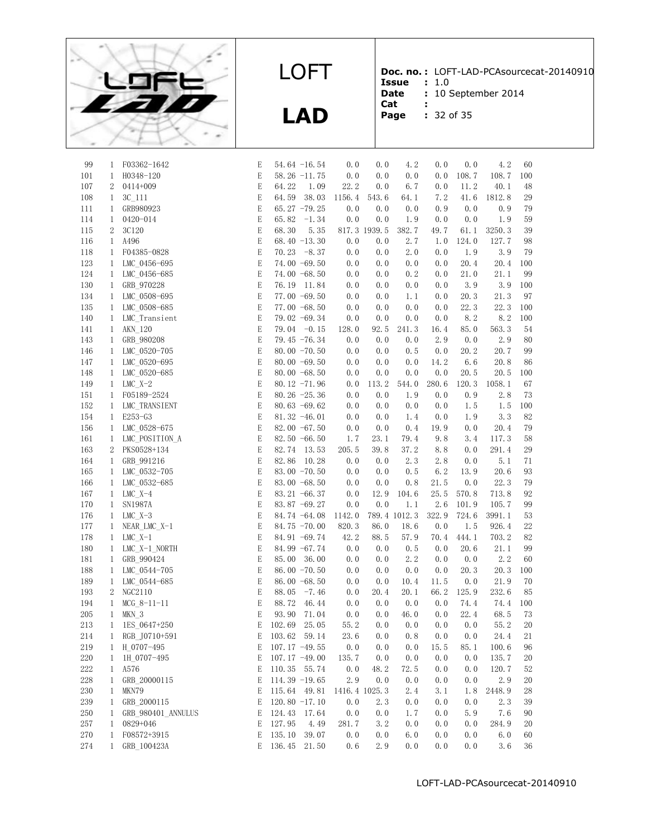

**Doc. no. :** LOFT-LAD-PCAsourcecat-20140910 **Issue :** 1.0

**Date** : 10 September 2014<br>**Cat** :

- **Cat :**
	-

| Page |  | $: 32$ of 35 |  |  |  |
|------|--|--------------|--|--|--|
|------|--|--------------|--|--|--|

| 99      | 1                            | F03362-1642                | E                       |                  | 54.64 -16.54     | 0.0    | 0.0           | 4.2          | 0.0        | 0.0          | 4.2    | 60       |
|---------|------------------------------|----------------------------|-------------------------|------------------|------------------|--------|---------------|--------------|------------|--------------|--------|----------|
| 101     | $\mathbf{1}$                 | H0348-120                  | E                       |                  | $58.26 -11.75$   | 0.0    | 0.0           | 0.0          | 0.0        | 108.7        | 108.7  | 100      |
| 107     | $\overline{2}$               | 0414+009                   | E                       | 64.22            | 1.09             | 22.2   | 0.0           | 6.7          | 0.0        | 11.2         | 40.1   | 48       |
| 108     | $\mathbf{1}$                 | $3C_111$                   | E                       | 64.59            | 38.03            | 1156.4 | 543.6         | 64.1         | 7.2        | 41.6         | 1812.8 | 29       |
| 111     | $\mathbf{1}$                 | GRB980923                  | E                       |                  | 65.27 $-79.25$   | 0.0    | 0.0           | 0.0          | 0.9        | 0.0          | 0.9    | 79       |
| 114     | $\mathbf{1}$                 | 0420-014                   | E                       | 65.82            | $-1.34$          | 0.0    | 0.0           | 1.9          | 0.0        | 0.0          | 1.9    | 59       |
| 115     | $\boldsymbol{2}$             | 3C120                      | E                       | 68.30            | 5.35             |        | 817.3 1939.5  | 382.7        | 49.7       | 61.1         | 3250.3 | 39       |
| 116     | $\mathbf{1}$                 | A496                       | E                       |                  | 68.40 -13.30     | 0.0    | 0.0           | 2.7          | 1.0        | 124.0        | 127.7  | 98       |
| 118     | $\mathbf{1}$                 | F04385-0828                | E                       |                  | $70.23 - 8.37$   | 0.0    | 0.0           | 2.0          | 0.0        | 1.9          | 3.9    | 79       |
| 123     | $\mathbf{1}$                 | LMC 0456-695               | $\mathbf E$             |                  | 74.00 -69.50     | 0.0    | 0.0           | 0.0          | 0.0        | 20.4         | 20.4   | 100      |
| 124     | $\mathbf{1}$                 | LMC 0456-685               | $\mathop{\hbox{\bf E}}$ |                  | 74.00 -68.50     | 0.0    | 0.0           | 0.2          | 0.0        | 21.0         | 21.1   | 99       |
| 130     | $\mathbf{1}$                 | GRB_970228                 | E                       |                  | 76.19 11.84      | 0.0    | 0.0           | 0.0          | 0.0        | 3.9          | 3.9    | 100      |
| 134     | $\mathbf{1}$                 | LMC 0508-695               | $\mathbf E$             |                  | 77.00 -69.50     | 0.0    | 0.0           | 1.1          | 0.0        | 20.3         | 21.3   | 97       |
| 135     | $\mathbf{1}$                 | LMC 0508-685               | $\mathbf E$             |                  | 77.00 -68.50     | 0.0    | 0.0           | 0.0          | 0.0        | 22.3         | 22.3   | 100      |
| 140     | $\mathbf{1}$                 | LMC_Transient              | $\mathbf E$             |                  | 79.02 -69.34     | 0.0    | 0.0           | 0.0          | 0.0        | 8.2          | 8.2    | 100      |
| 141     | $\mathbf{1}$                 | AKN 120                    | E                       |                  | $79.04 -0.15$    | 128.0  | 92.5          | 241.3        | 16.4       | 85.0         | 563.3  | 54       |
| 143     | $\mathbf{1}$                 | GRB_980208                 | Е                       |                  | 79.45 -76.34     | 0.0    | 0.0           | 0.0          | 2.9        | 0.0          | 2.9    | 80       |
| 146     | $\mathbf{1}$                 | LMC 0520-705               | E                       |                  | 80.00 $-70.50$   | 0.0    | 0.0           | 0.5          | 0.0        | 20.2         | 20.7   | 99       |
| 147     | $\mathbf{1}$                 | LMC_0520-695               | E                       |                  | 80.00 $-69.50$   | 0.0    | 0.0           | 0.0          | 14.2       | 6.6          | 20.8   | 86       |
| 148     | $\mathbf{1}$                 | LMC 0520-685               | E                       |                  | 80.00 $-68.50$   | 0.0    | 0.0           | 0.0          | 0.0        | 20.5         | 20.5   | 100      |
| 149     | $\mathbf{1}$                 | $LMC_X-2$                  | E                       |                  | 80.12 -71.96     | $0.0$  | 113.2         | 544.0        | 280.6      | 120.3        | 1058.1 | 67       |
| 151     | $\mathbf{1}$                 | F05189-2524                | E                       |                  | 80.26 $-25.36$   | 0.0    | 0.0           | 1.9          | 0.0        | 0.9          | 2.8    | 73       |
| 152     | $\mathbf{1}$                 | LMC TRANSIENT              | E                       |                  | 80.63 $-69.62$   | 0.0    | 0.0           | 0.0          | 0.0        | 1.5          | 1.5    | 100      |
| 154     | $\mathbf{1}$                 | E253-G3                    | E                       |                  | 81.32 -46.01     | 0.0    | 0.0           | 1.4          | 0.0        | 1.9          | 3.3    | 82       |
| 156     | $\mathbf{1}$                 | LMC 0528-675               | E                       |                  | 82.00 $-67.50$   | 0.0    | 0.0           | 0.4          | 19.9       | 0.0          | 20.4   | 79       |
| 161     | $\mathbf{1}$                 | LMC_POSITION_A             | $\mathbf E$             |                  | 82.50 -66.50     | 1.7    | 23.1          | 79.4         | 9.8        | 3.4          | 117.3  | 58       |
| 163     | $\overline{2}$               | PKS0528+134                | E                       | 82.74            | 13.53            | 205.5  | 39.8          | 37.2         | 8.8        | 0.0          | 291.4  | 29       |
| 164     | $\mathbf{1}$                 |                            | E                       | 82.86            | 10.28            | 0.0    | 0.0           | 2.3          |            |              | 5.1    |          |
| 165     |                              | GRB_991216<br>LMC 0532-705 | E                       |                  | 83.00 -70.50     | 0.0    | 0.0           | 0.5          | 2.8<br>6.2 | 0.0<br>13.9  | 20.6   | 71<br>93 |
| 166     | $\mathbf{1}$                 |                            | E                       |                  | 83.00 -68.50     | 0.0    | 0.0           | 0.8          | 21.5       |              | 22.3   | 79       |
| 167     | $\mathbf{1}$<br>$\mathbf{1}$ | LMC_0532-685<br>$LMC X-4$  | E                       |                  | 83.21 -66.37     | 0.0    | 12.9          | 104.6        | 25.5       | 0.0<br>570.8 | 713.8  | 92       |
| 170     |                              | <b>SN1987A</b>             | E                       |                  | 83.87 -69.27     | 0.0    | 0.0           | 1.1          | 2.6        | 101.9        | 105.7  | 99       |
|         | $\mathbf{1}$                 |                            |                         |                  |                  |        |               |              |            |              |        | 53       |
| 176     | $\mathbf{1}$                 | $LMC X-3$                  | $\mathop{\hbox{\bf E}}$ |                  | 84.74 -64.08     | 1142.0 |               | 789.4 1012.3 | 322.9      | 724.6        | 3991.1 |          |
| 177     | $\mathbf{1}$                 | NEAR_LMC_X-1               | E                       |                  | 84.75 -70.00     | 820.3  | 86.0          | 18.6         | 0.0        | 1.5          | 926.4  | 22<br>82 |
| 178     | $\mathbf{1}$                 | $LMC_X-1$                  | E                       |                  | 84.91 -69.74     | 42.2   | 88.5          | 57.9         | 70.4       | 444.1        | 703.2  |          |
| 180     | $\mathbf{1}$                 | LMC_X-1_NORTH              | E                       |                  | 84.99 -67.74     | 0.0    | 0.0           | 0.5          | 0.0        | 20.6         | 21.1   | 99       |
| 181     | $\mathbf{1}$                 | GRB 990424                 | $\mathbf E$             | 85.00            | 36.00            | 0.0    | 0.0           | 2.2          | 0.0        | 0.0          | 2.2    | 60       |
| 188     | $\mathbf{1}$                 | LMC_0544-705               | E                       |                  | 86.00 $-70.50$   | 0.0    | 0.0           | 0.0          | 0.0        | 20.3         | 20.3   | 100      |
| 189     | $\mathbf{1}$                 | LMC_0544-685               | E                       |                  | 86.00 -68.50     | 0.0    | 0.0           | 10.4         | 11.5       | 0.0          | 21.9   | 70       |
| 193     | $\mathbf{2}$                 | NGC2110                    | E                       | 88.05            | $-7.46$          | 0.0    | 20.4          | 20.1         | 66.2       | 125.9        | 232.6  | 85       |
| 194     | $\mathbf{1}$                 | $MCG_8-11-11$              | E                       | 88.72            | 46.44            | 0.0    | 0.0           | 0.0          | 0.0        | 74.4         | 74.4   | 100      |
| 205     | $\mathbf{1}$                 | MKN 3                      | E                       | 93.90            | 71.04            | 0.0    | 0.0           | 46.0         | 0.0        | 22.4         | 68.5   | 73       |
| 213     | $\mathbf{1}$                 | 1ES 0647+250               | E                       | 102.69           | 25.05            | 55.2   | 0.0           | 0.0          | 0.0        | 0.0          | 55.2   | 20       |
| $214\,$ | $\mathbf{1}$                 | RGB_J0710+591              |                         | E 103.62 59.14   |                  | 23.6   |               | $0.0$ $0.8$  |            | 0.0 0.0      | 24.4   | 21       |
| 219     |                              | 1 H 0707-495               | E                       |                  | 107.17 $-49.55$  | 0.0    | 0.0           | 0.0          | 15.5       | 85.1         | 100.6  | 96       |
| 220     | 1                            | 1H 0707-495                | E                       |                  | $107.17 - 49.00$ | 135.7  | 0.0           | 0.0          | 0.0        | 0.0          | 135.7  | 20       |
| $222\,$ | $\mathbf{1}$                 | A576                       | Ε                       |                  | 110.35 55.74     | 0.0    | 48.2          | 72.5         | 0.0        | 0.0          | 120.7  | 52       |
| 228     | $\mathbf{1}$                 | GRB_20000115               | Ε                       | $114.39 - 19.65$ |                  | 2.9    | 0.0           | 0.0          | 0.0        | 0.0          | 2.9    | 20       |
| 230     | $\mathbf{1}$                 | MKN79                      | E                       | 115.64 49.81     |                  |        | 1416.4 1025.3 | 2.4          | 3.1        | 1.8          | 2448.9 | 28       |
| 239     | $\mathbf{1}$                 | GRB 2000115                | E                       | $120.80 - 17.10$ |                  | 0.0    | 2.3           | 0.0          | 0.0        | 0.0          | 2.3    | 39       |
| 250     | $\mathbf{1}$                 | GRB_980401_ANNULUS         | Ε                       | 124.43           | 17.64            | 0.0    | 0.0           | 1.7          | 0.0        | 5.9          | 7.6    | 90       |
| 257     | $\mathbf{1}$                 | $0829 + 046$               | Ε                       | 127.95           | 4.49             | 281.7  | 3.2           | 0.0          | 0.0        | 0.0          | 284.9  | 20       |
| 270     | $\mathbf{1}$                 | F08572+3915                | E                       | 135.10           | 39.07            | 0.0    | 0.0           | 6.0          | 0.0        | 0.0          | 6.0    | 60       |
| 274     | $\mathbf{1}$                 | GRB_100423A                | E                       | 136.45           | 21.50            | 0.6    | 2.9           | 0.0          | 0.0        | 0.0          | 3.6    | 36       |
|         |                              |                            |                         |                  |                  |        |               |              |            |              |        |          |

LOFT

**LAD**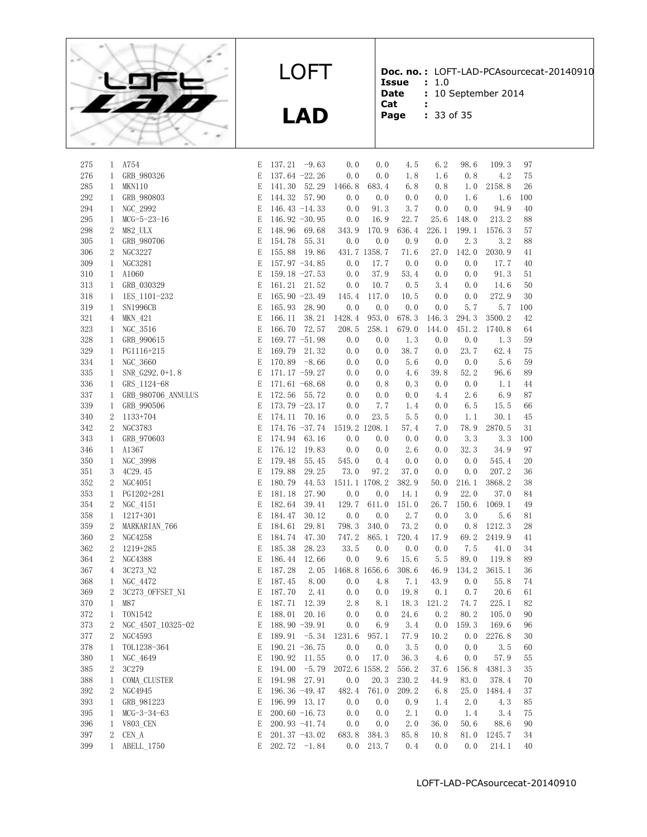

**Doc. no. :** LOFT-LAD-PCAsourcecat-20140910 **Issue :** 1.0

Date : 10 September 2014

- **Cat :**
- **Page :** 33 of 35

| 275     | 1                | A754               | E           | $137.21 -9.63$              |       | 0.0                         | 0.0           | 4.5   | 6.2   | 98.6  | 109.3                      | 97  |
|---------|------------------|--------------------|-------------|-----------------------------|-------|-----------------------------|---------------|-------|-------|-------|----------------------------|-----|
| 276     | 1                | GRB_980326         | E           | 137.64 -22.26               |       | 0.0                         | 0.0           | 1.8   | 1.6   | 0.8   | 4.2                        | 75  |
| 285     | 1                | MKN110             | E           | 141.30 52.29                |       | 1466.8                      | 683.4         | 6.8   | 0.8   | 1.0   | 2158.8                     | 26  |
| 292     | $\mathbf{1}$     | GRB 980803         | Ε           | 144.32 57.90                |       | 0.0                         | 0.0           | 0.0   | 0.0   | 1.6   | 1.6                        | 100 |
| 294     | 1                | NGC 2992           | Ε           | 146.43 $-14.33$             |       | 0.0                         | 91.3          | 3.7   | 0.0   | 0.0   | 94.9                       | 40  |
| 295     | $\mathbf{1}$     | $MCG-5-23-16$      | E           | 146.92 $-30.95$             |       | 0.0                         | 16.9          | 22.7  | 25.6  | 148.0 | 213.2                      | 88  |
| 298     | 2                | M82 ULX            | Ε           | 148.96                      | 69.68 | 343.9                       | 170.9         | 636.4 | 226.1 | 199.1 | 1576.3                     | 57  |
| 305     | $\mathbf{1}$     | GRB 980706         | Ε           | 154.78                      | 55.31 | 0.0                         | 0.0           | 0.9   | 0.0   | 2.3   | 3.2                        | 88  |
| 306     | 2                | <b>NGC3227</b>     | $\mathbf E$ | 155.88                      | 19.86 |                             | 431.7 1358.7  | 71.6  | 27.0  | 142.0 | 2030.9                     | 41  |
| 309     | 1                | NGC3281            | E           | $157.97 - 34.85$            |       | 0.0                         | 17.7          | 0.0   | 0.0   | 0.0   | 17.7                       | 40  |
|         |                  |                    | $\mathbf E$ |                             |       |                             |               |       | 0.0   |       | 91.3                       |     |
| 310     | $\mathbf{1}$     | A1060              |             | 159.18 $-27.53$             |       | 0.0                         | 37.9          | 53.4  |       | 0.0   |                            | 51  |
| 313     | $\mathbf{1}$     | GRB 030329         | Ε           | 161.21 21.52                |       | 0.0                         | 10.7          | 0.5   | 3.4   | 0.0   | 14.6                       | 50  |
| 318     | 1                | 1ES 1101-232       | E           | 165.90 -23.49               |       | 145.4                       | 117.0         | 10.5  | 0.0   | 0.0   | 272.9                      | 30  |
| 319     | $\mathbf{1}$     | <b>SN1996CB</b>    | E           | 165.93                      | 28.90 | 0.0                         | 0.0           | 0.0   | 0.0   | 5.7   | 5.7                        | 100 |
| 321     | 4                | MKN_421            | Ε           | 166.11                      | 38.21 | 1428.4                      | 953.0         | 678.3 | 146.3 | 294.3 | 3500.2                     | 42  |
| 323     | 1                | NGC 3516           | E           | 166.70                      | 72.57 | 208.5                       | 258.1         | 679.0 | 144.0 | 451.2 | 1740.8                     | 64  |
| 328     | 1                | GRB 990615         | E           | 169.77 $-51.98$             |       | 0.0                         | 0.0           | 1.3   | 0.0   | 0.0   | 1.3                        | 59  |
| 329     | 1                | PG1116+215         | $\mathbf E$ | 169.79                      | 21.32 | 0.0                         | 0.0           | 38.7  | 0.0   | 23.7  | 62.4                       | 75  |
| 334     | 1                | NGC 3660           | Ε           | 170.89 $-8.66$              |       | 0.0                         | 0.0           | 5.6   | 0.0   | 0.0   | 5.6                        | 59  |
| 335     | 1                | SNR G292.0+1.8     | $\mathbf E$ | $171.17 - 59.27$            |       | 0.0                         | 0.0           | 4.6   | 39.8  | 52.2  | 96.6                       | 89  |
| 336     | $\mathbf{1}$     | GRS 1124-68        | Ε           | 171.61 $-68.68$             |       | 0.0                         | 0.8           | 0.3   | 0.0   | 0.0   | 1.1                        | 44  |
| 337     | 1                | GRB 980706 ANNULUS | $\mathbf E$ | 172.56                      | 55.72 | 0.0                         | 0.0           | 0.0   | 4.4   | 2.6   | 6.9                        | 87  |
| 339     | $\mathbf{1}$     | GRB 990506         | Ε           | $173.79 - 23.17$            |       | 0.0                         | 7.7           | 1.4   | 0.0   | 6.5   | 15.5                       | 66  |
| 340     | 2                | 1133+704           | E           | 174.11 70.16                |       | 0.0                         | 23.5          | 5.5   | 0.0   | 1.1   | 30.1                       | 45  |
| 342     | 2                | <b>NGC3783</b>     | Ε           |                             |       | 174.76 -37.74 1519.2 1208.1 |               | 57.4  | 7.0   | 78.9  | 2870.5                     | 31  |
| 343     | $\mathbf{1}$     | GRB 970603         | Ε           | 174.94 63.16                |       | 0.0                         | 0.0           | 0.0   | 0.0   | 3.3   | 3.3                        | 100 |
| 346     | 1                | A1367              | Ε           | 176.12                      | 19.83 | 0.0                         | 0.0           | 2.6   | 0.0   | 32.3  | 34.9                       | 97  |
| 350     | 1                | NGC_3998           | E           | 179.48                      | 55.45 | 545.0                       | 0.4           | 0.0   | 0.0   | 0.0   | 545.4                      | 20  |
| 351     | 3                | 4C29.45            | E           | 179.88                      | 29.25 | 73.0                        | 97.2          | 37.0  | 0.0   | 0.0   | 207.2                      | 36  |
| 352     | $\sqrt{2}$       | NGC4051            | Ε           | 180.79                      | 44.53 | 1511.1 1708.2               |               | 382.9 | 50.0  | 216.1 | 3868.2                     | 38  |
| 353     | 1                | PG1202+281         | E           | 181.18                      | 27.90 | 0.0                         | 0.0           | 14.1  | 0.9   | 22.0  | 37.0                       | 84  |
| 354     | 2                | NGC_4151           | E           | 182.64                      | 39.41 | 129.7                       | 611.0         | 151.0 | 26.7  | 150.6 | 1069.1                     | 49  |
| 358     | 1                | 1217+301           | $\mathbf E$ | 184.47                      | 30.12 | 0.0                         | 0.0           | 2.7   | 0.0   | 3.0   | 5.6                        | 81  |
| 359     | 2                | MARKARIAN_766      | Ε           | 184.61                      | 29.81 | 798.3                       | 340.0         | 73.2  | 0.0   | 0.8   | 1212.3                     | 28  |
| 360     | $\overline{2}$   | <b>NGC4258</b>     | E           | 184.74                      | 47.30 | 747.2                       | 865.1         | 720.4 | 17.9  | 69.2  | 2419.9                     | 41  |
| 362     | $\boldsymbol{2}$ | 1219+285           | Ε           | 185.38                      | 28.23 | 33.5                        | 0.0           | 0.0   | 0.0   | 7.5   | 41.0                       | 34  |
| 364     | 2                | <b>NGC4388</b>     | Ε           | 186.44                      | 12.66 | 0.0                         | 9.6           | 15.6  | 5.5   | 89.0  | 119.8                      | 89  |
| 367     | 4                | 3C273_N2           | Ε           | 187.28                      | 2.05  |                             | 1468.8 1656.6 | 308.6 | 46.9  | 134.2 | 3615.1                     | 36  |
| 368     | 1                | NGC 4472           | E           | 187.45                      | 8.00  | 0.0                         | 4.8           | 7.1   | 43.9  | 0.0   | 55.8                       | 74  |
| 369     | 2                | 3C273 OFFSET N1    | E           | 187.70                      | 2.41  | 0.0                         | 0.0           | 19.8  | 0.1   | 0.7   | 20.6                       | 61  |
| 370     | $\mathbf{1}$     | M87                | E           | 187.71                      | 12.39 | 2.8                         | 8.1           | 18.3  | 121.2 | 74.7  | 225.1                      | 82  |
| 372     | $\mathbf{1}$     | <b>TON1542</b>     | E           | 188.01                      | 20.16 | 0.0                         | 0.0           | 24.6  | 0.2   | 80.2  | 105.0                      | 90  |
| 373     | 2                | NGC 4507 10325-02  | $\mathbf E$ | 188.90 -39.91               |       | 0.0                         | 6.9           | 3.4   | 0.0   | 159.3 | 169.6                      | 96  |
| $377\,$ | $\mathbf{2}$     | NGC4593            |             | E 189.91 -5.34 1231.6 957.1 |       |                             |               |       |       |       | 77.9   10.2   0.0   2276.8 | 30  |
| 378     | 1                | TOL1238-364        | Ε           | 190.21 $-36.75$             |       | 0.0                         | 0.0           | 3.5   | 0.0   | 0.0   | 3.5                        | 60  |
| 380     | 1                | NGC_4649           | Ε           | 190.92 11.55                |       | 0.0                         | 17.0          | 36.3  | 4.6   | 0.0   | 57.9                       | 55  |
| 385     | 2                | 3C279              | Ε           | 194.00 $-5.79$              |       | 2072.6 1558.2               |               | 556.2 | 37.6  | 156.8 | 4381.3                     | 35  |
| 388     | 1                | COMA_CLUSTER       | Ε           | 194.98 27.91                |       | 0.0                         | 20.3          | 230.2 | 44.9  | 83.0  | 378.4                      | 70  |
| 392     | 2                | NGC4945            | Ε           | 196.36 -49.47               |       | 482.4                       | 761.0         | 209.2 | 6.8   | 25.0  | 1484.4                     | 37  |
| 393     | 1                | GRB 981223         | Ε           | 196.99 13.17                |       | 0.0                         | 0.0           | 0.9   | 1.4   | 2.0   | 4.3                        | 85  |
| 395     | 1                | $MCG-3-34-63$      | Ε           | 200.60 $-16.73$             |       | 0.0                         | 0.0           | 2.1   | 0.0   | 1.4   | 3.4                        | 75  |
| 396     | $\mathbf{1}$     | <b>V803 CEN</b>    | Ε           | 200.93 -41.74               |       | 0.0                         | 0.0           | 2.0   | 36.0  | 50.6  | 88.6                       | 90  |
| 397     | 2                | CEN A              | Ε           | 201.37 -43.02               |       | 683.8                       | 384.3         | 85.8  | 10.8  | 81.0  | 1245.7                     | 34  |
| 399     | 1                | ABELL 1750         | E           | $202.72 -1.84$              |       | 0.0                         | 213.7         | 0.4   | 0.0   | 0.0   | 214.1                      | 40  |
|         |                  |                    |             |                             |       |                             |               |       |       |       |                            |     |
|         |                  |                    |             |                             |       |                             |               |       |       |       |                            |     |

LOFT

**LAD**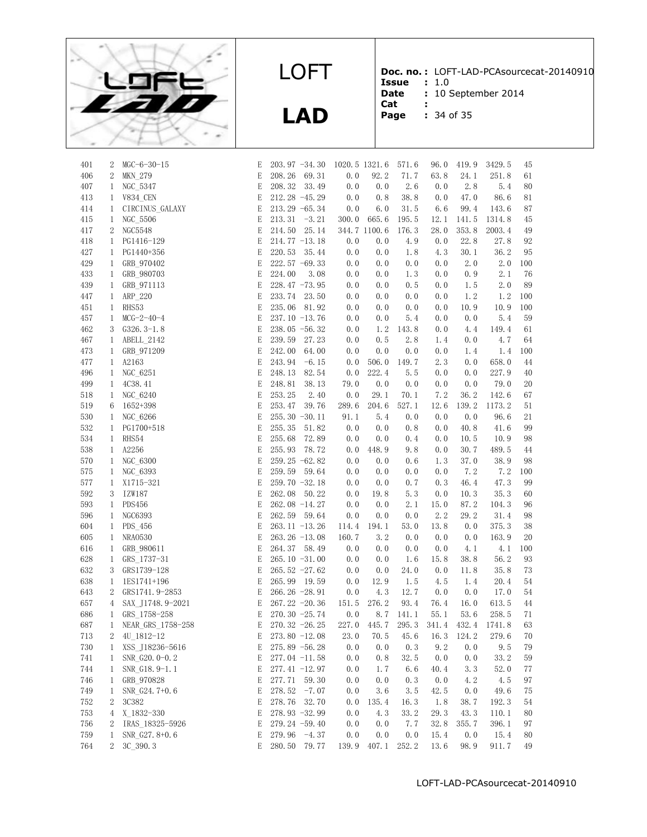

**Doc. no. :** LOFT-LAD-PCAsourcecat-20140910

LOFT

**LAD**

**Issue** : 1.0<br>**Date** : 10 % **: 10 September 2014** 

- **Cat :**
- **Page :** 34 of 35

| 401        | 2                 | $MGC - 6 - 30 - 15$        | E      | $203.97 - 34.30$                   |            | 1020.5 1321.6 | 571.6       | 96.0       | 419.9       | 3429.5       | 45       |
|------------|-------------------|----------------------------|--------|------------------------------------|------------|---------------|-------------|------------|-------------|--------------|----------|
| 406        | $\boldsymbol{2}$  | <b>MKN 279</b>             | E      | 208.26<br>69.31                    | 0.0        | 92.2          | 71.7        | 63.8       | 24.1        | 251.8        | 61       |
| 407        | 1                 | NGC 5347                   | E      | 208.32<br>33.49                    | 0.0        | 0.0           | 2.6         | 0.0        | 2.8         | 5.4          | 80       |
| 413        | $\mathbf{1}$      | <b>V834_CEN</b>            | E      | 212.28 -45.29                      | 0.0        | 0.8           | 38.8        | 0.0        | 47.0        | 86.6         | 81       |
| 414        | 1                 | CIRCINUS_GALAXY            | E      | $213.29 -65.34$                    | 0.0        | 6.0           | 31.5        | 6.6        | 99.4        | 143.6        | 87       |
| 415        | $\mathbf{1}$      | NGC 5506                   | E      | 213.31<br>$-3.21$                  | 300.0      | 665.6         | 195.5       | 12.1       | 141.5       | 1314.8       | 45       |
| 417        | $\sqrt{2}$        | NGC5548                    | E      | 25.14<br>214.50                    |            | 344.7 1100.6  | 176.3       | 28.0       | 353.8       | 2003.4       | 49       |
| 418        | $\mathbf{1}$      | PG1416-129                 | E      | $214.77 - 13.18$                   | 0.0        | 0.0           | 4.9         | 0.0        | 22.8        | 27.8         | 92       |
| 427        | 1                 | PG1440+356                 | E      | 220.53<br>35.44                    | 0.0        | 0.0           | 1.8         | 4.3        | 30.1        | 36.2         | 95       |
| 429        | 1                 | GRB 970402                 | E      | $222.57 -69.33$                    | 0.0        | 0.0           | 0.0         | 0.0        | 2.0         | 2.0          | 100      |
| 433        | $\mathbf{1}$      | GRB_980703                 | E      | 224.00<br>3.08                     | 0.0        | 0.0           | 1.3         | 0.0        | 0.9         | 2.1          | 76       |
| 439        | $\mathbf{1}$      | GRB_971113                 | E      | $228.47 - 73.95$                   | 0.0        | 0.0           | 0.5         | 0.0        | 1.5         | 2.0          | 89       |
| 447        | $\mathbf{1}$      | ARP_220                    | E      | 233.74<br>23.50                    | 0.0        | 0.0           | 0.0         | 0.0        | 1.2         | 1.2          | 100      |
| 451        | $\mathbf{1}$      | RHS53                      | E      | 235.06<br>81.92                    | 0.0        | 0.0           | 0.0         | 0.0        | 10.9        | 10.9         | 100      |
| 457        | $\mathbf{1}$      | $MCG-2-40-4$               | E      | $237.10 - 13.76$                   | 0.0        | 0.0           | 5.4         | 0.0        | 0.0         | 5.4          | 59       |
| 462        | 3                 | $G326.3-1.8$               | E      | $238.05 -56.32$                    | 0.0        | 1.2           | 143.8       | 0.0        | 4.4         | 149.4        | 61       |
| 467        | 1                 | ABELL_2142                 | E      | 239.59<br>27.23                    | 0.0        | 0.5           | 2.8         | 1.4        | 0.0         | 4.7          | 64       |
| 473        | 1                 | GRB 971209                 | E      | 242.00<br>64.00                    | 0.0        | 0.0           | 0.0         | 0.0        | 1.4         | 1.4          | 100      |
| 477        | 1                 | A2163                      | E      | 243.94<br>$-6.15$                  | 0.0        | 506.0         | 149.7       | 2.3        | 0.0         | 658.0        | 44       |
| 496        | 1                 | NGC 6251                   | E      | 248.13<br>82.54                    | 0.0        | 222.4         | 5.5         | 0.0        | 0.0         | 227.9        | 40       |
| 499        | 1                 | 4C38.41                    | E      | 248.81<br>38.13                    | 79.0       | 0.0           | 0.0         | 0.0        | 0.0         | 79.0         | 20       |
| 518        | 1                 | NGC_6240                   | E      | 253.25<br>2.40                     | 0.0        | 29.1          | 70.1        | 7.2        | 36.2        | 142.6        | 67       |
| 519        | 6                 | 1652+398                   | E      | 253.47<br>39.76                    | 289.6      | 204.6         | 527.1       | 12.6       | 139.2       | 1173.2       | 51       |
| 530        | $\mathbf{1}$      | NGC_6266                   | E      | 255.30 -30.11                      | 91.1       | 5.4           | 0.0         | 0.0        | 0.0         | 96.6         | 21       |
| 532        | $\mathbf{1}$      | PG1700+518                 | E      | 255.35<br>51.82                    | 0.0        | 0.0           | 0.8         | 0.0        | 40.8        | 41.6         | 99       |
| 534        | $\mathbf{1}$      | RHS54                      | E      | 255.68<br>72.89                    | 0.0        | 0.0           | 0.4         | 0.0        | 10.5        | 10.9         | 98       |
| 538        | $\mathbf{1}$      | A2256                      | E      | 255.93<br>78.72                    | 0.0        | 448.9         | 9.8         | 0.0        | 30.7        | 489.5        | 44       |
| 570        | $\mathbf{1}$      | NGC 6300                   | E      | 259.25 -62.82                      | 0.0        | 0.0           | 0.6         | 1.3        | 37.0        | 38.9         | 98       |
| 575        | $\mathbf{1}$      | NGC 6393                   | E      | 259.59<br>59.64                    | 0.0        | 0.0           | 0.0         | 0.0        | 7.2         | 7.2          | 100      |
| 577        | $\mathbf{1}$      | X1715-321                  | E      | $259.70 - 32.18$                   | 0.0        | 0.0           | 0.7         | 0.3        | 46.4        | 47.3         | 99       |
| 592        | 3                 | IZW187                     | E      | 262.08<br>50.22                    | 0.0        | 19.8          | 5.3         | 0.0        | 10.3        | 35.3         | 60       |
| 593        | $\mathbf{1}$      | <b>PDS456</b>              | E      | 262.08 -14.27                      | 0.0        | 0.0           | 2.1         | 15.0       | 87.2        | 104.3        | 96       |
| 596        | 1                 | <b>NGC6393</b>             | E      | 262.59<br>59.64                    | 0.0        | 0.0           | 0.0         | 2.2        | 29.2        | 31.4         | 98       |
| 604        | $\mathbf{1}$      | PDS_456                    | E      | $263.11 - 13.26$                   | 114.4      | 194.1         | 53.0        | 13.8       | 0.0         | 375.3        | 38       |
| 605        | $\mathbf{1}$      | <b>NRA0530</b>             | E      | $263.26 -13.08$                    | 160.7      | 3.2           | 0.0         | 0.0        | 0.0         | 163.9        | 20       |
| 616        | 1                 | GRB 980611                 | E      | 264.37 58.49                       | 0.0        | 0.0           | 0.0         | 0.0        | 4.1         | 4.1          | 100      |
| 628        | $\mathbf{1}$      | GRS 1737-31                | E      | $265.10 -31.00$                    | 0.0        | 0.0           | 1.6         | 15.8       | 38.8        | 56.2         | 93       |
| 632<br>638 | 3<br>$\mathbf{1}$ | GRS1739-128<br>1ES1741+196 | E<br>E | $265.52 -27.62$<br>265.99<br>19.59 | 0.0<br>0.0 | 0.0<br>12.9   | 24.0<br>1.5 | 0.0<br>4.5 | 11.8<br>1.4 | 35.8<br>20.4 | 73<br>54 |
| 643        | $\boldsymbol{2}$  | GRS1741.9-2853             | E      | $266.26 - 28.91$                   | 0.0        | 4.3           | 12.7        | 0.0        | 0.0         | 17.0         | 54       |
| 657        | 4                 | SAX J1748.9-2021           | E      | $267.22 - 20.36$                   | 151.5      | 276.2         | 93.4        | 76.4       | 16.0        | 613.5        | 44       |
| 686        | $\mathbf{1}$      | GRS 1758-258               | Е      | 270.30 - 25.74                     | 0.0        | 8.7           | 141.1       | 55.1       | 53.6        | 258.5        | 71       |
| 687        | $\mathbf{1}$      | NEAR_GRS_1758-258          | Ε      | $270.32 - 26.25$                   | 227.0      | 445.7         | 295.3       | 341.4      | 432.4       | 1741.8       | 63       |
| 713        | 2                 | 4U 1812-12                 | E      | $273.80 - 12.08$                   | 23.0       | 70.5          | 45.6        | 16.3       | 124.2       | 279.6        | 70       |
| 730        | $\mathbf{1}$      | XSS_J18236-5616            | E      | $275.89 - 56.28$                   | 0.0        | 0.0           | 0.3         | 9.2        | 0.0         | 9.5          | 79       |
| 741        | $\mathbf{1}$      | $SNR_G20.0-0.2$            | Е      | $277.04 -11.58$                    | 0.0        | 0.8           | 32.5        | 0.0        | 0.0         | 33.2         | 59       |
| 744        | $\mathbf{1}$      | SNR G18.9-1.1              | Е      | $277.41 - 12.97$                   | 0.0        | 1.7           | 6.6         | 40.4       | 3.3         | 52.0         | 77       |
| 746        | 1                 | GRB_970828                 | E      | 277.71 59.30                       | 0.0        | 0.0           | 0.3         | 0.0        | 4.2         | 4.5          | 97       |
| 749        | $\mathbf{1}$      | SNR G24.7+0.6              | E      | $278.52 -7.07$                     | 0.0        | 3.6           | 3.5         | 42.5       | 0.0         | 49.6         | 75       |
|            |                   |                            |        |                                    |            |               |             |            |             |              |          |

756 2 IRAS\_18325-5926 E 279.24 -59.40 0.0 0.0 7.7 32.8 355.7 396.1 97 759 1 SNR\_G27.8+0.6 E 279.96 -4.37 0.0 0.0 0.0 15.4 0.0 15.4 80 764 2 3C\_390.3 E 280.50 79.77 139.9 407.1 252.2 13.6 98.9 911.7 49

596 1 NGC6393 604 1 PDS 456 605 1 NRA0530 616 1 GRB 980611 628 1 GRS\_1737-31 632 3 GRS1739-128 638 1 1ES1741+196 643 2 GRS1741.9-2 657 4 SAX J1748.9 686 1 GRS 1758-25 687 1 NEAR\_GRS 17 713 2 4U 1812-12 730 1 XSS J18236-741 1 SNR\_G20.0-0 744 1 SNR\_G18.9-1 746 1 GRB\_970828 749 1 SNR\_G24.7+0 752 2 3C382 E 278.76 32.70 0.0 135.4 16.3 1.8 38.7 192.3 54 753 4 X\_1832-330 E 278.93 -32.99 0.0 4.3 33.2 29.3 43.3 110.1 80